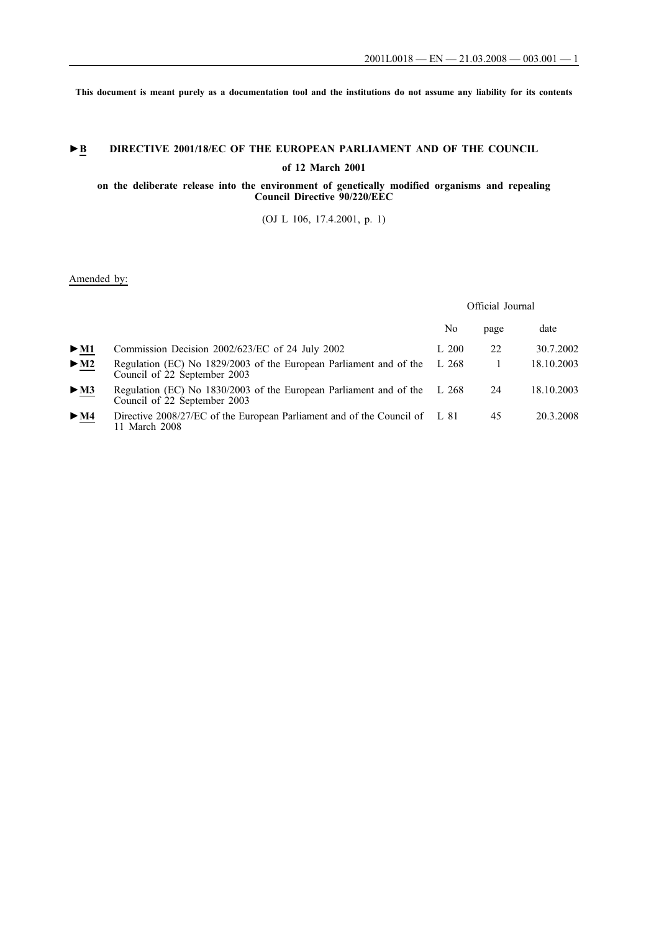**This document is meant purely as a documentation tool and the institutions do not assume any liability for its contents**

# ►**B** DIRECTIVE 2001/18/EC OF THE EUROPEAN PARLIAMENT AND OF THE COUNCIL

**of 12 March 2001**

### **on the deliberate release into the environment of genetically modified organisms and repealing Council Directive 90/220/EEC**

(OJ L 106, 17.4.2001, p. 1)

# Amended by:

# Official Journal

|                                 |                                                                                                    | No    | page | date       |
|---------------------------------|----------------------------------------------------------------------------------------------------|-------|------|------------|
| $>$ M1                          | Commission Decision 2002/623/EC of 24 July 2002                                                    | L 200 | 22   | 30.7.2002  |
| $\blacktriangleright$ M2        | Regulation (EC) No 1829/2003 of the European Parliament and of the<br>Council of 22 September 2003 | L 268 |      | 18.10.2003 |
| $\blacktriangleright$ <u>M3</u> | Regulation (EC) No 1830/2003 of the European Parliament and of the<br>Council of 22 September 2003 | L 268 | 24   | 18.10.2003 |
| $>$ M4                          | Directive 2008/27/EC of the European Parliament and of the Council of L 81<br>11 March 2008        |       | 45   | 20.3.2008  |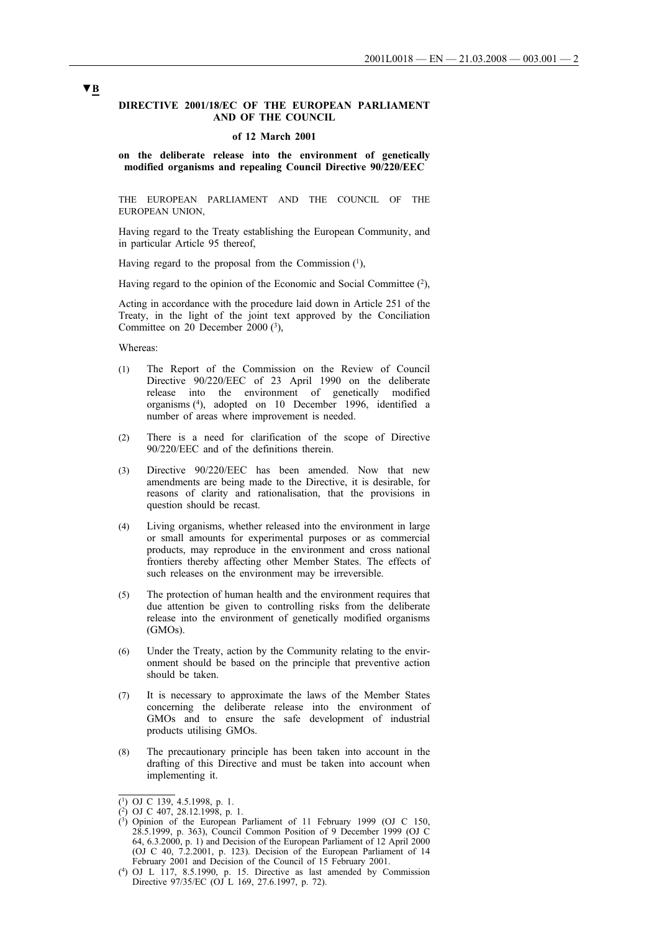### **DIRECTIVE 2001/18/EC OF THE EUROPEAN PARLIAMENT AND OF THE COUNCIL**

#### **of 12 March 2001**

### **on the deliberate release into the environment of genetically modified organisms and repealing Council Directive 90/220/EEC**

THE EUROPEAN PARLIAMENT AND THE COUNCIL OF THE EUROPEAN UNION,

Having regard to the Treaty establishing the European Community, and in particular Article 95 thereof,

Having regard to the proposal from the Commission  $(1)$ ,

Having regard to the opinion of the Economic and Social Committee  $(2)$ ,

Acting in accordance with the procedure laid down in Article 251 of the Treaty, in the light of the joint text approved by the Conciliation Committee on 20 December 2000 (3),

Whereas:

- (1) The Report of the Commission on the Review of Council Directive 90/220/EEC of 23 April 1990 on the deliberate release into the environment of genetically modified organisms (4), adopted on 10 December 1996, identified a number of areas where improvement is needed.
- (2) There is a need for clarification of the scope of Directive 90/220/EEC and of the definitions therein.
- (3) Directive 90/220/EEC has been amended. Now that new amendments are being made to the Directive, it is desirable, for reasons of clarity and rationalisation, that the provisions in question should be recast.
- (4) Living organisms, whether released into the environment in large or small amounts for experimental purposes or as commercial products, may reproduce in the environment and cross national frontiers thereby affecting other Member States. The effects of such releases on the environment may be irreversible.
- (5) The protection of human health and the environment requires that due attention be given to controlling risks from the deliberate release into the environment of genetically modified organisms (GMOs).
- (6) Under the Treaty, action by the Community relating to the environment should be based on the principle that preventive action should be taken.
- (7) It is necessary to approximate the laws of the Member States concerning the deliberate release into the environment of GMOs and to ensure the safe development of industrial products utilising GMOs.
- (8) The precautionary principle has been taken into account in the drafting of this Directive and must be taken into account when implementing it.

<sup>(1)</sup> OJ C 139, 4.5.1998, p. 1.

<sup>(2)</sup> OJ C 407, 28.12.1998, p. 1.

<sup>(3)</sup> Opinion of the European Parliament of 11 February 1999 (OJ C 150, 28.5.1999, p. 363), Council Common Position of 9 December 1999 (OJ C 64, 6.3.2000, p. 1) and Decision of the European Parliament of 12 April 2000 (OJ C 40, 7.2.2001, p. 123). Decision of the European Parliament of 14 February 2001 and Decision of the Council of 15 February 2001.

<sup>(4)</sup> OJ L 117, 8.5.1990, p. 15. Directive as last amended by Commission Directive 97/35/EC (OJ L 169, 27.6.1997, p. 72).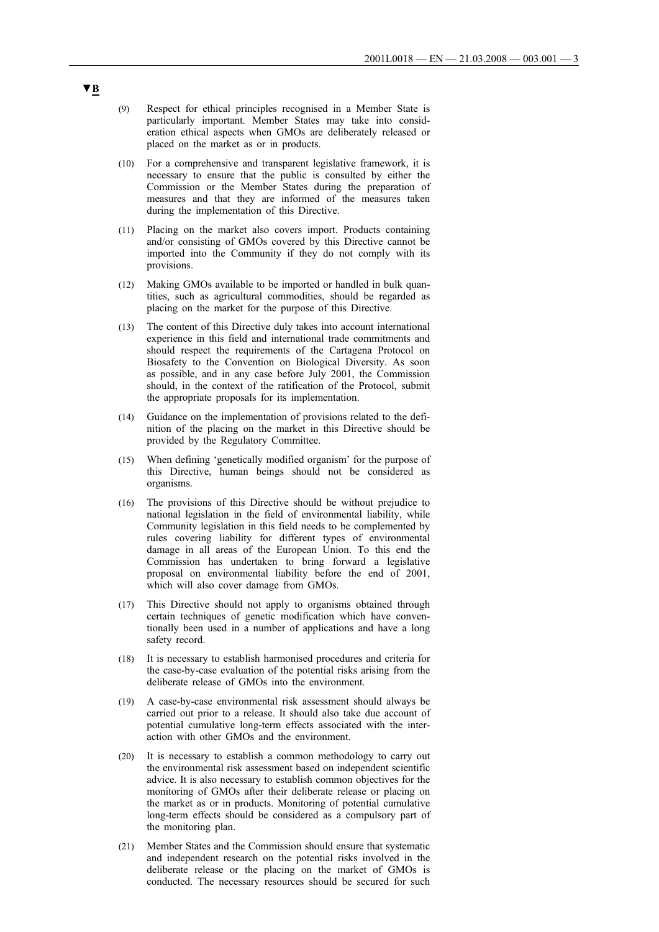- (9) Respect for ethical principles recognised in a Member State is particularly important. Member States may take into consideration ethical aspects when GMOs are deliberately released or placed on the market as or in products.
- (10) For a comprehensive and transparent legislative framework, it is necessary to ensure that the public is consulted by either the Commission or the Member States during the preparation of measures and that they are informed of the measures taken during the implementation of this Directive.
- (11) Placing on the market also covers import. Products containing and/or consisting of GMOs covered by this Directive cannot be imported into the Community if they do not comply with its provisions.
- (12) Making GMOs available to be imported or handled in bulk quantities, such as agricultural commodities, should be regarded as placing on the market for the purpose of this Directive.
- (13) The content of this Directive duly takes into account international experience in this field and international trade commitments and should respect the requirements of the Cartagena Protocol on Biosafety to the Convention on Biological Diversity. As soon as possible, and in any case before July 2001, the Commission should, in the context of the ratification of the Protocol, submit the appropriate proposals for its implementation.
- (14) Guidance on the implementation of provisions related to the definition of the placing on the market in this Directive should be provided by the Regulatory Committee.
- (15) When defining 'genetically modified organism' for the purpose of this Directive, human beings should not be considered as organisms.
- (16) The provisions of this Directive should be without prejudice to national legislation in the field of environmental liability, while Community legislation in this field needs to be complemented by rules covering liability for different types of environmental damage in all areas of the European Union. To this end the Commission has undertaken to bring forward a legislative proposal on environmental liability before the end of 2001, which will also cover damage from GMOs.
- (17) This Directive should not apply to organisms obtained through certain techniques of genetic modification which have conventionally been used in a number of applications and have a long safety record.
- (18) It is necessary to establish harmonised procedures and criteria for the case-by-case evaluation of the potential risks arising from the deliberate release of GMOs into the environment.
- (19) A case-by-case environmental risk assessment should always be carried out prior to a release. It should also take due account of potential cumulative long-term effects associated with the interaction with other GMOs and the environment.
- (20) It is necessary to establish a common methodology to carry out the environmental risk assessment based on independent scientific advice. It is also necessary to establish common objectives for the monitoring of GMOs after their deliberate release or placing on the market as or in products. Monitoring of potential cumulative long-term effects should be considered as a compulsory part of the monitoring plan.
- (21) Member States and the Commission should ensure that systematic and independent research on the potential risks involved in the deliberate release or the placing on the market of GMOs is conducted. The necessary resources should be secured for such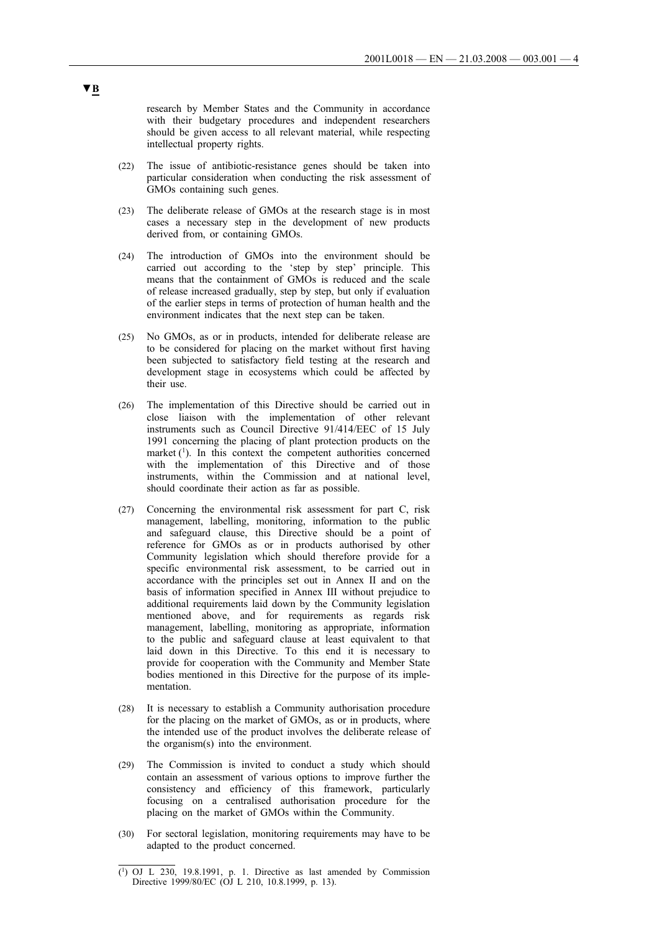research by Member States and the Community in accordance with their budgetary procedures and independent researchers should be given access to all relevant material, while respecting intellectual property rights.

- (22) The issue of antibiotic-resistance genes should be taken into particular consideration when conducting the risk assessment of GMOs containing such genes.
- (23) The deliberate release of GMOs at the research stage is in most cases a necessary step in the development of new products derived from, or containing GMOs.
- (24) The introduction of GMOs into the environment should be carried out according to the 'step by step' principle. This means that the containment of GMOs is reduced and the scale of release increased gradually, step by step, but only if evaluation of the earlier steps in terms of protection of human health and the environment indicates that the next step can be taken.
- (25) No GMOs, as or in products, intended for deliberate release are to be considered for placing on the market without first having been subjected to satisfactory field testing at the research and development stage in ecosystems which could be affected by their use.
- (26) The implementation of this Directive should be carried out in close liaison with the implementation of other relevant instruments such as Council Directive 91/414/EEC of 15 July 1991 concerning the placing of plant protection products on the market (1). In this context the competent authorities concerned with the implementation of this Directive and of those instruments, within the Commission and at national level, should coordinate their action as far as possible.
- (27) Concerning the environmental risk assessment for part C, risk management, labelling, monitoring, information to the public and safeguard clause, this Directive should be a point of reference for GMOs as or in products authorised by other Community legislation which should therefore provide for a specific environmental risk assessment, to be carried out in accordance with the principles set out in Annex II and on the basis of information specified in Annex III without prejudice to additional requirements laid down by the Community legislation mentioned above, and for requirements as regards risk management, labelling, monitoring as appropriate, information to the public and safeguard clause at least equivalent to that laid down in this Directive. To this end it is necessary to provide for cooperation with the Community and Member State bodies mentioned in this Directive for the purpose of its implementation.
- (28) It is necessary to establish a Community authorisation procedure for the placing on the market of GMOs, as or in products, where the intended use of the product involves the deliberate release of the organism(s) into the environment.
- (29) The Commission is invited to conduct a study which should contain an assessment of various options to improve further the consistency and efficiency of this framework, particularly focusing on a centralised authorisation procedure for the placing on the market of GMOs within the Community.
- (30) For sectoral legislation, monitoring requirements may have to be adapted to the product concerned.

<sup>(1)</sup> OJ L 230, 19.8.1991, p. 1. Directive as last amended by Commission Directive 1999/80/EC (OJ L 210, 10.8.1999, p. 13).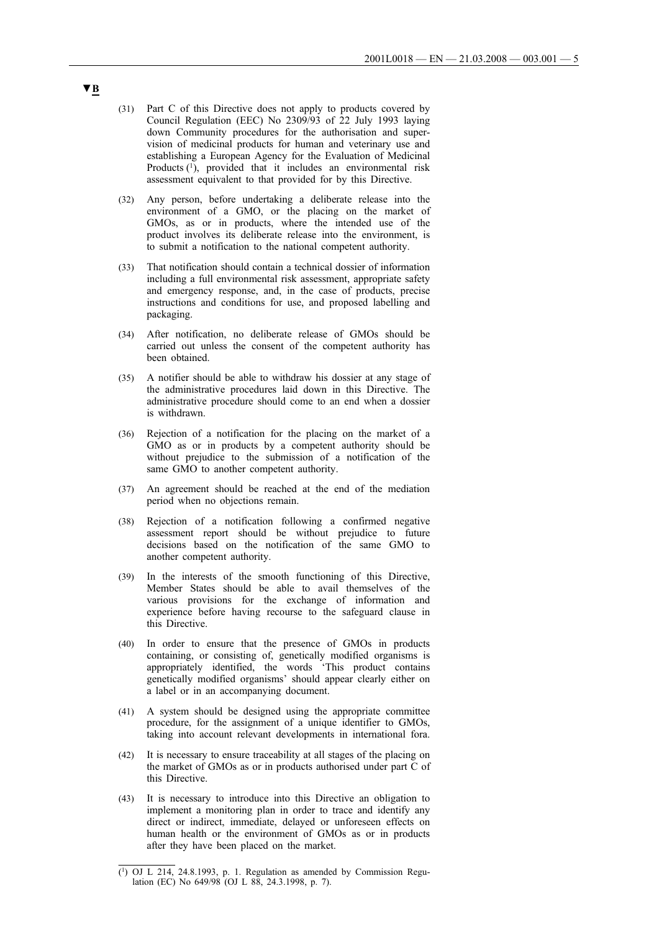- (31) Part C of this Directive does not apply to products covered by Council Regulation (EEC) No 2309/93 of 22 July 1993 laying down Community procedures for the authorisation and supervision of medicinal products for human and veterinary use and establishing a European Agency for the Evaluation of Medicinal Products (1), provided that it includes an environmental risk assessment equivalent to that provided for by this Directive.
- (32) Any person, before undertaking a deliberate release into the environment of a GMO, or the placing on the market of GMOs, as or in products, where the intended use of the product involves its deliberate release into the environment, is to submit a notification to the national competent authority.
- (33) That notification should contain a technical dossier of information including a full environmental risk assessment, appropriate safety and emergency response, and, in the case of products, precise instructions and conditions for use, and proposed labelling and packaging.
- (34) After notification, no deliberate release of GMOs should be carried out unless the consent of the competent authority has been obtained.
- (35) A notifier should be able to withdraw his dossier at any stage of the administrative procedures laid down in this Directive. The administrative procedure should come to an end when a dossier is withdrawn.
- (36) Rejection of a notification for the placing on the market of a GMO as or in products by a competent authority should be without prejudice to the submission of a notification of the same GMO to another competent authority.
- (37) An agreement should be reached at the end of the mediation period when no objections remain.
- (38) Rejection of a notification following a confirmed negative assessment report should be without prejudice to future decisions based on the notification of the same GMO to another competent authority.
- (39) In the interests of the smooth functioning of this Directive, Member States should be able to avail themselves of the various provisions for the exchange of information and experience before having recourse to the safeguard clause in this Directive.
- (40) In order to ensure that the presence of GMOs in products containing, or consisting of, genetically modified organisms is appropriately identified, the words 'This product contains genetically modified organisms' should appear clearly either on a label or in an accompanying document.
- (41) A system should be designed using the appropriate committee procedure, for the assignment of a unique identifier to GMOs, taking into account relevant developments in international fora.
- (42) It is necessary to ensure traceability at all stages of the placing on the market of GMOs as or in products authorised under part C of this Directive.
- (43) It is necessary to introduce into this Directive an obligation to implement a monitoring plan in order to trace and identify any direct or indirect, immediate, delayed or unforeseen effects on human health or the environment of GMOs as or in products after they have been placed on the market.

<sup>(1)</sup> OJ L 214, 24.8.1993, p. 1. Regulation as amended by Commission Regulation (EC) No 649/98 (OJ L 88, 24.3.1998, p. 7).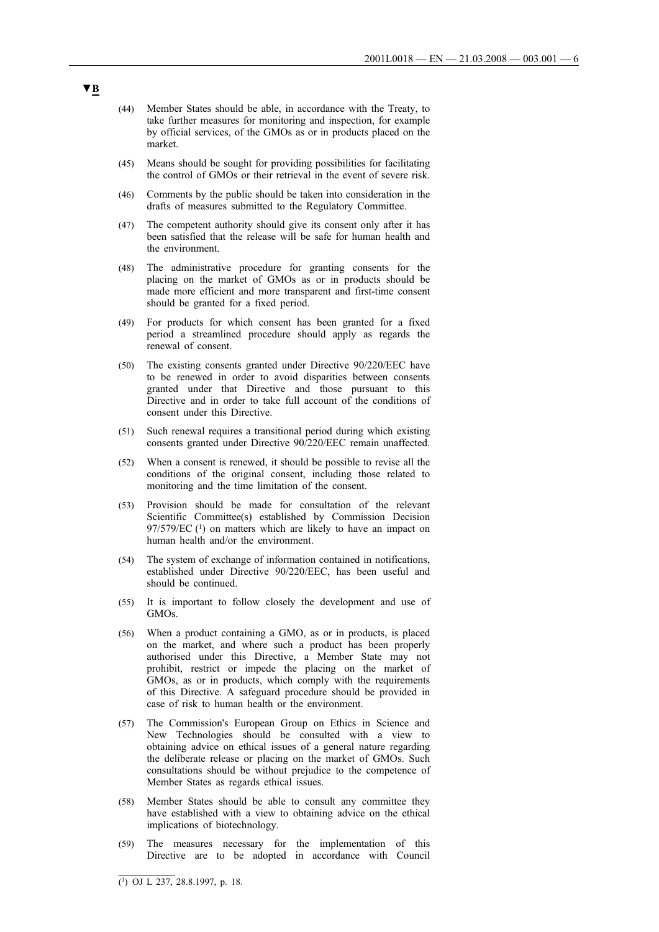- (44) Member States should be able, in accordance with the Treaty, to take further measures for monitoring and inspection, for example by official services, of the GMOs as or in products placed on the market.
- (45) Means should be sought for providing possibilities for facilitating the control of GMOs or their retrieval in the event of severe risk.
- (46) Comments by the public should be taken into consideration in the drafts of measures submitted to the Regulatory Committee.
- (47) The competent authority should give its consent only after it has been satisfied that the release will be safe for human health and the environment.
- (48) The administrative procedure for granting consents for the placing on the market of GMOs as or in products should be made more efficient and more transparent and first-time consent should be granted for a fixed period.
- (49) For products for which consent has been granted for a fixed period a streamlined procedure should apply as regards the renewal of consent.
- (50) The existing consents granted under Directive 90/220/EEC have to be renewed in order to avoid disparities between consents granted under that Directive and those pursuant to this Directive and in order to take full account of the conditions of consent under this Directive.
- (51) Such renewal requires a transitional period during which existing consents granted under Directive 90/220/EEC remain unaffected.
- (52) When a consent is renewed, it should be possible to revise all the conditions of the original consent, including those related to monitoring and the time limitation of the consent.
- (53) Provision should be made for consultation of the relevant Scientific Committee(s) established by Commission Decision 97/579/EC (1) on matters which are likely to have an impact on human health and/or the environment.
- (54) The system of exchange of information contained in notifications, established under Directive 90/220/EEC, has been useful and should be continued.
- (55) It is important to follow closely the development and use of GMOs.
- (56) When a product containing a GMO, as or in products, is placed on the market, and where such a product has been properly authorised under this Directive, a Member State may not prohibit, restrict or impede the placing on the market of GMOs, as or in products, which comply with the requirements of this Directive. A safeguard procedure should be provided in case of risk to human health or the environment.
- (57) The Commission's European Group on Ethics in Science and New Technologies should be consulted with a view to obtaining advice on ethical issues of a general nature regarding the deliberate release or placing on the market of GMOs. Such consultations should be without prejudice to the competence of Member States as regards ethical issues.
- (58) Member States should be able to consult any committee they have established with a view to obtaining advice on the ethical implications of biotechnology.
- (59) The measures necessary for the implementation of this Directive are to be adopted in accordance with Council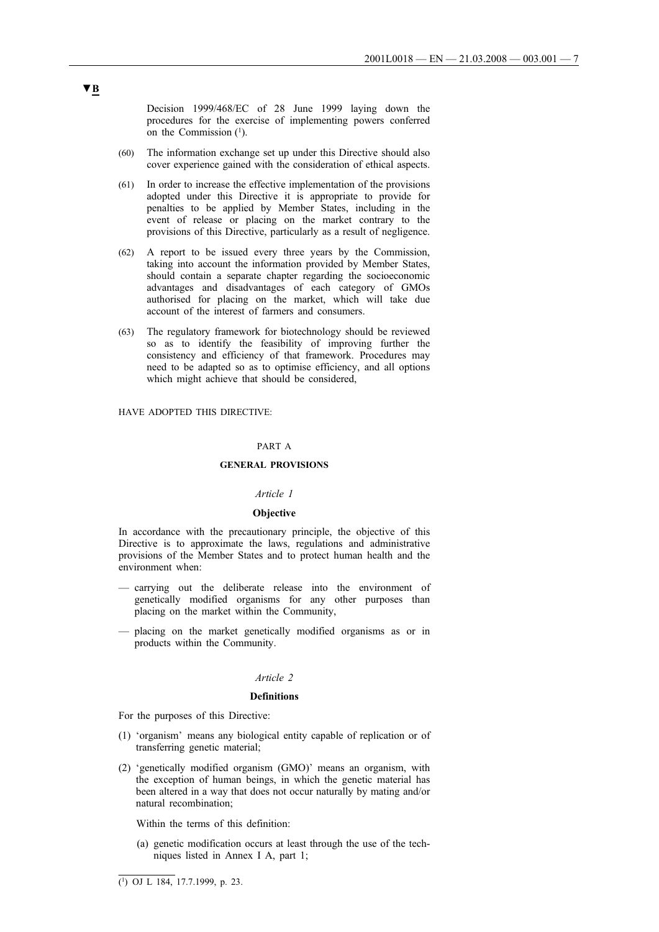Decision 1999/468/EC of 28 June 1999 laying down the procedures for the exercise of implementing powers conferred on the Commission (1).

- (60) The information exchange set up under this Directive should also cover experience gained with the consideration of ethical aspects.
- (61) In order to increase the effective implementation of the provisions adopted under this Directive it is appropriate to provide for penalties to be applied by Member States, including in the event of release or placing on the market contrary to the provisions of this Directive, particularly as a result of negligence.
- (62) A report to be issued every three years by the Commission, taking into account the information provided by Member States, should contain a separate chapter regarding the socioeconomic advantages and disadvantages of each category of GMOs authorised for placing on the market, which will take due account of the interest of farmers and consumers.
- (63) The regulatory framework for biotechnology should be reviewed so as to identify the feasibility of improving further the consistency and efficiency of that framework. Procedures may need to be adapted so as to optimise efficiency, and all options which might achieve that should be considered,

### HAVE ADOPTED THIS DIRECTIVE:

### PART A

## **GENERAL PROVISIONS**

### *Article 1*

#### **Objective**

In accordance with the precautionary principle, the objective of this Directive is to approximate the laws, regulations and administrative provisions of the Member States and to protect human health and the environment when:

- carrying out the deliberate release into the environment of genetically modified organisms for any other purposes than placing on the market within the Community,
- placing on the market genetically modified organisms as or in products within the Community.

### *Article 2*

#### **Definitions**

For the purposes of this Directive:

- (1) 'organism' means any biological entity capable of replication or of transferring genetic material;
- (2) 'genetically modified organism (GMO)' means an organism, with the exception of human beings, in which the genetic material has been altered in a way that does not occur naturally by mating and/or natural recombination;

Within the terms of this definition:

(a) genetic modification occurs at least through the use of the techniques listed in Annex I A, part 1;

 $\overline{(^1)}$  OJ L 184, 17.7.1999, p. 23.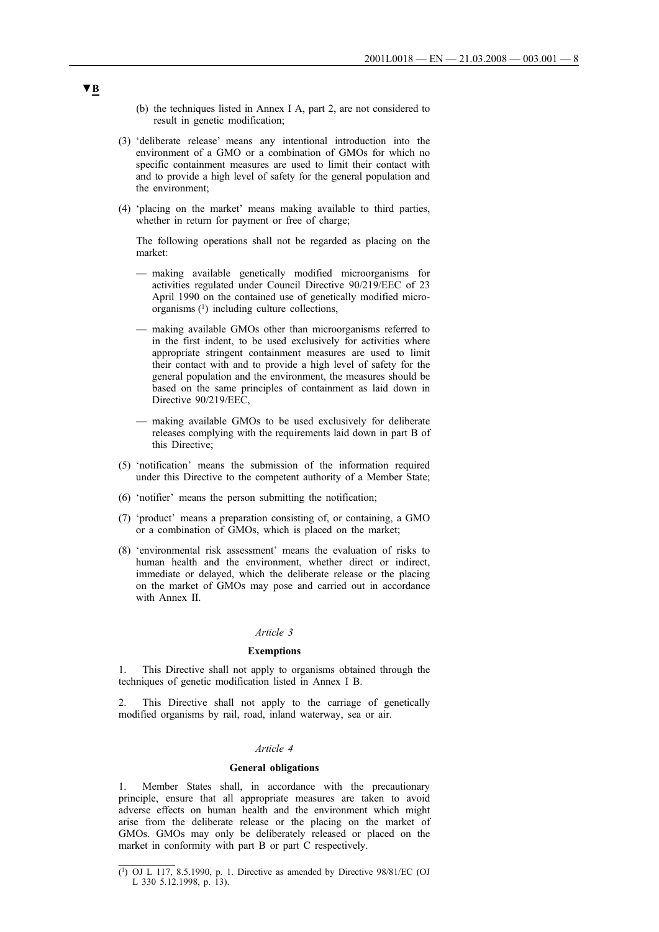- (b) the techniques listed in Annex I A, part 2, are not considered to result in genetic modification;
- (3) 'deliberate release' means any intentional introduction into the environment of a GMO or a combination of GMOs for which no specific containment measures are used to limit their contact with and to provide a high level of safety for the general population and the environment;
- (4) 'placing on the market' means making available to third parties, whether in return for payment or free of charge;

The following operations shall not be regarded as placing on the market:

- making available genetically modified microorganisms for activities regulated under Council Directive 90/219/EEC of 23 April 1990 on the contained use of genetically modified microorganisms (1) including culture collections,
- making available GMOs other than microorganisms referred to in the first indent, to be used exclusively for activities where appropriate stringent containment measures are used to limit their contact with and to provide a high level of safety for the general population and the environment, the measures should be based on the same principles of containment as laid down in Directive 90/219/EEC,
- making available GMOs to be used exclusively for deliberate releases complying with the requirements laid down in part B of this Directive;
- (5) 'notification' means the submission of the information required under this Directive to the competent authority of a Member State;
- (6) 'notifier' means the person submitting the notification;
- (7) 'product' means a preparation consisting of, or containing, a GMO or a combination of GMOs, which is placed on the market;
- (8) 'environmental risk assessment' means the evaluation of risks to human health and the environment, whether direct or indirect, immediate or delayed, which the deliberate release or the placing on the market of GMOs may pose and carried out in accordance with Annex II.

#### *Article 3*

#### **Exemptions**

1. This Directive shall not apply to organisms obtained through the techniques of genetic modification listed in Annex I B.

2. This Directive shall not apply to the carriage of genetically modified organisms by rail, road, inland waterway, sea or air.

### *Article 4*

### **General obligations**

Member States shall, in accordance with the precautionary principle, ensure that all appropriate measures are taken to avoid adverse effects on human health and the environment which might arise from the deliberate release or the placing on the market of GMOs. GMOs may only be deliberately released or placed on the market in conformity with part B or part C respectively.

 $(1)$  OJ L 117, 8.5.1990, p. 1. Directive as amended by Directive 98/81/EC (OJ L 330 5.12.1998, p. 13).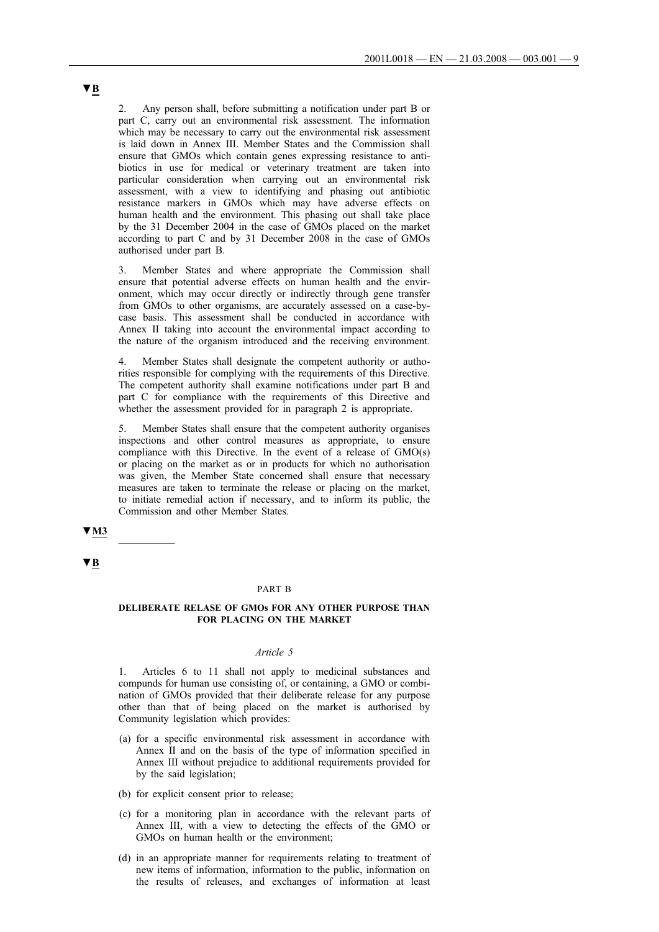2. Any person shall, before submitting a notification under part B or part C, carry out an environmental risk assessment. The information which may be necessary to carry out the environmental risk assessment is laid down in Annex III. Member States and the Commission shall ensure that GMOs which contain genes expressing resistance to antibiotics in use for medical or veterinary treatment are taken into particular consideration when carrying out an environmental risk assessment, with a view to identifying and phasing out antibiotic resistance markers in GMOs which may have adverse effects on human health and the environment. This phasing out shall take place by the 31 December 2004 in the case of GMOs placed on the market according to part C and by 31 December 2008 in the case of GMOs authorised under part B.

3. Member States and where appropriate the Commission shall ensure that potential adverse effects on human health and the environment, which may occur directly or indirectly through gene transfer from GMOs to other organisms, are accurately assessed on a case-bycase basis. This assessment shall be conducted in accordance with Annex II taking into account the environmental impact according to the nature of the organism introduced and the receiving environment.

4. Member States shall designate the competent authority or authorities responsible for complying with the requirements of this Directive. The competent authority shall examine notifications under part B and part C for compliance with the requirements of this Directive and whether the assessment provided for in paragraph 2 is appropriate.

5. Member States shall ensure that the competent authority organises inspections and other control measures as appropriate, to ensure compliance with this Directive. In the event of a release of GMO(s) or placing on the market as or in products for which no authorisation was given, the Member State concerned shall ensure that necessary measures are taken to terminate the release or placing on the market, to initiate remedial action if necessary, and to inform its public, the Commission and other Member States.

### **▼M3** \_\_\_\_\_\_\_\_\_\_

**▼B**

# PART B

### **DELIBERATE RELASE OF GMOs FOR ANY OTHER PURPOSE THAN FOR PLACING ON THE MARKET**

### *Article 5*

1. Articles 6 to 11 shall not apply to medicinal substances and compunds for human use consisting of, or containing, a GMO or combination of GMOs provided that their deliberate release for any purpose other than that of being placed on the market is authorised by Community legislation which provides:

- (a) for a specific environmental risk assessment in accordance with Annex II and on the basis of the type of information specified in Annex III without prejudice to additional requirements provided for by the said legislation;
- (b) for explicit consent prior to release;
- (c) for a monitoring plan in accordance with the relevant parts of Annex III, with a view to detecting the effects of the GMO or GMOs on human health or the environment;
- (d) in an appropriate manner for requirements relating to treatment of new items of information, information to the public, information on the results of releases, and exchanges of information at least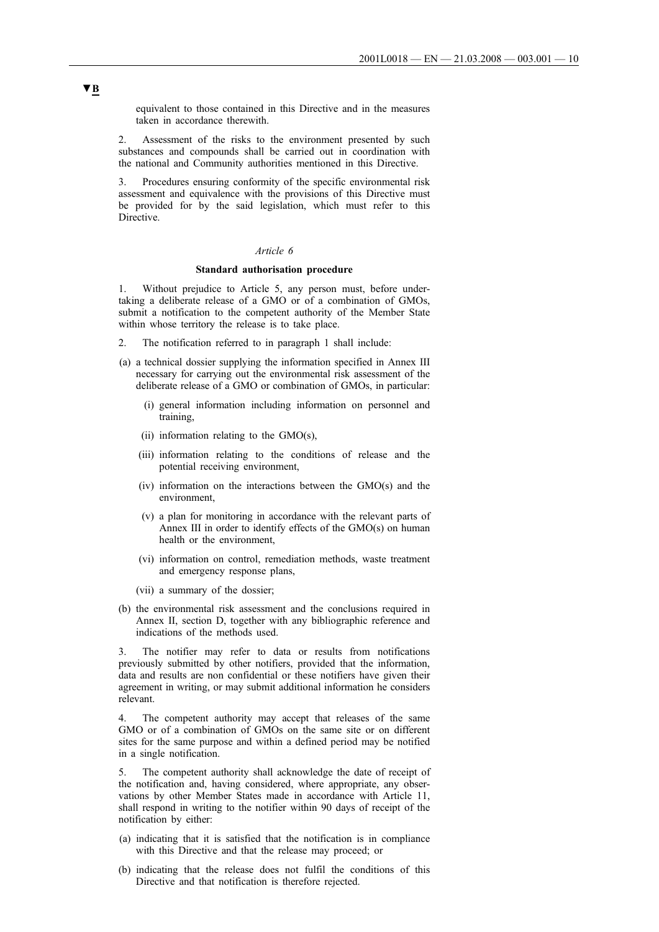equivalent to those contained in this Directive and in the measures taken in accordance therewith.

2. Assessment of the risks to the environment presented by such substances and compounds shall be carried out in coordination with the national and Community authorities mentioned in this Directive.

3. Procedures ensuring conformity of the specific environmental risk assessment and equivalence with the provisions of this Directive must be provided for by the said legislation, which must refer to this Directive.

#### *Article 6*

#### **Standard authorisation procedure**

Without prejudice to Article 5, any person must, before undertaking a deliberate release of a GMO or of a combination of GMOs, submit a notification to the competent authority of the Member State within whose territory the release is to take place.

- 2. The notification referred to in paragraph 1 shall include:
- (a) a technical dossier supplying the information specified in Annex III necessary for carrying out the environmental risk assessment of the deliberate release of a GMO or combination of GMOs, in particular:
	- (i) general information including information on personnel and training,
	- (ii) information relating to the  $GMO(s)$ ,
	- (iii) information relating to the conditions of release and the potential receiving environment,
	- (iv) information on the interactions between the GMO(s) and the environment,
	- (v) a plan for monitoring in accordance with the relevant parts of Annex III in order to identify effects of the GMO(s) on human health or the environment,
	- (vi) information on control, remediation methods, waste treatment and emergency response plans,
	- (vii) a summary of the dossier;
- (b) the environmental risk assessment and the conclusions required in Annex II, section D, together with any bibliographic reference and indications of the methods used.

3. The notifier may refer to data or results from notifications previously submitted by other notifiers, provided that the information, data and results are non confidential or these notifiers have given their agreement in writing, or may submit additional information he considers relevant.

The competent authority may accept that releases of the same GMO or of a combination of GMOs on the same site or on different sites for the same purpose and within a defined period may be notified in a single notification.

5. The competent authority shall acknowledge the date of receipt of the notification and, having considered, where appropriate, any observations by other Member States made in accordance with Article 11, shall respond in writing to the notifier within 90 days of receipt of the notification by either:

- (a) indicating that it is satisfied that the notification is in compliance with this Directive and that the release may proceed; or
- (b) indicating that the release does not fulfil the conditions of this Directive and that notification is therefore rejected.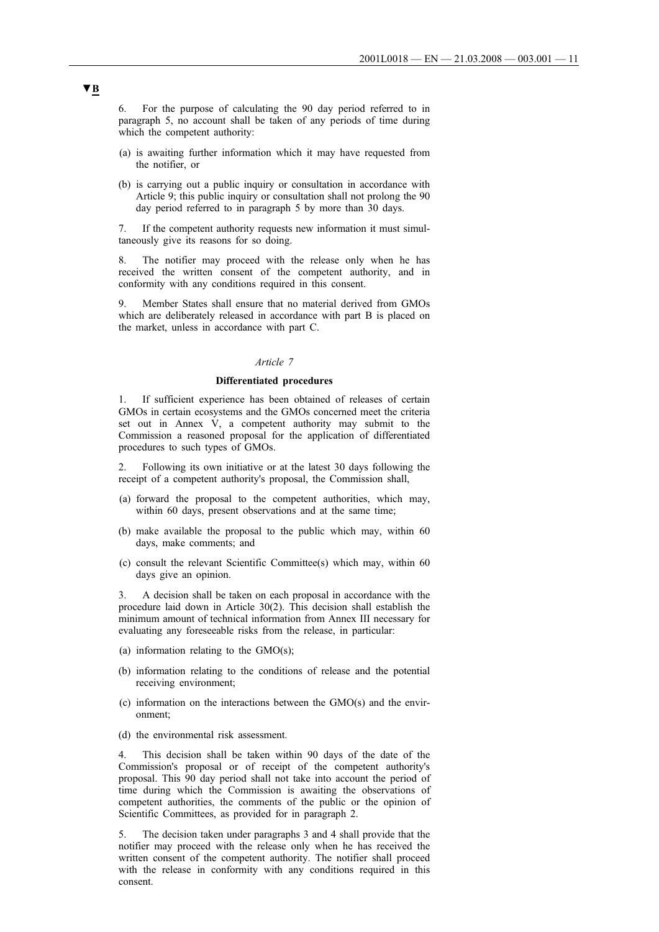6. For the purpose of calculating the 90 day period referred to in paragraph 5, no account shall be taken of any periods of time during which the competent authority:

- (a) is awaiting further information which it may have requested from the notifier, or
- (b) is carrying out a public inquiry or consultation in accordance with Article 9; this public inquiry or consultation shall not prolong the 90 day period referred to in paragraph 5 by more than 30 days.

7. If the competent authority requests new information it must simultaneously give its reasons for so doing.

The notifier may proceed with the release only when he has received the written consent of the competent authority, and in conformity with any conditions required in this consent.

9. Member States shall ensure that no material derived from GMOs which are deliberately released in accordance with part B is placed on the market, unless in accordance with part C.

### *Article 7*

### **Differentiated procedures**

1. If sufficient experience has been obtained of releases of certain GMOs in certain ecosystems and the GMOs concerned meet the criteria set out in Annex V, a competent authority may submit to the Commission a reasoned proposal for the application of differentiated procedures to such types of GMOs.

2. Following its own initiative or at the latest 30 days following the receipt of a competent authority's proposal, the Commission shall,

- (a) forward the proposal to the competent authorities, which may, within 60 days, present observations and at the same time;
- (b) make available the proposal to the public which may, within 60 days, make comments; and
- (c) consult the relevant Scientific Committee(s) which may, within 60 days give an opinion.

3. A decision shall be taken on each proposal in accordance with the procedure laid down in Article 30(2). This decision shall establish the minimum amount of technical information from Annex III necessary for evaluating any foreseeable risks from the release, in particular:

- (a) information relating to the GMO(s);
- (b) information relating to the conditions of release and the potential receiving environment;
- (c) information on the interactions between the GMO(s) and the environment;
- (d) the environmental risk assessment.

4. This decision shall be taken within 90 days of the date of the Commission's proposal or of receipt of the competent authority's proposal. This 90 day period shall not take into account the period of time during which the Commission is awaiting the observations of competent authorities, the comments of the public or the opinion of Scientific Committees, as provided for in paragraph 2.

5. The decision taken under paragraphs 3 and 4 shall provide that the notifier may proceed with the release only when he has received the written consent of the competent authority. The notifier shall proceed with the release in conformity with any conditions required in this consent.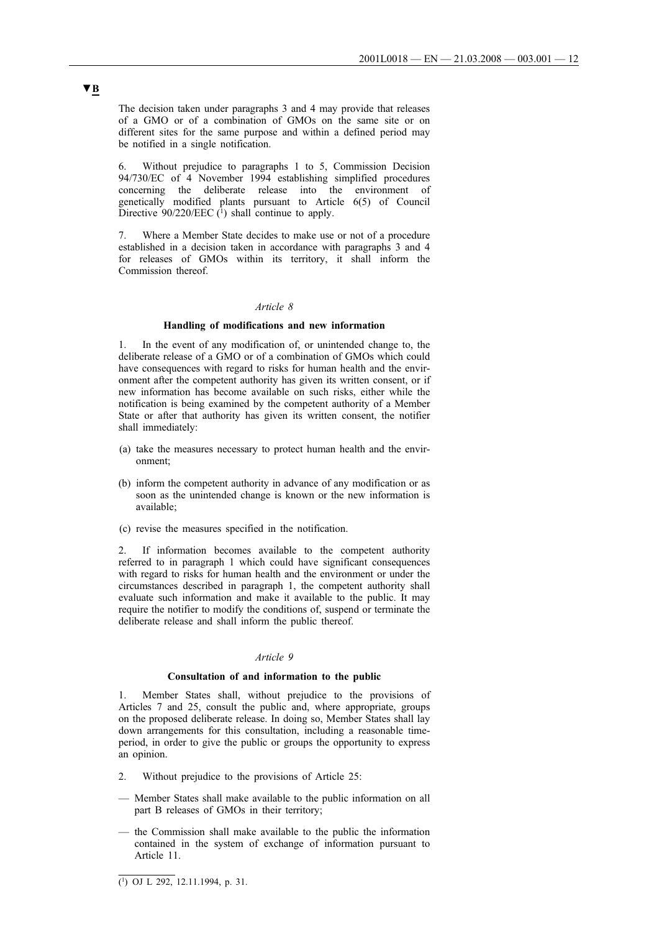The decision taken under paragraphs 3 and 4 may provide that releases of a GMO or of a combination of GMOs on the same site or on different sites for the same purpose and within a defined period may be notified in a single notification.

6. Without prejudice to paragraphs 1 to 5, Commission Decision 94/730/EC of 4 November 1994 establishing simplified procedures concerning the deliberate release into the environment of genetically modified plants pursuant to Article 6(5) of Council Directive  $90/220$ /EEC ( $\hat{1}$ ) shall continue to apply.

7. Where a Member State decides to make use or not of a procedure established in a decision taken in accordance with paragraphs 3 and 4 for releases of GMOs within its territory, it shall inform the Commission thereof.

## *Article 8*

### **Handling of modifications and new information**

1. In the event of any modification of, or unintended change to, the deliberate release of a GMO or of a combination of GMOs which could have consequences with regard to risks for human health and the environment after the competent authority has given its written consent, or if new information has become available on such risks, either while the notification is being examined by the competent authority of a Member State or after that authority has given its written consent, the notifier shall immediately:

- (a) take the measures necessary to protect human health and the environment;
- (b) inform the competent authority in advance of any modification or as soon as the unintended change is known or the new information is available;
- (c) revise the measures specified in the notification.

2. If information becomes available to the competent authority referred to in paragraph 1 which could have significant consequences with regard to risks for human health and the environment or under the circumstances described in paragraph 1, the competent authority shall evaluate such information and make it available to the public. It may require the notifier to modify the conditions of, suspend or terminate the deliberate release and shall inform the public thereof.

#### *Article 9*

#### **Consultation of and information to the public**

1. Member States shall, without prejudice to the provisions of Articles 7 and 25, consult the public and, where appropriate, groups on the proposed deliberate release. In doing so, Member States shall lay down arrangements for this consultation, including a reasonable timeperiod, in order to give the public or groups the opportunity to express an opinion.

- 2. Without prejudice to the provisions of Article 25:
- Member States shall make available to the public information on all part B releases of GMOs in their territory;
- the Commission shall make available to the public the information contained in the system of exchange of information pursuant to Article 11.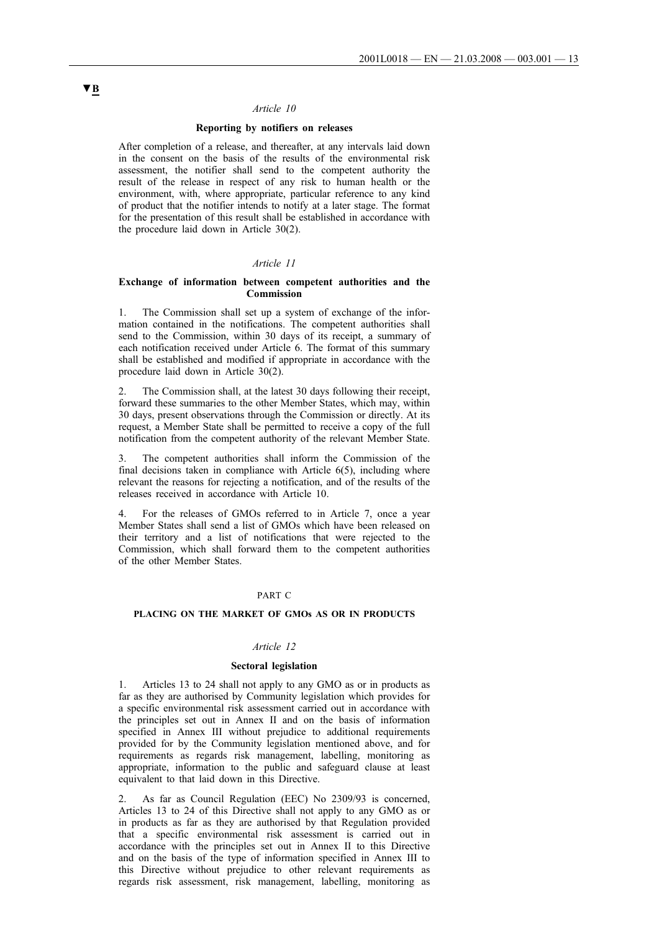### *Article 10*

### **Reporting by notifiers on releases**

After completion of a release, and thereafter, at any intervals laid down in the consent on the basis of the results of the environmental risk assessment, the notifier shall send to the competent authority the result of the release in respect of any risk to human health or the environment, with, where appropriate, particular reference to any kind of product that the notifier intends to notify at a later stage. The format for the presentation of this result shall be established in accordance with the procedure laid down in Article 30(2).

### *Article 11*

### **Exchange of information between competent authorities and the Commission**

1. The Commission shall set up a system of exchange of the information contained in the notifications. The competent authorities shall send to the Commission, within 30 days of its receipt, a summary of each notification received under Article 6. The format of this summary shall be established and modified if appropriate in accordance with the procedure laid down in Article 30(2).

2. The Commission shall, at the latest 30 days following their receipt, forward these summaries to the other Member States, which may, within 30 days, present observations through the Commission or directly. At its request, a Member State shall be permitted to receive a copy of the full notification from the competent authority of the relevant Member State.

The competent authorities shall inform the Commission of the final decisions taken in compliance with Article 6(5), including where relevant the reasons for rejecting a notification, and of the results of the releases received in accordance with Article 10.

4. For the releases of GMOs referred to in Article 7, once a year Member States shall send a list of GMOs which have been released on their territory and a list of notifications that were rejected to the Commission, which shall forward them to the competent authorities of the other Member States.

### PART C

### **PLACING ON THE MARKET OF GMOs AS OR IN PRODUCTS**

# *Article 12*

### **Sectoral legislation**

1. Articles 13 to 24 shall not apply to any GMO as or in products as far as they are authorised by Community legislation which provides for a specific environmental risk assessment carried out in accordance with the principles set out in Annex II and on the basis of information specified in Annex III without prejudice to additional requirements provided for by the Community legislation mentioned above, and for requirements as regards risk management, labelling, monitoring as appropriate, information to the public and safeguard clause at least equivalent to that laid down in this Directive.

2. As far as Council Regulation (EEC) No 2309/93 is concerned, Articles 13 to 24 of this Directive shall not apply to any GMO as or in products as far as they are authorised by that Regulation provided that a specific environmental risk assessment is carried out in accordance with the principles set out in Annex II to this Directive and on the basis of the type of information specified in Annex III to this Directive without prejudice to other relevant requirements as regards risk assessment, risk management, labelling, monitoring as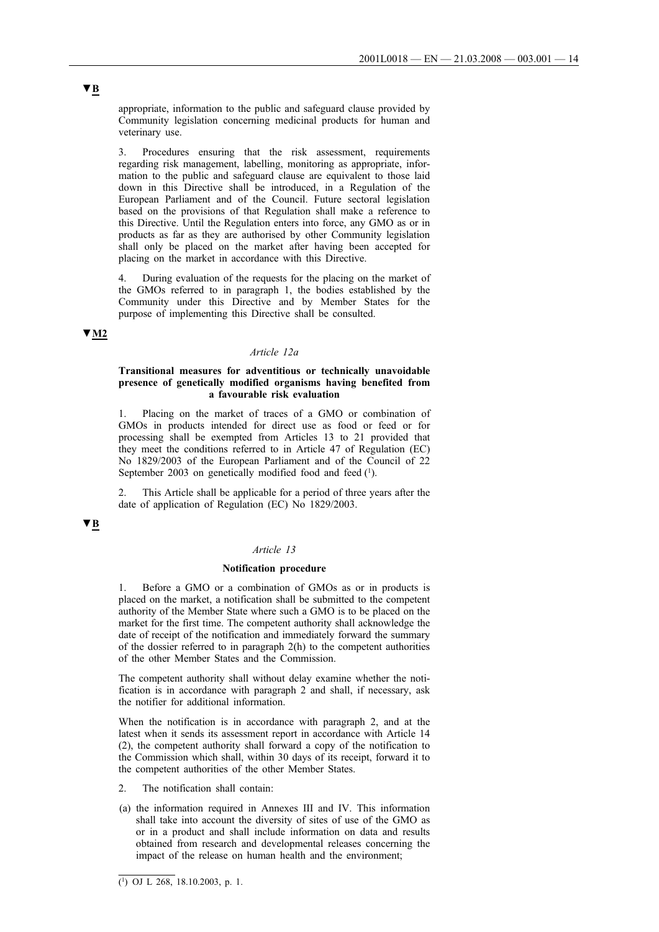appropriate, information to the public and safeguard clause provided by Community legislation concerning medicinal products for human and veterinary use.

3. Procedures ensuring that the risk assessment, requirements regarding risk management, labelling, monitoring as appropriate, information to the public and safeguard clause are equivalent to those laid down in this Directive shall be introduced, in a Regulation of the European Parliament and of the Council. Future sectoral legislation based on the provisions of that Regulation shall make a reference to this Directive. Until the Regulation enters into force, any GMO as or in products as far as they are authorised by other Community legislation shall only be placed on the market after having been accepted for placing on the market in accordance with this Directive.

4. During evaluation of the requests for the placing on the market of the GMOs referred to in paragraph 1, the bodies established by the Community under this Directive and by Member States for the purpose of implementing this Directive shall be consulted.

# **▼M2**

### *Article 12a*

### **Transitional measures for adventitious or technically unavoidable presence of genetically modified organisms having benefited from a favourable risk evaluation**

1. Placing on the market of traces of a GMO or combination of GMOs in products intended for direct use as food or feed or for processing shall be exempted from Articles 13 to 21 provided that they meet the conditions referred to in Article 47 of Regulation (EC) No 1829/2003 of the European Parliament and of the Council of 22 September 2003 on genetically modified food and feed (1).

2. This Article shall be applicable for a period of three years after the date of application of Regulation (EC) No 1829/2003.

# **▼B**

## *Article 13*

### **Notification procedure**

Before a GMO or a combination of GMOs as or in products is placed on the market, a notification shall be submitted to the competent authority of the Member State where such a GMO is to be placed on the market for the first time. The competent authority shall acknowledge the date of receipt of the notification and immediately forward the summary of the dossier referred to in paragraph 2(h) to the competent authorities of the other Member States and the Commission.

The competent authority shall without delay examine whether the notification is in accordance with paragraph 2 and shall, if necessary, ask the notifier for additional information.

When the notification is in accordance with paragraph 2, and at the latest when it sends its assessment report in accordance with Article 14 (2), the competent authority shall forward a copy of the notification to the Commission which shall, within 30 days of its receipt, forward it to the competent authorities of the other Member States.

- 2. The notification shall contain:
- (a) the information required in Annexes III and IV. This information shall take into account the diversity of sites of use of the GMO as or in a product and shall include information on data and results obtained from research and developmental releases concerning the impact of the release on human health and the environment;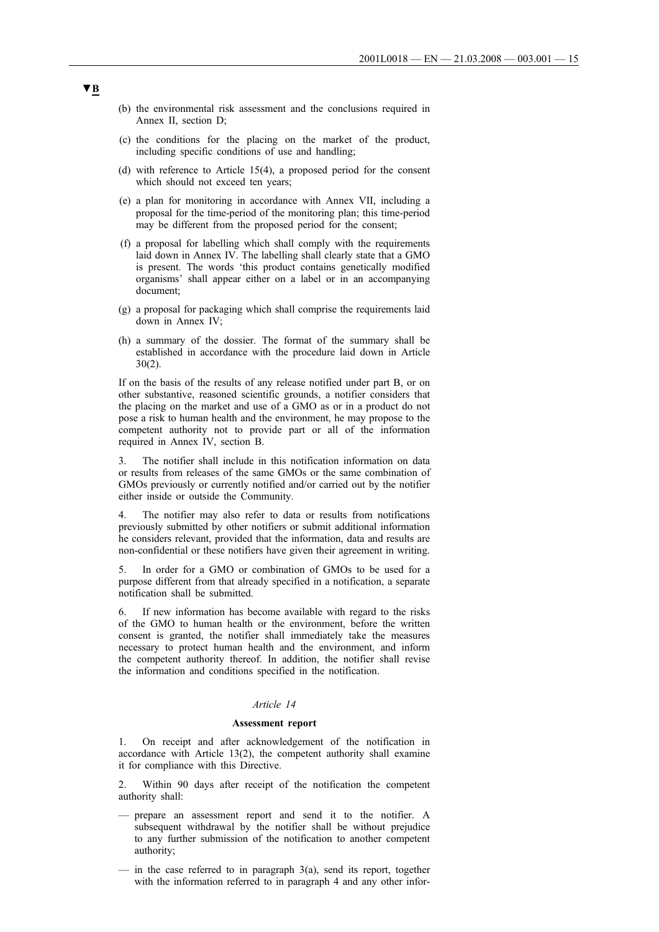- (b) the environmental risk assessment and the conclusions required in Annex II, section D;
- (c) the conditions for the placing on the market of the product, including specific conditions of use and handling;
- (d) with reference to Article 15(4), a proposed period for the consent which should not exceed ten years;
- (e) a plan for monitoring in accordance with Annex VII, including a proposal for the time-period of the monitoring plan; this time-period may be different from the proposed period for the consent;
- (f) a proposal for labelling which shall comply with the requirements laid down in Annex IV. The labelling shall clearly state that a GMO is present. The words 'this product contains genetically modified organisms' shall appear either on a label or in an accompanying document;
- (g) a proposal for packaging which shall comprise the requirements laid down in Annex IV;
- (h) a summary of the dossier. The format of the summary shall be established in accordance with the procedure laid down in Article 30(2).

If on the basis of the results of any release notified under part B, or on other substantive, reasoned scientific grounds, a notifier considers that the placing on the market and use of a GMO as or in a product do not pose a risk to human health and the environment, he may propose to the competent authority not to provide part or all of the information required in Annex IV, section B.

3. The notifier shall include in this notification information on data or results from releases of the same GMOs or the same combination of GMOs previously or currently notified and/or carried out by the notifier either inside or outside the Community.

The notifier may also refer to data or results from notifications previously submitted by other notifiers or submit additional information he considers relevant, provided that the information, data and results are non-confidential or these notifiers have given their agreement in writing.

In order for a GMO or combination of GMOs to be used for a purpose different from that already specified in a notification, a separate notification shall be submitted.

6. If new information has become available with regard to the risks of the GMO to human health or the environment, before the written consent is granted, the notifier shall immediately take the measures necessary to protect human health and the environment, and inform the competent authority thereof. In addition, the notifier shall revise the information and conditions specified in the notification.

### *Article 14*

### **Assessment report**

1. On receipt and after acknowledgement of the notification in accordance with Article 13(2), the competent authority shall examine it for compliance with this Directive.

2. Within 90 days after receipt of the notification the competent authority shall:

- prepare an assessment report and send it to the notifier. A subsequent withdrawal by the notifier shall be without prejudice to any further submission of the notification to another competent authority;
- in the case referred to in paragraph  $3(a)$ , send its report, together with the information referred to in paragraph 4 and any other infor-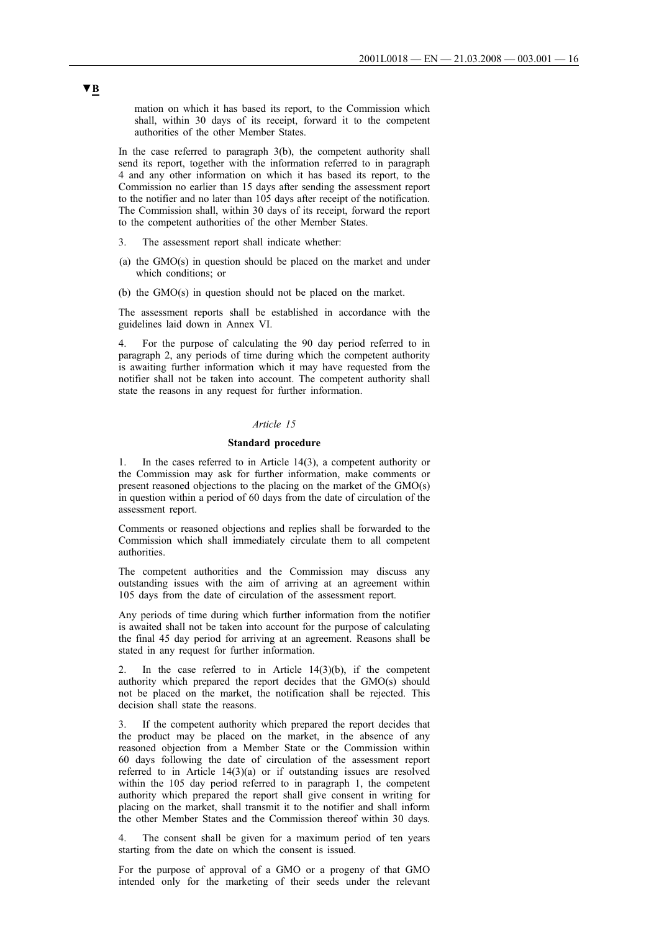mation on which it has based its report, to the Commission which shall, within 30 days of its receipt, forward it to the competent authorities of the other Member States.

In the case referred to paragraph 3(b), the competent authority shall send its report, together with the information referred to in paragraph 4 and any other information on which it has based its report, to the Commission no earlier than 15 days after sending the assessment report to the notifier and no later than 105 days after receipt of the notification. The Commission shall, within 30 days of its receipt, forward the report to the competent authorities of the other Member States.

- 3. The assessment report shall indicate whether:
- (a) the GMO(s) in question should be placed on the market and under which conditions; or
- (b) the GMO(s) in question should not be placed on the market.

The assessment reports shall be established in accordance with the guidelines laid down in Annex VI.

4. For the purpose of calculating the 90 day period referred to in paragraph 2, any periods of time during which the competent authority is awaiting further information which it may have requested from the notifier shall not be taken into account. The competent authority shall state the reasons in any request for further information.

# *Article 15*

### **Standard procedure**

1. In the cases referred to in Article 14(3), a competent authority or the Commission may ask for further information, make comments or present reasoned objections to the placing on the market of the GMO(s) in question within a period of 60 days from the date of circulation of the assessment report.

Comments or reasoned objections and replies shall be forwarded to the Commission which shall immediately circulate them to all competent authorities.

The competent authorities and the Commission may discuss any outstanding issues with the aim of arriving at an agreement within 105 days from the date of circulation of the assessment report.

Any periods of time during which further information from the notifier is awaited shall not be taken into account for the purpose of calculating the final 45 day period for arriving at an agreement. Reasons shall be stated in any request for further information.

2. In the case referred to in Article 14(3)(b), if the competent authority which prepared the report decides that the GMO(s) should not be placed on the market, the notification shall be rejected. This decision shall state the reasons.

3. If the competent authority which prepared the report decides that the product may be placed on the market, in the absence of any reasoned objection from a Member State or the Commission within 60 days following the date of circulation of the assessment report referred to in Article 14(3)(a) or if outstanding issues are resolved within the 105 day period referred to in paragraph 1, the competent authority which prepared the report shall give consent in writing for placing on the market, shall transmit it to the notifier and shall inform the other Member States and the Commission thereof within 30 days.

The consent shall be given for a maximum period of ten years starting from the date on which the consent is issued.

For the purpose of approval of a GMO or a progeny of that GMO intended only for the marketing of their seeds under the relevant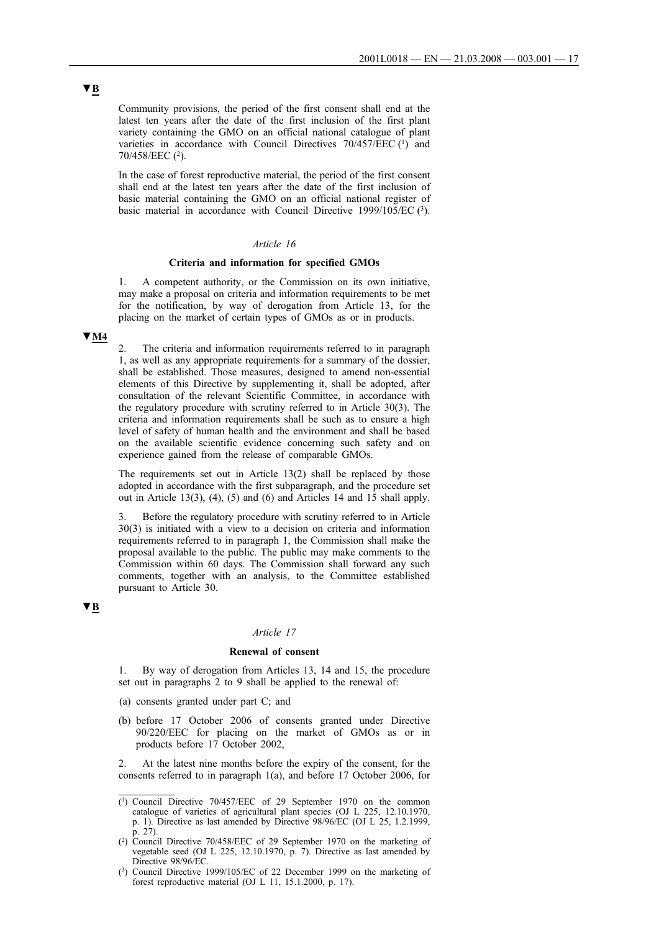Community provisions, the period of the first consent shall end at the latest ten years after the date of the first inclusion of the first plant variety containing the GMO on an official national catalogue of plant varieties in accordance with Council Directives  $70/457/\overline{EEC}$  (1) and 70/458/EEC (2).

In the case of forest reproductive material, the period of the first consent shall end at the latest ten years after the date of the first inclusion of basic material containing the GMO on an official national register of basic material in accordance with Council Directive 1999/105/EC (3).

### *Article 16*

### **Criteria and information for specified GMOs**

1. A competent authority, or the Commission on its own initiative, may make a proposal on criteria and information requirements to be met for the notification, by way of derogation from Article 13, for the placing on the market of certain types of GMOs as or in products.

# **▼M4**

2. The criteria and information requirements referred to in paragraph 1, as well as any appropriate requirements for a summary of the dossier, shall be established. Those measures, designed to amend non-essential elements of this Directive by supplementing it, shall be adopted, after consultation of the relevant Scientific Committee, in accordance with the regulatory procedure with scrutiny referred to in Article 30(3). The criteria and information requirements shall be such as to ensure a high level of safety of human health and the environment and shall be based on the available scientific evidence concerning such safety and on experience gained from the release of comparable GMOs.

The requirements set out in Article 13(2) shall be replaced by those adopted in accordance with the first subparagraph, and the procedure set out in Article 13(3), (4), (5) and (6) and Articles 14 and  $15$  shall apply.

3. Before the regulatory procedure with scrutiny referred to in Article 30(3) is initiated with a view to a decision on criteria and information requirements referred to in paragraph 1, the Commission shall make the proposal available to the public. The public may make comments to the Commission within 60 days. The Commission shall forward any such comments, together with an analysis, to the Committee established pursuant to Article 30.

# **▼B**

# *Article 17*

### **Renewal of consent**

By way of derogation from Articles 13, 14 and 15, the procedure set out in paragraphs 2 to 9 shall be applied to the renewal of:

- (a) consents granted under part C; and
- (b) before 17 October 2006 of consents granted under Directive 90/220/EEC for placing on the market of GMOs as or in products before 17 October 2002,

At the latest nine months before the expiry of the consent, for the consents referred to in paragraph 1(a), and before 17 October 2006, for

<sup>(1)</sup> Council Directive 70/457/EEC of 29 September 1970 on the common catalogue of varieties of agricultural plant species (OJ L 225, 12.10.1970, p. 1). Directive as last amended by Directive 98/96/EC (OJ L 25, 1.2.1999, p. 27).

<sup>(2)</sup> Council Directive 70/458/EEC of 29 September 1970 on the marketing of vegetable seed (OJ L 225, 12.10.1970, p. 7). Directive as last amended by Directive 98/96/FC.

<sup>(3)</sup> Council Directive 1999/105/EC of 22 December 1999 on the marketing of forest reproductive material (OJ L 11, 15.1.2000, p. 17).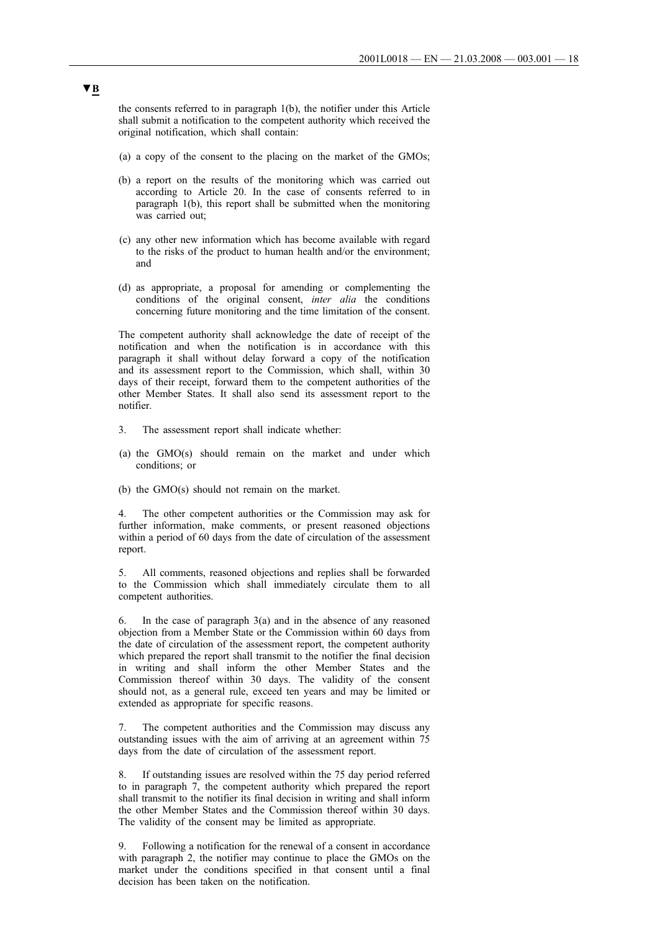the consents referred to in paragraph 1(b), the notifier under this Article shall submit a notification to the competent authority which received the original notification, which shall contain:

- (a) a copy of the consent to the placing on the market of the GMOs;
- (b) a report on the results of the monitoring which was carried out according to Article 20. In the case of consents referred to in paragraph 1(b), this report shall be submitted when the monitoring was carried out;
- (c) any other new information which has become available with regard to the risks of the product to human health and/or the environment; and
- (d) as appropriate, a proposal for amending or complementing the conditions of the original consent, *inter alia* the conditions concerning future monitoring and the time limitation of the consent.

The competent authority shall acknowledge the date of receipt of the notification and when the notification is in accordance with this paragraph it shall without delay forward a copy of the notification and its assessment report to the Commission, which shall, within 30 days of their receipt, forward them to the competent authorities of the other Member States. It shall also send its assessment report to the notifier.

- 3. The assessment report shall indicate whether:
- (a) the GMO(s) should remain on the market and under which conditions; or
- (b) the GMO(s) should not remain on the market.

4. The other competent authorities or the Commission may ask for further information, make comments, or present reasoned objections within a period of 60 days from the date of circulation of the assessment report.

5. All comments, reasoned objections and replies shall be forwarded to the Commission which shall immediately circulate them to all competent authorities.

In the case of paragraph  $3(a)$  and in the absence of any reasoned objection from a Member State or the Commission within 60 days from the date of circulation of the assessment report, the competent authority which prepared the report shall transmit to the notifier the final decision in writing and shall inform the other Member States and the Commission thereof within 30 days. The validity of the consent should not, as a general rule, exceed ten years and may be limited or extended as appropriate for specific reasons.

7. The competent authorities and the Commission may discuss any outstanding issues with the aim of arriving at an agreement within 75 days from the date of circulation of the assessment report.

8. If outstanding issues are resolved within the 75 day period referred to in paragraph 7, the competent authority which prepared the report shall transmit to the notifier its final decision in writing and shall inform the other Member States and the Commission thereof within 30 days. The validity of the consent may be limited as appropriate.

9. Following a notification for the renewal of a consent in accordance with paragraph 2, the notifier may continue to place the GMOs on the market under the conditions specified in that consent until a final decision has been taken on the notification.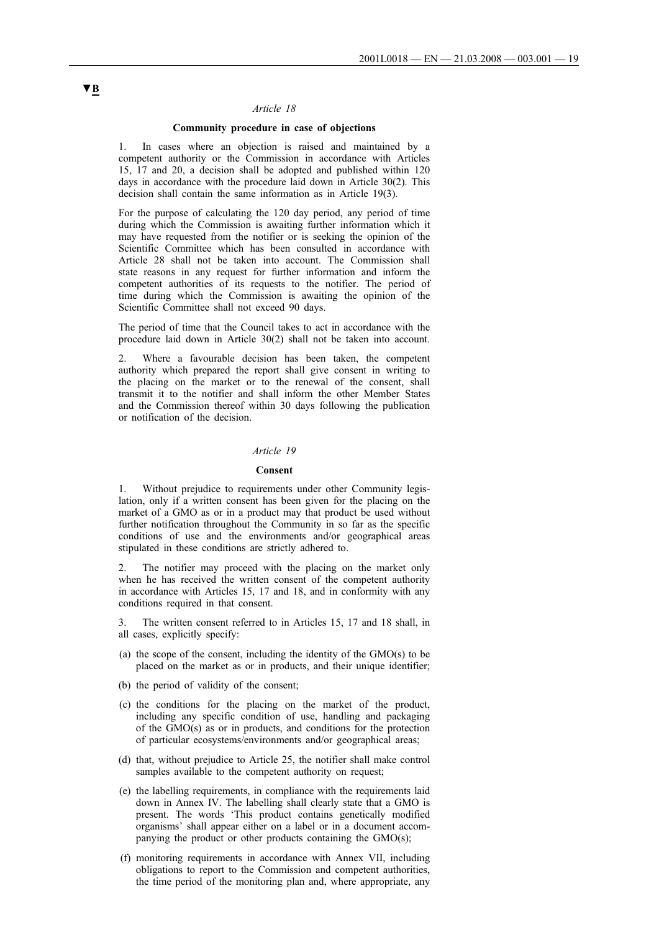### *Article 18*

## **Community procedure in case of objections**

1. In cases where an objection is raised and maintained by a competent authority or the Commission in accordance with Articles 15, 17 and 20, a decision shall be adopted and published within 120 days in accordance with the procedure laid down in Article 30(2). This decision shall contain the same information as in Article 19(3).

For the purpose of calculating the 120 day period, any period of time during which the Commission is awaiting further information which it may have requested from the notifier or is seeking the opinion of the Scientific Committee which has been consulted in accordance with Article 28 shall not be taken into account. The Commission shall state reasons in any request for further information and inform the competent authorities of its requests to the notifier. The period of time during which the Commission is awaiting the opinion of the Scientific Committee shall not exceed 90 days.

The period of time that the Council takes to act in accordance with the procedure laid down in Article 30(2) shall not be taken into account.

2. Where a favourable decision has been taken, the competent authority which prepared the report shall give consent in writing to the placing on the market or to the renewal of the consent, shall transmit it to the notifier and shall inform the other Member States and the Commission thereof within 30 days following the publication or notification of the decision.

### *Article 19*

#### **Consent**

1. Without prejudice to requirements under other Community legislation, only if a written consent has been given for the placing on the market of a GMO as or in a product may that product be used without further notification throughout the Community in so far as the specific conditions of use and the environments and/or geographical areas stipulated in these conditions are strictly adhered to.

2. The notifier may proceed with the placing on the market only when he has received the written consent of the competent authority in accordance with Articles 15, 17 and 18, and in conformity with any conditions required in that consent.

3. The written consent referred to in Articles 15, 17 and 18 shall, in all cases, explicitly specify:

- (a) the scope of the consent, including the identity of the GMO(s) to be placed on the market as or in products, and their unique identifier;
- (b) the period of validity of the consent;
- (c) the conditions for the placing on the market of the product, including any specific condition of use, handling and packaging of the GMO(s) as or in products, and conditions for the protection of particular ecosystems/environments and/or geographical areas;
- (d) that, without prejudice to Article 25, the notifier shall make control samples available to the competent authority on request;
- (e) the labelling requirements, in compliance with the requirements laid down in Annex IV. The labelling shall clearly state that a GMO is present. The words 'This product contains genetically modified organisms' shall appear either on a label or in a document accompanying the product or other products containing the GMO(s);
- (f) monitoring requirements in accordance with Annex VII, including obligations to report to the Commission and competent authorities, the time period of the monitoring plan and, where appropriate, any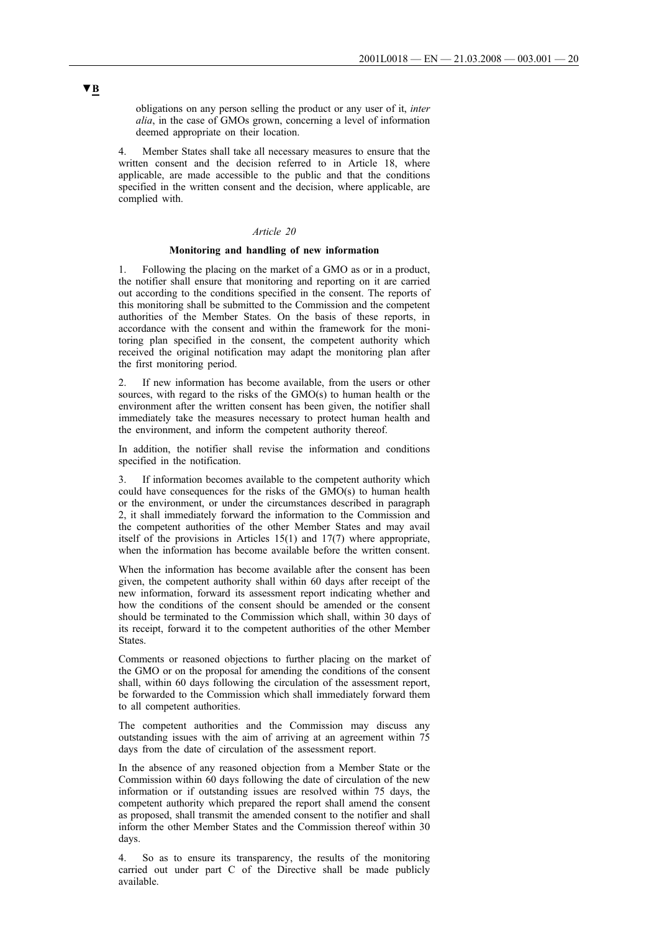obligations on any person selling the product or any user of it, *inter alia*, in the case of GMOs grown, concerning a level of information deemed appropriate on their location.

4. Member States shall take all necessary measures to ensure that the written consent and the decision referred to in Article 18, where applicable, are made accessible to the public and that the conditions specified in the written consent and the decision, where applicable, are complied with.

### *Article 20*

### **Monitoring and handling of new information**

1. Following the placing on the market of a GMO as or in a product, the notifier shall ensure that monitoring and reporting on it are carried out according to the conditions specified in the consent. The reports of this monitoring shall be submitted to the Commission and the competent authorities of the Member States. On the basis of these reports, in accordance with the consent and within the framework for the monitoring plan specified in the consent, the competent authority which received the original notification may adapt the monitoring plan after the first monitoring period.

2. If new information has become available, from the users or other sources, with regard to the risks of the GMO(s) to human health or the environment after the written consent has been given, the notifier shall immediately take the measures necessary to protect human health and the environment, and inform the competent authority thereof.

In addition, the notifier shall revise the information and conditions specified in the notification.

3. If information becomes available to the competent authority which could have consequences for the risks of the GMO(s) to human health or the environment, or under the circumstances described in paragraph 2, it shall immediately forward the information to the Commission and the competent authorities of the other Member States and may avail itself of the provisions in Articles 15(1) and 17(7) where appropriate, when the information has become available before the written consent.

When the information has become available after the consent has been given, the competent authority shall within 60 days after receipt of the new information, forward its assessment report indicating whether and how the conditions of the consent should be amended or the consent should be terminated to the Commission which shall, within 30 days of its receipt, forward it to the competent authorities of the other Member States.

Comments or reasoned objections to further placing on the market of the GMO or on the proposal for amending the conditions of the consent shall, within 60 days following the circulation of the assessment report, be forwarded to the Commission which shall immediately forward them to all competent authorities.

The competent authorities and the Commission may discuss any outstanding issues with the aim of arriving at an agreement within 75 days from the date of circulation of the assessment report.

In the absence of any reasoned objection from a Member State or the Commission within 60 days following the date of circulation of the new information or if outstanding issues are resolved within 75 days, the competent authority which prepared the report shall amend the consent as proposed, shall transmit the amended consent to the notifier and shall inform the other Member States and the Commission thereof within 30 days.

4. So as to ensure its transparency, the results of the monitoring carried out under part C of the Directive shall be made publicly available.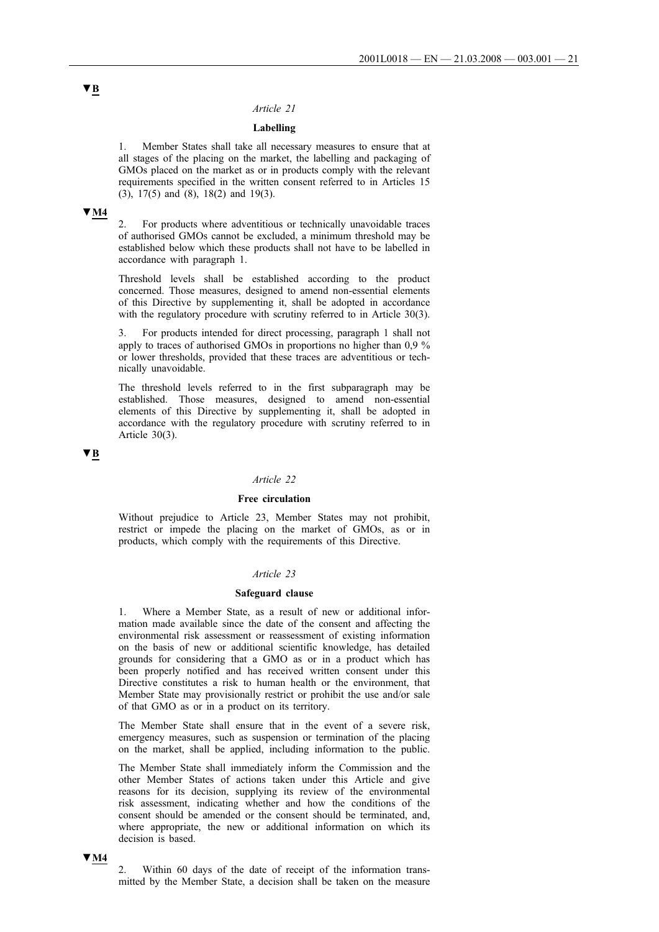### *Article 21*

# **Labelling**

1. Member States shall take all necessary measures to ensure that at all stages of the placing on the market, the labelling and packaging of GMOs placed on the market as or in products comply with the relevant requirements specified in the written consent referred to in Articles 15 (3), 17(5) and (8), 18(2) and 19(3).

# **▼M4**

2. For products where adventitious or technically unavoidable traces of authorised GMOs cannot be excluded, a minimum threshold may be established below which these products shall not have to be labelled in accordance with paragraph 1.

Threshold levels shall be established according to the product concerned. Those measures, designed to amend non-essential elements of this Directive by supplementing it, shall be adopted in accordance with the regulatory procedure with scrutiny referred to in Article 30(3).

3. For products intended for direct processing, paragraph 1 shall not apply to traces of authorised GMOs in proportions no higher than 0,9 % or lower thresholds, provided that these traces are adventitious or technically unavoidable.

The threshold levels referred to in the first subparagraph may be established. Those measures, designed to amend non-essential elements of this Directive by supplementing it, shall be adopted in accordance with the regulatory procedure with scrutiny referred to in Article 30(3).

# **▼B**

### *Article 22*

### **Free circulation**

Without prejudice to Article 23, Member States may not prohibit, restrict or impede the placing on the market of GMOs, as or in products, which comply with the requirements of this Directive.

### *Article 23*

#### **Safeguard clause**

Where a Member State, as a result of new or additional information made available since the date of the consent and affecting the environmental risk assessment or reassessment of existing information on the basis of new or additional scientific knowledge, has detailed grounds for considering that a GMO as or in a product which has been properly notified and has received written consent under this Directive constitutes a risk to human health or the environment, that Member State may provisionally restrict or prohibit the use and/or sale of that GMO as or in a product on its territory.

The Member State shall ensure that in the event of a severe risk, emergency measures, such as suspension or termination of the placing on the market, shall be applied, including information to the public.

The Member State shall immediately inform the Commission and the other Member States of actions taken under this Article and give reasons for its decision, supplying its review of the environmental risk assessment, indicating whether and how the conditions of the consent should be amended or the consent should be terminated, and, where appropriate, the new or additional information on which its decision is based.

# **▼M4**

2. Within 60 days of the date of receipt of the information transmitted by the Member State, a decision shall be taken on the measure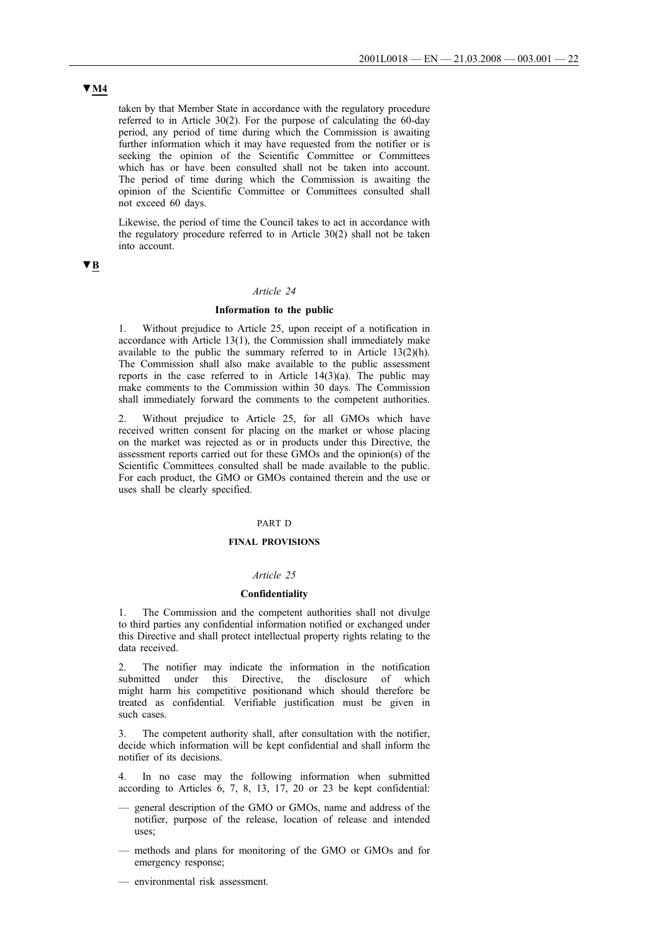taken by that Member State in accordance with the regulatory procedure referred to in Article 30(2). For the purpose of calculating the 60-day period, any period of time during which the Commission is awaiting further information which it may have requested from the notifier or is seeking the opinion of the Scientific Committee or Committees which has or have been consulted shall not be taken into account. The period of time during which the Commission is awaiting the opinion of the Scientific Committee or Committees consulted shall not exceed 60 days.

Likewise, the period of time the Council takes to act in accordance with the regulatory procedure referred to in Article 30(2) shall not be taken into account.

# **▼B**

### *Article 24*

### **Information to the public**

1. Without prejudice to Article 25, upon receipt of a notification in accordance with Article 13(1), the Commission shall immediately make available to the public the summary referred to in Article 13(2)(h). The Commission shall also make available to the public assessment reports in the case referred to in Article  $14(3)(a)$ . The public may make comments to the Commission within 30 days. The Commission shall immediately forward the comments to the competent authorities.

2. Without prejudice to Article 25, for all GMOs which have received written consent for placing on the market or whose placing on the market was rejected as or in products under this Directive, the assessment reports carried out for these GMOs and the opinion(s) of the Scientific Committees consulted shall be made available to the public. For each product, the GMO or GMOs contained therein and the use or uses shall be clearly specified.

# PART D

# **FINAL PROVISIONS**

# *Article 25*

### **Confidentiality**

The Commission and the competent authorities shall not divulge to third parties any confidential information notified or exchanged under this Directive and shall protect intellectual property rights relating to the data received.

2. The notifier may indicate the information in the notification submitted under this Directive, the disclosure of which might harm his competitive positionand which should therefore be treated as confidential. Verifiable justification must be given in such cases.

3. The competent authority shall, after consultation with the notifier, decide which information will be kept confidential and shall inform the notifier of its decisions.

4. In no case may the following information when submitted according to Articles 6, 7, 8, 13, 17, 20 or 23 be kept confidential:

- general description of the GMO or GMOs, name and address of the notifier, purpose of the release, location of release and intended uses;
- methods and plans for monitoring of the GMO or GMOs and for emergency response;
- environmental risk assessment.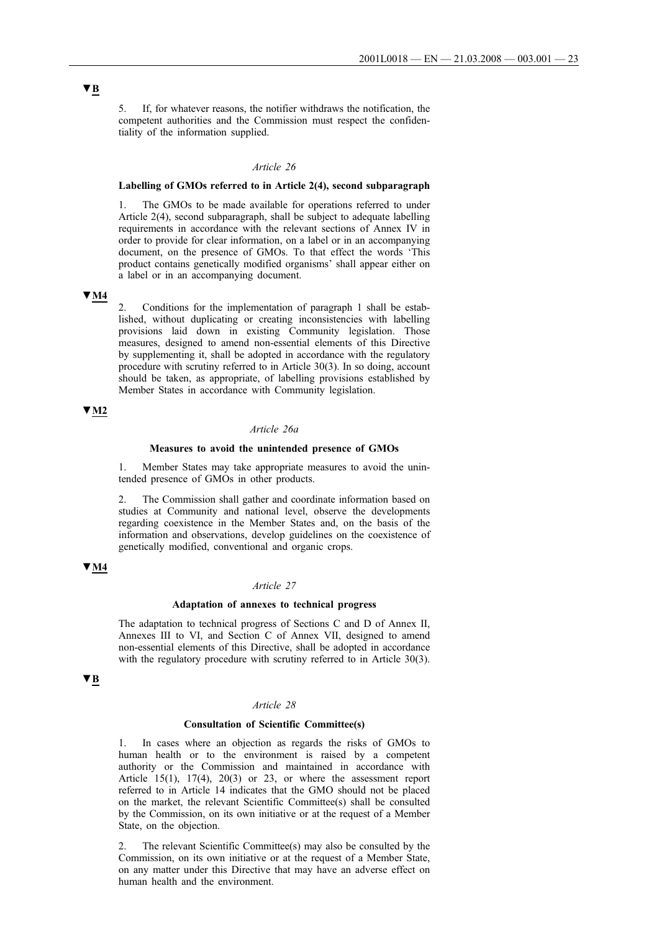5. If, for whatever reasons, the notifier withdraws the notification, the competent authorities and the Commission must respect the confidentiality of the information supplied.

#### *Article 26*

### **Labelling of GMOs referred to in Article 2(4), second subparagraph**

1. The GMOs to be made available for operations referred to under Article 2(4), second subparagraph, shall be subject to adequate labelling requirements in accordance with the relevant sections of Annex IV in order to provide for clear information, on a label or in an accompanying document, on the presence of GMOs. To that effect the words 'This product contains genetically modified organisms' shall appear either on a label or in an accompanying document.

# **▼M4**

2. Conditions for the implementation of paragraph 1 shall be established, without duplicating or creating inconsistencies with labelling provisions laid down in existing Community legislation. Those measures, designed to amend non-essential elements of this Directive by supplementing it, shall be adopted in accordance with the regulatory procedure with scrutiny referred to in Article 30(3). In so doing, account should be taken, as appropriate, of labelling provisions established by Member States in accordance with Community legislation.

# **▼M2**

## *Article 26a*

### **Measures to avoid the unintended presence of GMOs**

1. Member States may take appropriate measures to avoid the unintended presence of GMOs in other products.

2. The Commission shall gather and coordinate information based on studies at Community and national level, observe the developments regarding coexistence in the Member States and, on the basis of the information and observations, develop guidelines on the coexistence of genetically modified, conventional and organic crops.

# **▼M4**

#### *Article 27*

#### **Adaptation of annexes to technical progress**

The adaptation to technical progress of Sections C and D of Annex II, Annexes III to VI, and Section C of Annex VII, designed to amend non-essential elements of this Directive, shall be adopted in accordance with the regulatory procedure with scrutiny referred to in Article 30(3).

### **▼B**

### *Article 28*

### **Consultation of Scientific Committee(s)**

1. In cases where an objection as regards the risks of GMOs to human health or to the environment is raised by a competent authority or the Commission and maintained in accordance with Article 15(1), 17(4), 20(3) or 23, or where the assessment report referred to in Article 14 indicates that the GMO should not be placed on the market, the relevant Scientific Committee(s) shall be consulted by the Commission, on its own initiative or at the request of a Member State, on the objection.

2. The relevant Scientific Committee(s) may also be consulted by the Commission, on its own initiative or at the request of a Member State, on any matter under this Directive that may have an adverse effect on human health and the environment.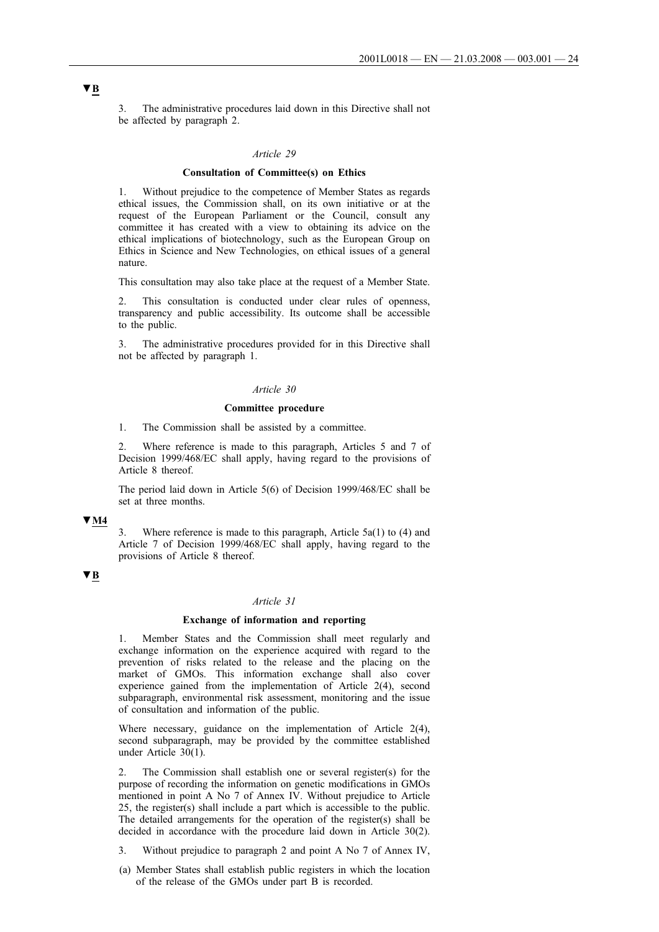3. The administrative procedures laid down in this Directive shall not be affected by paragraph 2.

### *Article 29*

#### **Consultation of Committee(s) on Ethics**

1. Without prejudice to the competence of Member States as regards ethical issues, the Commission shall, on its own initiative or at the request of the European Parliament or the Council, consult any committee it has created with a view to obtaining its advice on the ethical implications of biotechnology, such as the European Group on Ethics in Science and New Technologies, on ethical issues of a general nature.

This consultation may also take place at the request of a Member State.

This consultation is conducted under clear rules of openness, transparency and public accessibility. Its outcome shall be accessible to the public.

3. The administrative procedures provided for in this Directive shall not be affected by paragraph 1.

#### *Article 30*

### **Committee procedure**

1. The Commission shall be assisted by a committee.

2. Where reference is made to this paragraph, Articles 5 and 7 of Decision 1999/468/EC shall apply, having regard to the provisions of Article 8 thereof.

The period laid down in Article 5(6) of Decision 1999/468/EC shall be set at three months.

### **▼M4**

3. Where reference is made to this paragraph, Article 5a(1) to (4) and Article 7 of Decision 1999/468/EC shall apply, having regard to the provisions of Article 8 thereof.

# **▼B**

### *Article 31*

#### **Exchange of information and reporting**

1. Member States and the Commission shall meet regularly and exchange information on the experience acquired with regard to the prevention of risks related to the release and the placing on the market of GMOs. This information exchange shall also cover experience gained from the implementation of Article 2(4), second subparagraph, environmental risk assessment, monitoring and the issue of consultation and information of the public.

Where necessary, guidance on the implementation of Article 2(4), second subparagraph, may be provided by the committee established under Article 30(1).

2. The Commission shall establish one or several register(s) for the purpose of recording the information on genetic modifications in GMOs mentioned in point A No 7 of Annex IV. Without prejudice to Article 25, the register(s) shall include a part which is accessible to the public. The detailed arrangements for the operation of the register(s) shall be decided in accordance with the procedure laid down in Article 30(2).

- 3. Without prejudice to paragraph 2 and point A No 7 of Annex IV,
- (a) Member States shall establish public registers in which the location of the release of the GMOs under part B is recorded.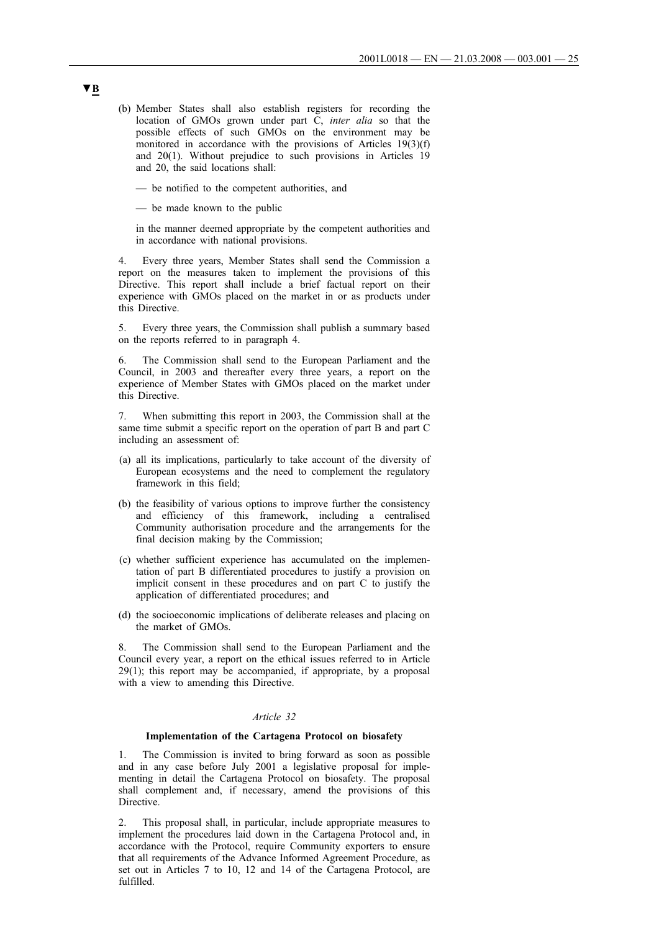- (b) Member States shall also establish registers for recording the location of GMOs grown under part C, *inter alia* so that the possible effects of such GMOs on the environment may be monitored in accordance with the provisions of Articles 19(3)(f) and 20(1). Without prejudice to such provisions in Articles 19 and 20, the said locations shall:
	- be notified to the competent authorities, and
	- be made known to the public

in the manner deemed appropriate by the competent authorities and in accordance with national provisions.

4. Every three years, Member States shall send the Commission a report on the measures taken to implement the provisions of this Directive. This report shall include a brief factual report on their experience with GMOs placed on the market in or as products under this Directive.

5. Every three years, the Commission shall publish a summary based on the reports referred to in paragraph 4.

6. The Commission shall send to the European Parliament and the Council, in 2003 and thereafter every three years, a report on the experience of Member States with GMOs placed on the market under this Directive.

When submitting this report in 2003, the Commission shall at the same time submit a specific report on the operation of part B and part C including an assessment of:

- (a) all its implications, particularly to take account of the diversity of European ecosystems and the need to complement the regulatory framework in this field;
- (b) the feasibility of various options to improve further the consistency and efficiency of this framework, including a centralised Community authorisation procedure and the arrangements for the final decision making by the Commission;
- (c) whether sufficient experience has accumulated on the implementation of part B differentiated procedures to justify a provision on implicit consent in these procedures and on part C to justify the application of differentiated procedures; and
- (d) the socioeconomic implications of deliberate releases and placing on the market of GMOs.

8. The Commission shall send to the European Parliament and the Council every year, a report on the ethical issues referred to in Article 29(1); this report may be accompanied, if appropriate, by a proposal with a view to amending this Directive.

#### *Article 32*

### **Implementation of the Cartagena Protocol on biosafety**

1. The Commission is invited to bring forward as soon as possible and in any case before July 2001 a legislative proposal for implementing in detail the Cartagena Protocol on biosafety. The proposal shall complement and, if necessary, amend the provisions of this Directive.

2. This proposal shall, in particular, include appropriate measures to implement the procedures laid down in the Cartagena Protocol and, in accordance with the Protocol, require Community exporters to ensure that all requirements of the Advance Informed Agreement Procedure, as set out in Articles 7 to 10, 12 and 14 of the Cartagena Protocol, are fulfilled.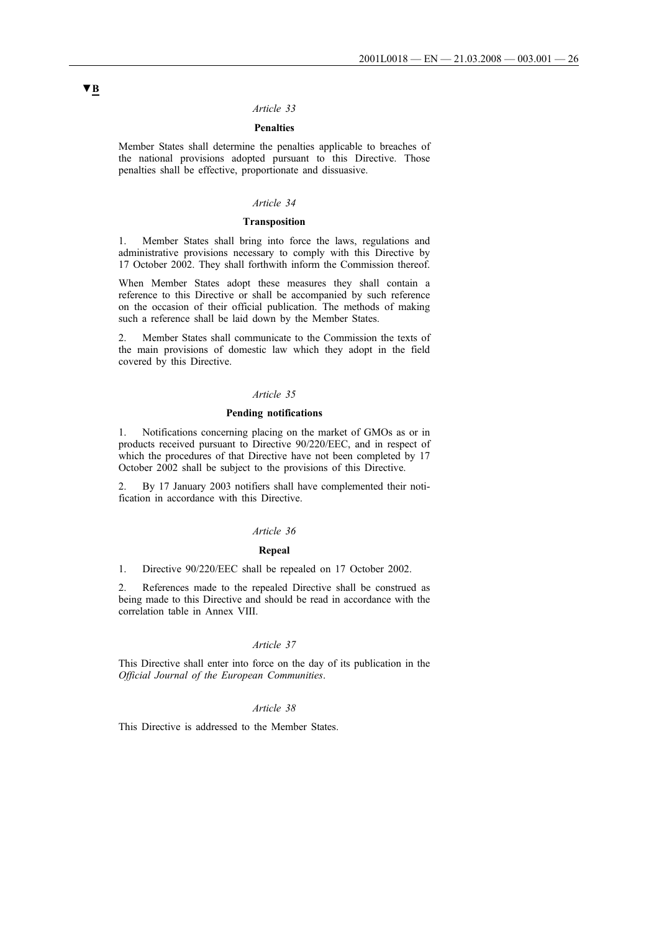### *Article 33*

# **Penalties**

Member States shall determine the penalties applicable to breaches of the national provisions adopted pursuant to this Directive. Those penalties shall be effective, proportionate and dissuasive.

# *Article 34*

## **Transposition**

1. Member States shall bring into force the laws, regulations and administrative provisions necessary to comply with this Directive by 17 October 2002. They shall forthwith inform the Commission thereof.

When Member States adopt these measures they shall contain a reference to this Directive or shall be accompanied by such reference on the occasion of their official publication. The methods of making such a reference shall be laid down by the Member States.

2. Member States shall communicate to the Commission the texts of the main provisions of domestic law which they adopt in the field covered by this Directive.

### *Article 35*

### **Pending notifications**

1. Notifications concerning placing on the market of GMOs as or in products received pursuant to Directive 90/220/EEC, and in respect of which the procedures of that Directive have not been completed by 17 October 2002 shall be subject to the provisions of this Directive.

2. By 17 January 2003 notifiers shall have complemented their notification in accordance with this Directive.

#### *Article 36*

#### **Repeal**

1. Directive 90/220/EEC shall be repealed on 17 October 2002.

2. References made to the repealed Directive shall be construed as being made to this Directive and should be read in accordance with the correlation table in Annex VIII.

#### *Article 37*

This Directive shall enter into force on the day of its publication in the *Official Journal of the European Communities*.

# *Article 38*

This Directive is addressed to the Member States.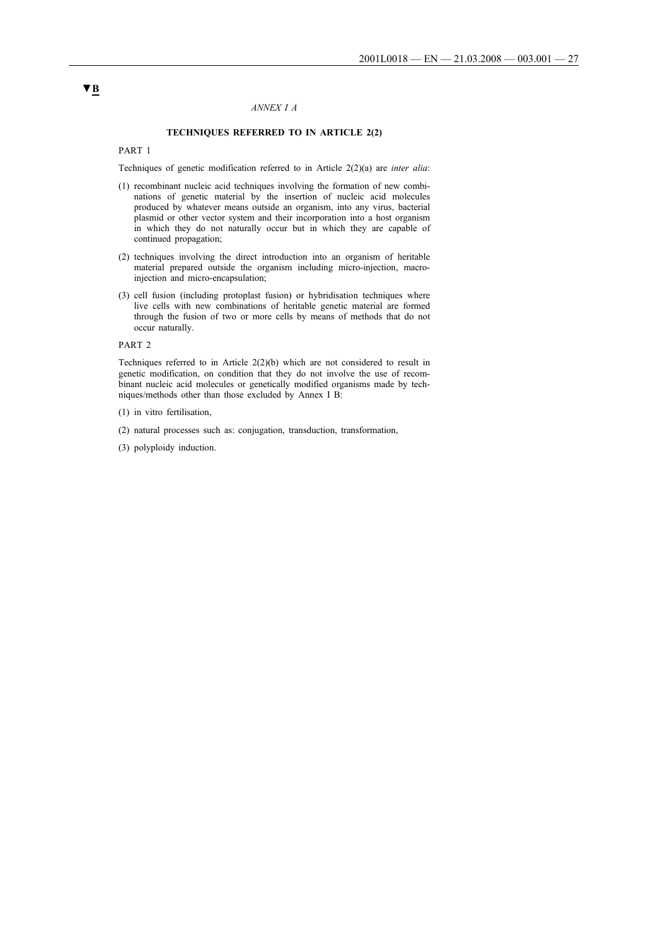### *ANNEX I A*

# **TECHNIQUES REFERRED TO IN ARTICLE 2(2)**

PART 1

Techniques of genetic modification referred to in Article 2(2)(a) are *inter alia*:

- (1) recombinant nucleic acid techniques involving the formation of new combinations of genetic material by the insertion of nucleic acid molecules produced by whatever means outside an organism, into any virus, bacterial plasmid or other vector system and their incorporation into a host organism in which they do not naturally occur but in which they are capable of continued propagation;
- (2) techniques involving the direct introduction into an organism of heritable material prepared outside the organism including micro-injection, macroinjection and micro-encapsulation;
- (3) cell fusion (including protoplast fusion) or hybridisation techniques where live cells with new combinations of heritable genetic material are formed through the fusion of two or more cells by means of methods that do not occur naturally.

PART 2

Techniques referred to in Article 2(2)(b) which are not considered to result in genetic modification, on condition that they do not involve the use of recombinant nucleic acid molecules or genetically modified organisms made by techniques/methods other than those excluded by Annex I B:

- (1) in vitro fertilisation,
- (2) natural processes such as: conjugation, transduction, transformation,
- (3) polyploidy induction.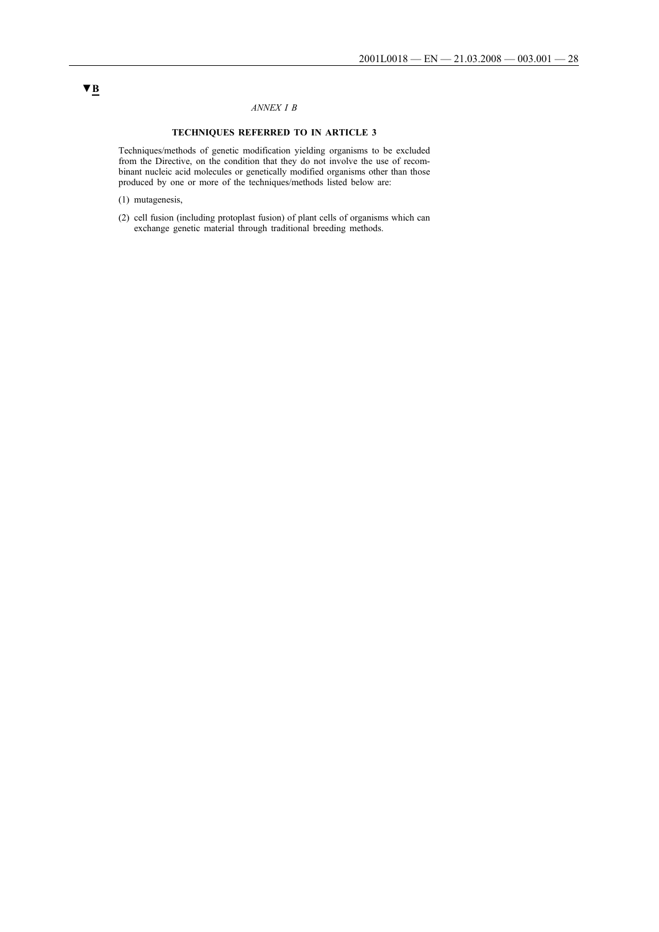# *ANNEX I B*

## **TECHNIQUES REFERRED TO IN ARTICLE 3**

Techniques/methods of genetic modification yielding organisms to be excluded from the Directive, on the condition that they do not involve the use of recombinant nucleic acid molecules or genetically modified organisms other than those produced by one or more of the techniques/methods listed below are:

- (1) mutagenesis,
- (2) cell fusion (including protoplast fusion) of plant cells of organisms which can exchange genetic material through traditional breeding methods.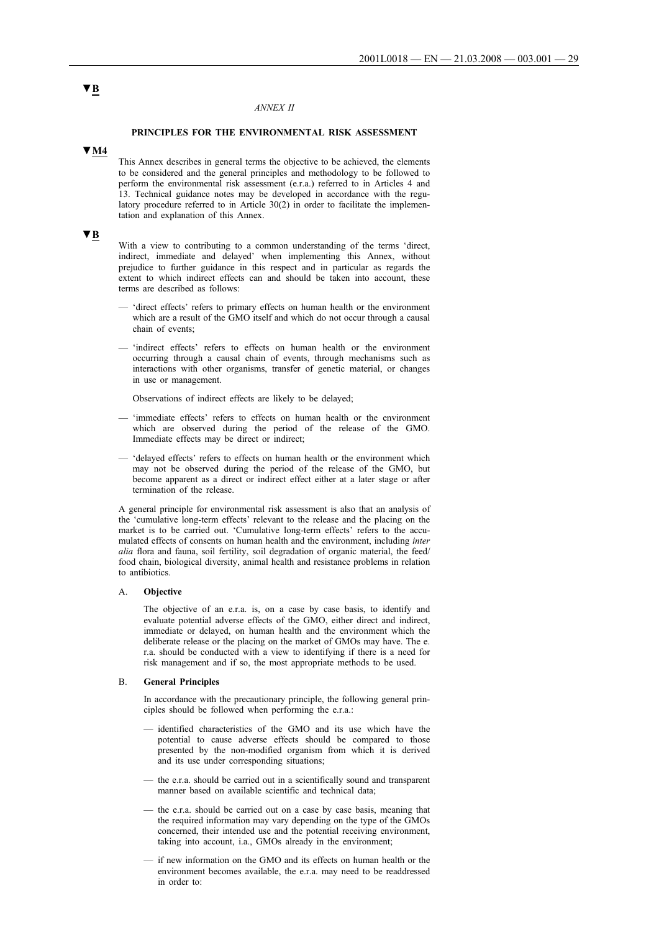### *ANNEX II*

#### **PRINCIPLES FOR THE ENVIRONMENTAL RISK ASSESSMENT**

#### **▼M4**

This Annex describes in general terms the objective to be achieved, the elements to be considered and the general principles and methodology to be followed to perform the environmental risk assessment (e.r.a.) referred to in Articles 4 and 13. Technical guidance notes may be developed in accordance with the regulatory procedure referred to in Article 30(2) in order to facilitate the implementation and explanation of this Annex.

### **▼B**

With a view to contributing to a common understanding of the terms 'direct, indirect, immediate and delayed' when implementing this Annex, without prejudice to further guidance in this respect and in particular as regards the extent to which indirect effects can and should be taken into account, these terms are described as follows:

- 'direct effects' refers to primary effects on human health or the environment which are a result of the GMO itself and which do not occur through a causal chain of events;
- 'indirect effects' refers to effects on human health or the environment occurring through a causal chain of events, through mechanisms such as interactions with other organisms, transfer of genetic material, or changes in use or management.

Observations of indirect effects are likely to be delayed;

- 'immediate effects' refers to effects on human health or the environment which are observed during the period of the release of the GMO. Immediate effects may be direct or indirect;
- 'delayed effects' refers to effects on human health or the environment which may not be observed during the period of the release of the GMO, but become apparent as a direct or indirect effect either at a later stage or after termination of the release.

A general principle for environmental risk assessment is also that an analysis of the 'cumulative long-term effects' relevant to the release and the placing on the market is to be carried out. 'Cumulative long-term effects' refers to the accumulated effects of consents on human health and the environment, including *inter alia* flora and fauna, soil fertility, soil degradation of organic material, the feed/ food chain, biological diversity, animal health and resistance problems in relation to antibiotics.

#### A. **Objective**

The objective of an e.r.a. is, on a case by case basis, to identify and evaluate potential adverse effects of the GMO, either direct and indirect, immediate or delayed, on human health and the environment which the deliberate release or the placing on the market of GMOs may have. The e. r.a. should be conducted with a view to identifying if there is a need for risk management and if so, the most appropriate methods to be used.

#### B. **General Principles**

In accordance with the precautionary principle, the following general principles should be followed when performing the e.r.a.:

- identified characteristics of the GMO and its use which have the potential to cause adverse effects should be compared to those presented by the non-modified organism from which it is derived and its use under corresponding situations;
- the e.r.a. should be carried out in a scientifically sound and transparent manner based on available scientific and technical data;
- the e.r.a. should be carried out on a case by case basis, meaning that the required information may vary depending on the type of the GMOs concerned, their intended use and the potential receiving environment, taking into account, i.a., GMOs already in the environment;
- if new information on the GMO and its effects on human health or the environment becomes available, the e.r.a. may need to be readdressed in order to: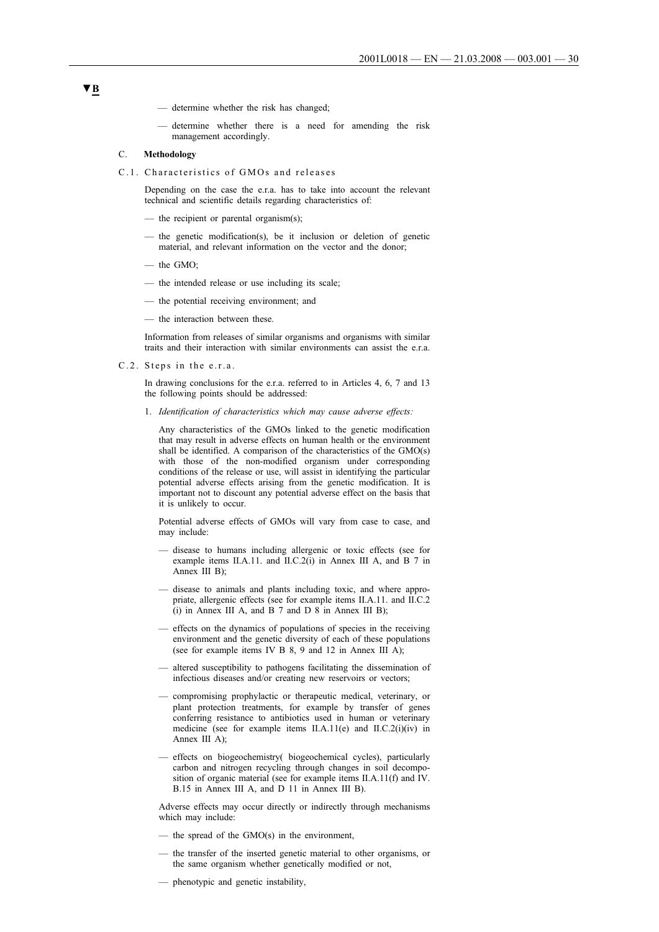- determine whether the risk has changed;
- determine whether there is a need for amending the risk management accordingly.
- C. **Methodology**
- C.1. Characteristics of GMOs and releases

Depending on the case the e.r.a. has to take into account the relevant technical and scientific details regarding characteristics of:

- the recipient or parental organism(s);
- the genetic modification(s), be it inclusion or deletion of genetic material, and relevant information on the vector and the donor;
- $-$  the GMO:
- the intended release or use including its scale;
- the potential receiving environment; and
- the interaction between these.

Information from releases of similar organisms and organisms with similar traits and their interaction with similar environments can assist the e.r.a.

C.2. Steps in the e.r.a.

In drawing conclusions for the e.r.a. referred to in Articles 4, 6, 7 and 13 the following points should be addressed:

1. *Identification of characteristics which may cause adverse effects:*

Any characteristics of the GMOs linked to the genetic modification that may result in adverse effects on human health or the environment shall be identified. A comparison of the characteristics of the GMO(s) with those of the non-modified organism under corresponding conditions of the release or use, will assist in identifying the particular potential adverse effects arising from the genetic modification. It is important not to discount any potential adverse effect on the basis that it is unlikely to occur.

Potential adverse effects of GMOs will vary from case to case, and may include:

- disease to humans including allergenic or toxic effects (see for example items II.A.11. and II.C.2(i) in Annex III A, and B 7 in Annex III B);
- disease to animals and plants including toxic, and where appropriate, allergenic effects (see for example items II.A.11. and II.C.2 (i) in Annex III A, and B 7 and D 8 in Annex III B);
- effects on the dynamics of populations of species in the receiving environment and the genetic diversity of each of these populations (see for example items IV B 8, 9 and 12 in Annex III A);
- altered susceptibility to pathogens facilitating the dissemination of infectious diseases and/or creating new reservoirs or vectors;
- compromising prophylactic or therapeutic medical, veterinary, or plant protection treatments, for example by transfer of genes conferring resistance to antibiotics used in human or veterinary medicine (see for example items II.A.11(e) and II.C.2(i)(iv) in Annex III A);
- effects on biogeochemistry( biogeochemical cycles), particularly carbon and nitrogen recycling through changes in soil decomposition of organic material (see for example items II.A.11(f) and IV. B.15 in Annex III A, and D 11 in Annex III B).

Adverse effects may occur directly or indirectly through mechanisms which may include:

- the spread of the  $GMO(s)$  in the environment,
- the transfer of the inserted genetic material to other organisms, or the same organism whether genetically modified or not,
- phenotypic and genetic instability,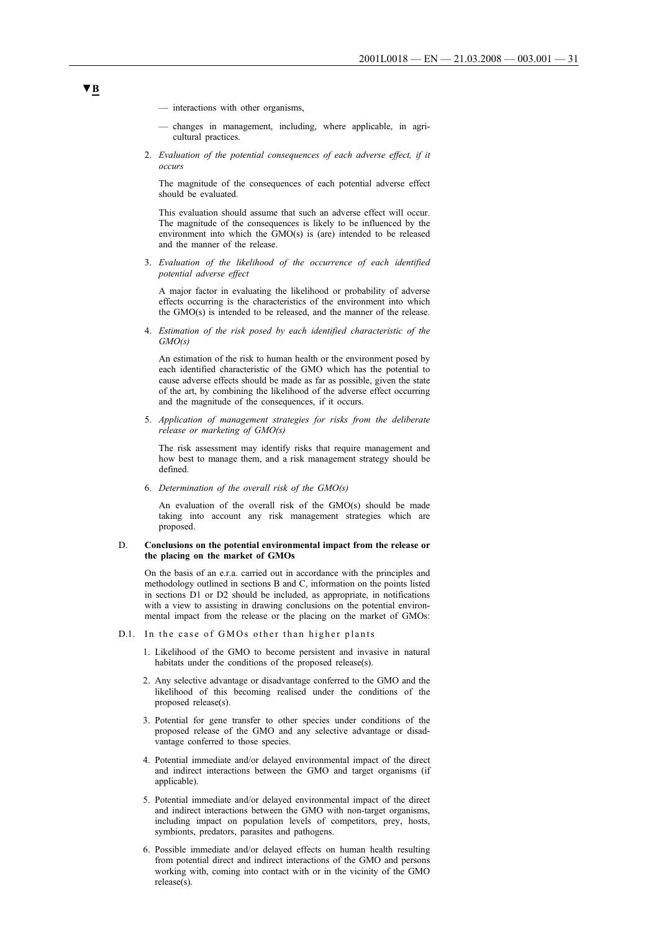- interactions with other organisms,
- changes in management, including, where applicable, in agricultural practices.
- 2. *Evaluation of the potential consequences of each adverse effect, if it occurs*

The magnitude of the consequences of each potential adverse effect should be evaluated.

This evaluation should assume that such an adverse effect will occur. The magnitude of the consequences is likely to be influenced by the environment into which the GMO(s) is (are) intended to be released and the manner of the release.

3. *Evaluation of the likelihood of the occurrence of each identified potential adverse effect*

A major factor in evaluating the likelihood or probability of adverse effects occurring is the characteristics of the environment into which the GMO(s) is intended to be released, and the manner of the release.

4. *Estimation of the risk posed by each identified characteristic of the GMO(s)*

An estimation of the risk to human health or the environment posed by each identified characteristic of the GMO which has the potential to cause adverse effects should be made as far as possible, given the state of the art, by combining the likelihood of the adverse effect occurring and the magnitude of the consequences, if it occurs.

5. *Application of management strategies for risks from the deliberate release or marketing of GMO(s)*

The risk assessment may identify risks that require management and how best to manage them, and a risk management strategy should be defined.

6. *Determination of the overall risk of the GMO(s)*

An evaluation of the overall risk of the GMO(s) should be made taking into account any risk management strategies which are proposed.

#### D. **Conclusions on the potential environmental impact from the release or the placing on the market of GMOs**

On the basis of an e.r.a. carried out in accordance with the principles and methodology outlined in sections B and C, information on the points listed in sections D1 or D2 should be included, as appropriate, in notifications with a view to assisting in drawing conclusions on the potential environmental impact from the release or the placing on the market of GMOs:

- D.1. In the case of GMOs other than higher plants
	- 1. Likelihood of the GMO to become persistent and invasive in natural habitats under the conditions of the proposed release(s).
	- 2. Any selective advantage or disadvantage conferred to the GMO and the likelihood of this becoming realised under the conditions of the proposed release(s).
	- 3. Potential for gene transfer to other species under conditions of the proposed release of the GMO and any selective advantage or disadvantage conferred to those species.
	- 4. Potential immediate and/or delayed environmental impact of the direct and indirect interactions between the GMO and target organisms (if applicable).
	- 5. Potential immediate and/or delayed environmental impact of the direct and indirect interactions between the GMO with non-target organisms, including impact on population levels of competitors, prey, hosts, symbionts, predators, parasites and pathogens.
	- 6. Possible immediate and/or delayed effects on human health resulting from potential direct and indirect interactions of the GMO and persons working with, coming into contact with or in the vicinity of the GMO release(s).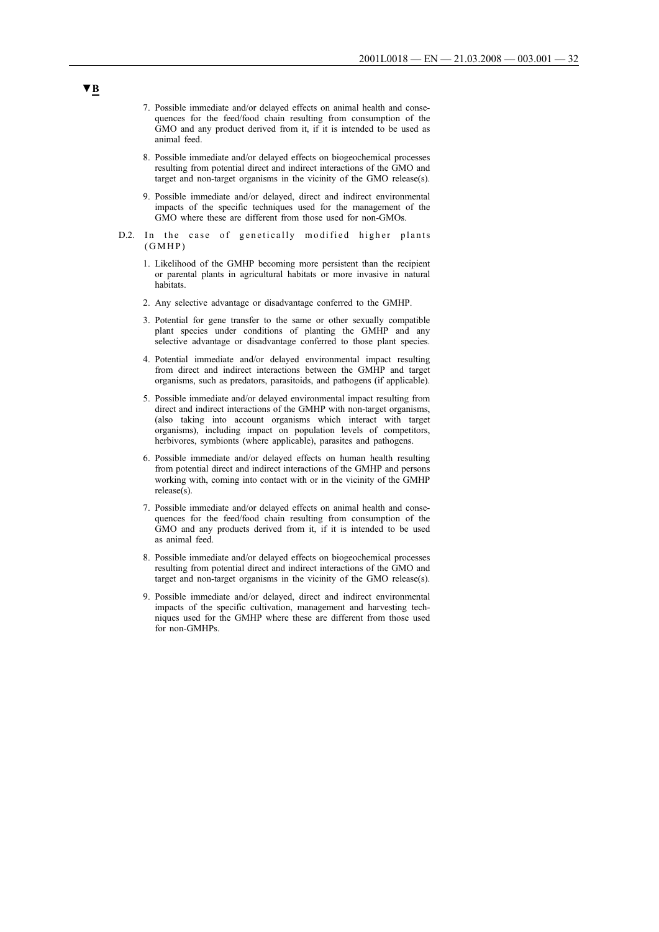- 7. Possible immediate and/or delayed effects on animal health and consequences for the feed/food chain resulting from consumption of the GMO and any product derived from it, if it is intended to be used as animal feed.
- 8. Possible immediate and/or delayed effects on biogeochemical processes resulting from potential direct and indirect interactions of the GMO and target and non-target organisms in the vicinity of the GMO release(s).
- 9. Possible immediate and/or delayed, direct and indirect environmental impacts of the specific techniques used for the management of the GMO where these are different from those used for non-GMOs.
- D.2. In the case of genetically modified higher plants (GMHP)
	- 1. Likelihood of the GMHP becoming more persistent than the recipient or parental plants in agricultural habitats or more invasive in natural habitats.
	- 2. Any selective advantage or disadvantage conferred to the GMHP.
	- 3. Potential for gene transfer to the same or other sexually compatible plant species under conditions of planting the GMHP and any selective advantage or disadvantage conferred to those plant species.
	- 4. Potential immediate and/or delayed environmental impact resulting from direct and indirect interactions between the GMHP and target organisms, such as predators, parasitoids, and pathogens (if applicable).
	- 5. Possible immediate and/or delayed environmental impact resulting from direct and indirect interactions of the GMHP with non-target organisms, (also taking into account organisms which interact with target organisms), including impact on population levels of competitors, herbivores, symbionts (where applicable), parasites and pathogens.
	- 6. Possible immediate and/or delayed effects on human health resulting from potential direct and indirect interactions of the GMHP and persons working with, coming into contact with or in the vicinity of the GMHP release(s).
	- 7. Possible immediate and/or delayed effects on animal health and consequences for the feed/food chain resulting from consumption of the GMO and any products derived from it, if it is intended to be used as animal feed.
	- 8. Possible immediate and/or delayed effects on biogeochemical processes resulting from potential direct and indirect interactions of the GMO and target and non-target organisms in the vicinity of the GMO release(s).
	- 9. Possible immediate and/or delayed, direct and indirect environmental impacts of the specific cultivation, management and harvesting techniques used for the GMHP where these are different from those used for non-GMHPs.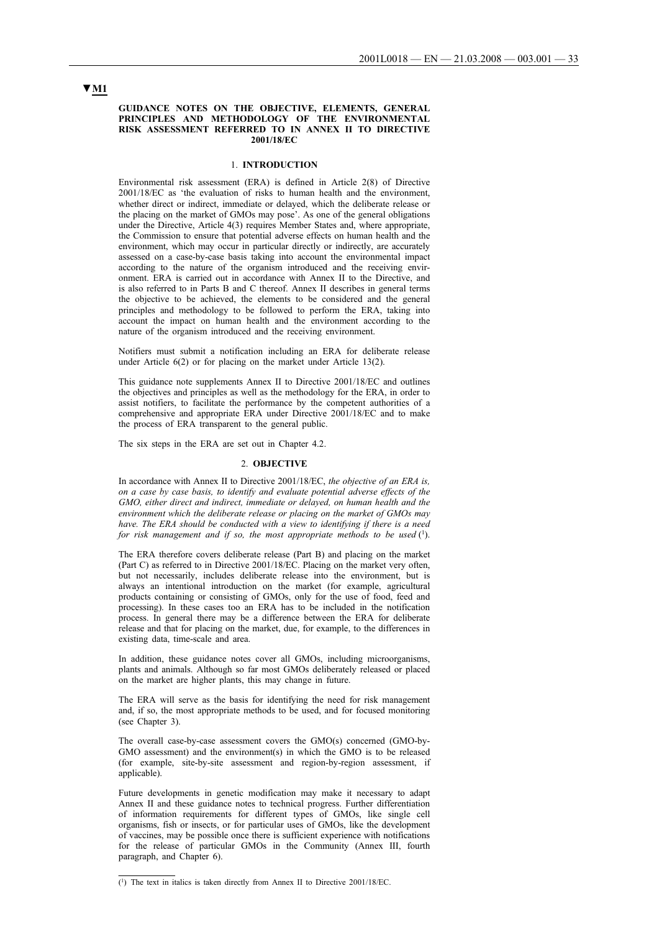#### **GUIDANCE NOTES ON THE OBJECTIVE, ELEMENTS, GENERAL PRINCIPLES AND METHODOLOGY OF THE ENVIRONMENTAL RISK ASSESSMENT REFERRED TO IN ANNEX II TO DIRECTIVE 2001/18/EC**

### 1. **INTRODUCTION**

Environmental risk assessment (ERA) is defined in Article 2(8) of Directive 2001/18/EC as 'the evaluation of risks to human health and the environment, whether direct or indirect, immediate or delayed, which the deliberate release or the placing on the market of GMOs may pose'. As one of the general obligations under the Directive, Article 4(3) requires Member States and, where appropriate, the Commission to ensure that potential adverse effects on human health and the environment, which may occur in particular directly or indirectly, are accurately assessed on a case-by-case basis taking into account the environmental impact according to the nature of the organism introduced and the receiving environment. ERA is carried out in accordance with Annex II to the Directive, and is also referred to in Parts B and C thereof. Annex II describes in general terms the objective to be achieved, the elements to be considered and the general principles and methodology to be followed to perform the ERA, taking into account the impact on human health and the environment according to the nature of the organism introduced and the receiving environment.

Notifiers must submit a notification including an ERA for deliberate release under Article 6(2) or for placing on the market under Article 13(2).

This guidance note supplements Annex II to Directive 2001/18/EC and outlines the objectives and principles as well as the methodology for the ERA, in order to assist notifiers, to facilitate the performance by the competent authorities of a comprehensive and appropriate ERA under Directive 2001/18/EC and to make the process of ERA transparent to the general public.

The six steps in the ERA are set out in Chapter 4.2.

#### 2. **OBJECTIVE**

In accordance with Annex II to Directive 2001/18/EC, *the objective of an ERA is, on a case by case basis, to identify and evaluate potential adverse effects of the GMO, either direct and indirect, immediate or delayed, on human health and the environment which the deliberate release or placing on the market of GMOs may have. The ERA should be conducted with a view to identifying if there is a need for risk management and if so, the most appropriate methods to be used* (<sup>1</sup>).

The ERA therefore covers deliberate release (Part B) and placing on the market (Part C) as referred to in Directive 2001/18/EC. Placing on the market very often, but not necessarily, includes deliberate release into the environment, but is always an intentional introduction on the market (for example, agricultural products containing or consisting of GMOs, only for the use of food, feed and processing). In these cases too an ERA has to be included in the notification process. In general there may be a difference between the ERA for deliberate release and that for placing on the market, due, for example, to the differences in existing data, time-scale and area.

In addition, these guidance notes cover all GMOs, including microorganisms, plants and animals. Although so far most GMOs deliberately released or placed on the market are higher plants, this may change in future.

The ERA will serve as the basis for identifying the need for risk management and, if so, the most appropriate methods to be used, and for focused monitoring (see Chapter 3).

The overall case-by-case assessment covers the GMO(s) concerned (GMO-by-GMO assessment) and the environment(s) in which the GMO is to be released (for example, site-by-site assessment and region-by-region assessment, if applicable).

Future developments in genetic modification may make it necessary to adapt Annex II and these guidance notes to technical progress. Further differentiation of information requirements for different types of GMOs, like single cell organisms, fish or insects, or for particular uses of GMOs, like the development of vaccines, may be possible once there is sufficient experience with notifications for the release of particular GMOs in the Community (Annex III, fourth paragraph, and Chapter 6).

<sup>(1)</sup> The text in italics is taken directly from Annex II to Directive 2001/18/EC.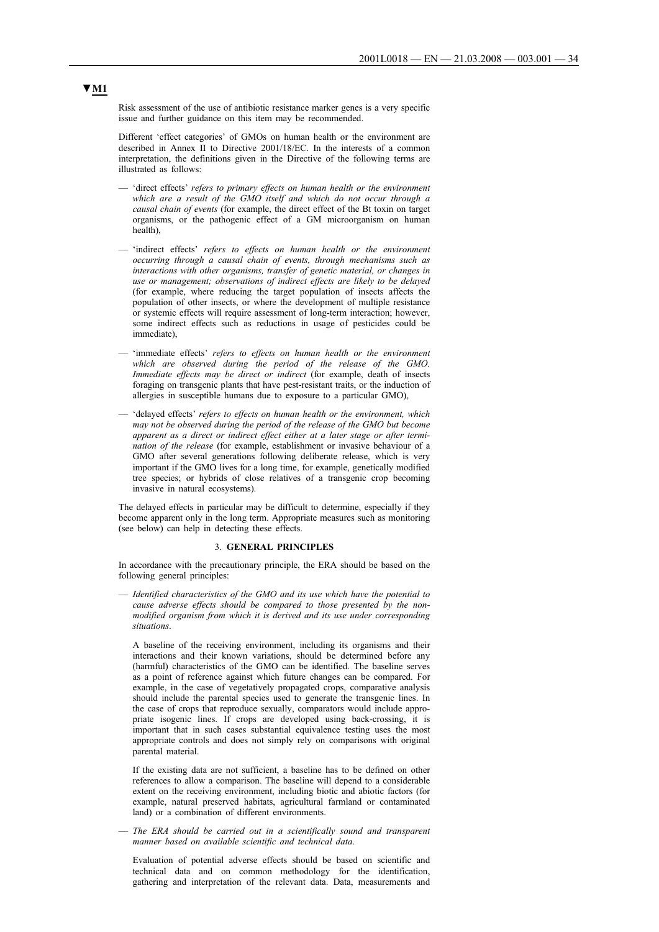Risk assessment of the use of antibiotic resistance marker genes is a very specific issue and further guidance on this item may be recommended.

Different 'effect categories' of GMOs on human health or the environment are described in Annex II to Directive 2001/18/EC. In the interests of a common interpretation, the definitions given in the Directive of the following terms are illustrated as follows:

- 'direct effects' *refers to primary effects on human health or the environment which are a result of the GMO itself and which do not occur through a causal chain of events* (for example, the direct effect of the Bt toxin on target organisms, or the pathogenic effect of a GM microorganism on human health),
- 'indirect effects' *refers to effects on human health or the environment occurring through a causal chain of events, through mechanisms such as interactions with other organisms, transfer of genetic material, or changes in use or management; observations of indirect effects are likely to be delayed* (for example, where reducing the target population of insects affects the population of other insects, or where the development of multiple resistance or systemic effects will require assessment of long-term interaction; however, some indirect effects such as reductions in usage of pesticides could be immediate),
- 'immediate effects' *refers to effects on human health or the environment which are observed during the period of the release of the GMO. Immediate effects may be direct or indirect* (for example, death of insects foraging on transgenic plants that have pest-resistant traits, or the induction of allergies in susceptible humans due to exposure to a particular GMO),
- 'delayed effects' *refers to effects on human health or the environment, which may not be observed during the period of the release of the GMO but become apparent as a direct or indirect effect either at a later stage or after termination of the release* (for example, establishment or invasive behaviour of a GMO after several generations following deliberate release, which is very important if the GMO lives for a long time, for example, genetically modified tree species; or hybrids of close relatives of a transgenic crop becoming invasive in natural ecosystems).

The delayed effects in particular may be difficult to determine, especially if they become apparent only in the long term. Appropriate measures such as monitoring (see below) can help in detecting these effects.

#### 3. **GENERAL PRINCIPLES**

In accordance with the precautionary principle, the ERA should be based on the following general principles:

— *Identified characteristics of the GMO and its use which have the potential to cause adverse effects should be compared to those presented by the nonmodified organism from which it is derived and its use under corresponding situations*.

A baseline of the receiving environment, including its organisms and their interactions and their known variations, should be determined before any (harmful) characteristics of the GMO can be identified. The baseline serves as a point of reference against which future changes can be compared. For example, in the case of vegetatively propagated crops, comparative analysis should include the parental species used to generate the transgenic lines. In the case of crops that reproduce sexually, comparators would include appropriate isogenic lines. If crops are developed using back-crossing, it is important that in such cases substantial equivalence testing uses the most appropriate controls and does not simply rely on comparisons with original parental material.

If the existing data are not sufficient, a baseline has to be defined on other references to allow a comparison. The baseline will depend to a considerable extent on the receiving environment, including biotic and abiotic factors (for example, natural preserved habitats, agricultural farmland or contaminated land) or a combination of different environments.

— *The ERA should be carried out in a scientifically sound and transparent manner based on available scientific and technical data*.

Evaluation of potential adverse effects should be based on scientific and technical data and on common methodology for the identification, gathering and interpretation of the relevant data. Data, measurements and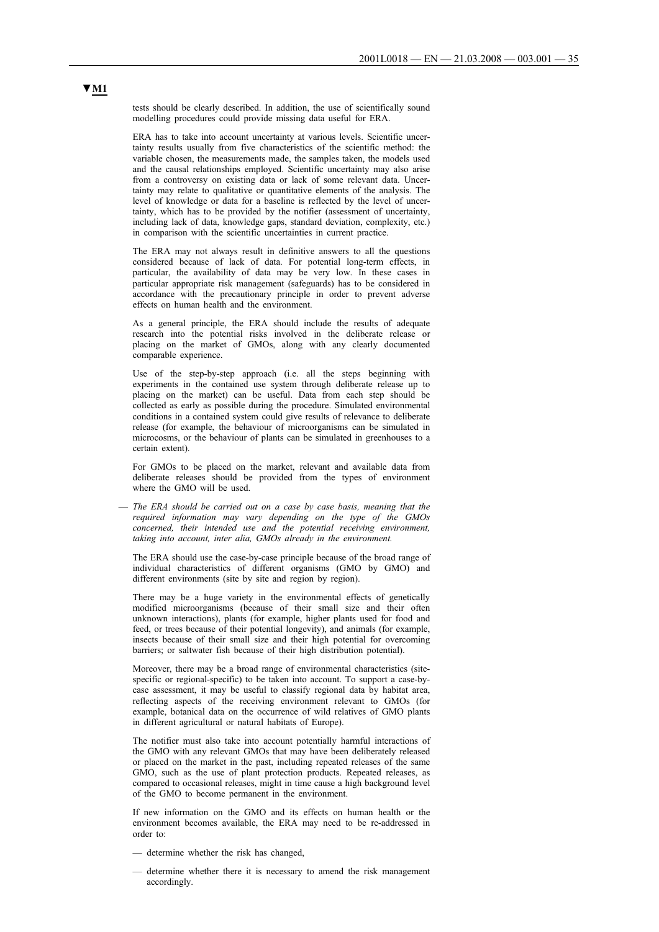tests should be clearly described. In addition, the use of scientifically sound modelling procedures could provide missing data useful for ERA.

ERA has to take into account uncertainty at various levels. Scientific uncertainty results usually from five characteristics of the scientific method: the variable chosen, the measurements made, the samples taken, the models used and the causal relationships employed. Scientific uncertainty may also arise from a controversy on existing data or lack of some relevant data. Uncertainty may relate to qualitative or quantitative elements of the analysis. The level of knowledge or data for a baseline is reflected by the level of uncertainty, which has to be provided by the notifier (assessment of uncertainty, including lack of data, knowledge gaps, standard deviation, complexity, etc.) in comparison with the scientific uncertainties in current practice.

The ERA may not always result in definitive answers to all the questions considered because of lack of data. For potential long-term effects, in particular, the availability of data may be very low. In these cases in particular appropriate risk management (safeguards) has to be considered in accordance with the precautionary principle in order to prevent adverse effects on human health and the environment.

As a general principle, the ERA should include the results of adequate research into the potential risks involved in the deliberate release or placing on the market of GMOs, along with any clearly documented comparable experience.

Use of the step-by-step approach (i.e. all the steps beginning with experiments in the contained use system through deliberate release up to placing on the market) can be useful. Data from each step should be collected as early as possible during the procedure. Simulated environmental conditions in a contained system could give results of relevance to deliberate release (for example, the behaviour of microorganisms can be simulated in microcosms, or the behaviour of plants can be simulated in greenhouses to a certain extent).

For GMOs to be placed on the market, relevant and available data from deliberate releases should be provided from the types of environment where the GMO will be used.

— *The ERA should be carried out on a case by case basis, meaning that the required information may vary depending on the type of the GMOs concerned, their intended use and the potential receiving environment, taking into account, inter alia, GMOs already in the environment.*

The ERA should use the case-by-case principle because of the broad range of individual characteristics of different organisms (GMO by GMO) and different environments (site by site and region by region).

There may be a huge variety in the environmental effects of genetically modified microorganisms (because of their small size and their often unknown interactions), plants (for example, higher plants used for food and feed, or trees because of their potential longevity), and animals (for example, insects because of their small size and their high potential for overcoming barriers; or saltwater fish because of their high distribution potential).

Moreover, there may be a broad range of environmental characteristics (sitespecific or regional-specific) to be taken into account. To support a case-bycase assessment, it may be useful to classify regional data by habitat area, reflecting aspects of the receiving environment relevant to GMOs (for example, botanical data on the occurrence of wild relatives of GMO plants in different agricultural or natural habitats of Europe).

The notifier must also take into account potentially harmful interactions of the GMO with any relevant GMOs that may have been deliberately released or placed on the market in the past, including repeated releases of the same GMO, such as the use of plant protection products. Repeated releases, as compared to occasional releases, might in time cause a high background level of the GMO to become permanent in the environment.

If new information on the GMO and its effects on human health or the environment becomes available, the ERA may need to be re-addressed in order to:

- determine whether the risk has changed,
- determine whether there it is necessary to amend the risk management accordingly.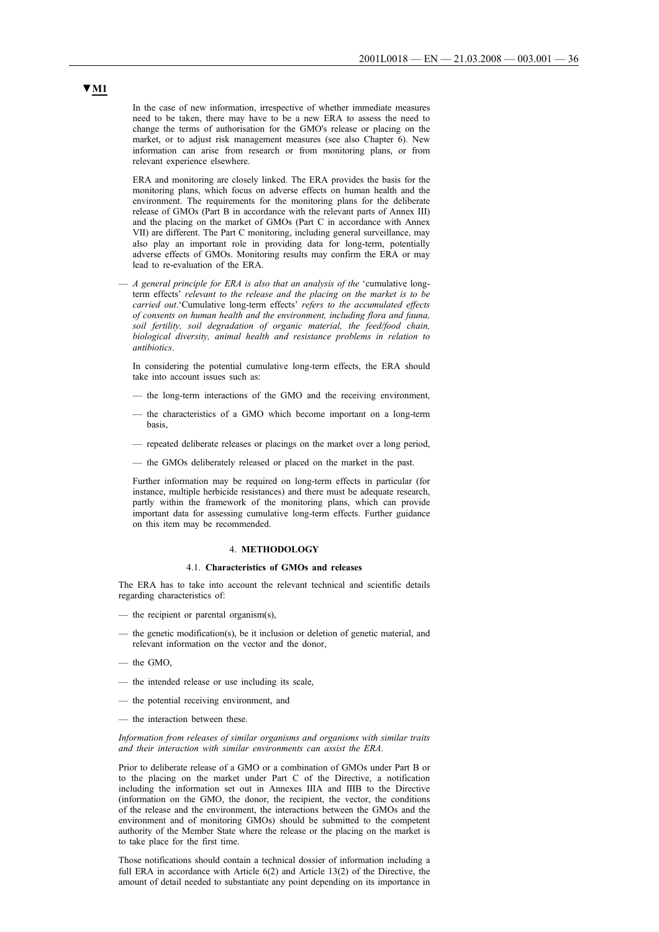In the case of new information, irrespective of whether immediate measures need to be taken, there may have to be a new ERA to assess the need to change the terms of authorisation for the GMO's release or placing on the market, or to adjust risk management measures (see also Chapter 6). New information can arise from research or from monitoring plans, or from relevant experience elsewhere.

ERA and monitoring are closely linked. The ERA provides the basis for the monitoring plans, which focus on adverse effects on human health and the environment. The requirements for the monitoring plans for the deliberate release of GMOs (Part B in accordance with the relevant parts of Annex III) and the placing on the market of GMOs (Part C in accordance with Annex VII) are different. The Part C monitoring, including general surveillance, may also play an important role in providing data for long-term, potentially adverse effects of GMOs. Monitoring results may confirm the ERA or may lead to re-evaluation of the ERA.

— *A general principle for ERA is also that an analysis of the* 'cumulative longterm effects' *relevant to the release and the placing on the market is to be carried out*.'Cumulative long-term effects' *refers to the accumulated effects of consents on human health and the environment, including flora and fauna, soil fertility, soil degradation of organic material, the feed/food chain, biological diversity, animal health and resistance problems in relation to antibiotics*.

In considering the potential cumulative long-term effects, the ERA should take into account issues such as:

- the long-term interactions of the GMO and the receiving environment,
- the characteristics of a GMO which become important on a long-term basis,
- repeated deliberate releases or placings on the market over a long period,
- the GMOs deliberately released or placed on the market in the past.

Further information may be required on long-term effects in particular (for instance, multiple herbicide resistances) and there must be adequate research, partly within the framework of the monitoring plans, which can provide important data for assessing cumulative long-term effects. Further guidance on this item may be recommended.

#### 4. **METHODOLOGY**

#### 4.1. **Characteristics of GMOs and releases**

The ERA has to take into account the relevant technical and scientific details regarding characteristics of:

- the recipient or parental organism(s),
- the genetic modification(s), be it inclusion or deletion of genetic material, and relevant information on the vector and the donor,
- $=$  the GMO.
- the intended release or use including its scale,
- the potential receiving environment, and
- the interaction between these.

*Information from releases of similar organisms and organisms with similar traits and their interaction with similar environments can assist the ERA*.

Prior to deliberate release of a GMO or a combination of GMOs under Part B or to the placing on the market under Part C of the Directive, a notification including the information set out in Annexes IIIA and IIIB to the Directive (information on the GMO, the donor, the recipient, the vector, the conditions of the release and the environment, the interactions between the GMOs and the environment and of monitoring GMOs) should be submitted to the competent authority of the Member State where the release or the placing on the market is to take place for the first time.

Those notifications should contain a technical dossier of information including a full ERA in accordance with Article  $6(2)$  and Article 13(2) of the Directive, the amount of detail needed to substantiate any point depending on its importance in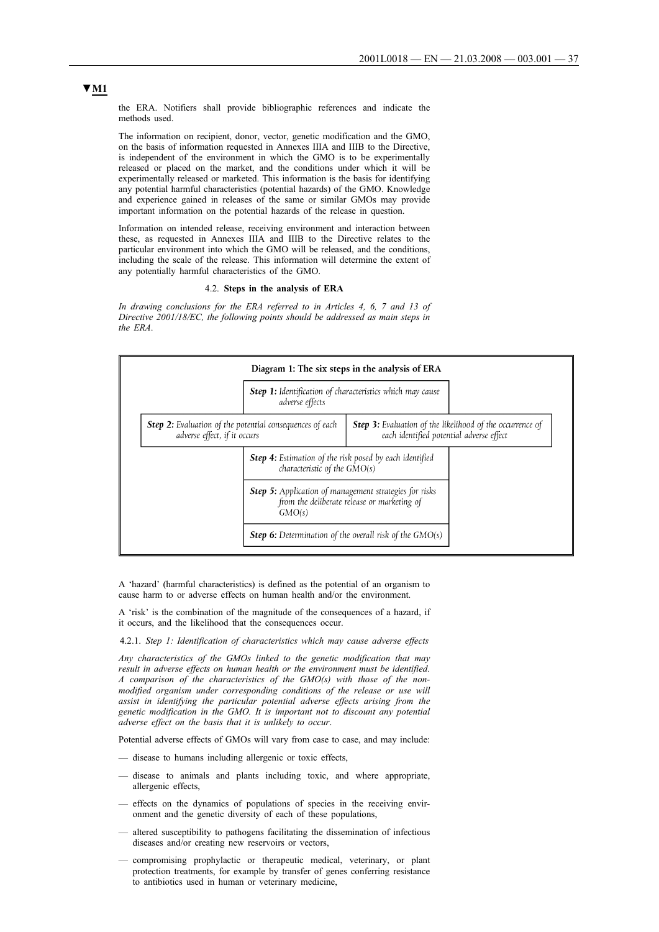the ERA. Notifiers shall provide bibliographic references and indicate the methods used.

The information on recipient, donor, vector, genetic modification and the GMO, on the basis of information requested in Annexes IIIA and IIIB to the Directive, is independent of the environment in which the GMO is to be experimentally released or placed on the market, and the conditions under which it will be experimentally released or marketed. This information is the basis for identifying any potential harmful characteristics (potential hazards) of the GMO. Knowledge and experience gained in releases of the same or similar GMOs may provide important information on the potential hazards of the release in question.

Information on intended release, receiving environment and interaction between these, as requested in Annexes IIIA and IIIB to the Directive relates to the particular environment into which the GMO will be released, and the conditions, including the scale of the release. This information will determine the extent of any potentially harmful characteristics of the GMO.

#### 4.2. **Steps in the analysis of ERA**

*In drawing conclusions for the ERA referred to in Articles 4, 6, 7 and 13 of Directive 2001/18/EC, the following points should be addressed as main steps in the ERA*.

| Diagram 1: The six steps in the analysis of ERA                                          |                                                                                                                        |                                                                                                       |  |  |  |
|------------------------------------------------------------------------------------------|------------------------------------------------------------------------------------------------------------------------|-------------------------------------------------------------------------------------------------------|--|--|--|
|                                                                                          | <b>Step 1:</b> Identification of characteristics which may cause<br>adverse effects                                    |                                                                                                       |  |  |  |
| Step 2: Evaluation of the potential consequences of each<br>adverse effect, if it occurs |                                                                                                                        | Step 3: Evaluation of the likelihood of the occurrence of<br>each identified potential adverse effect |  |  |  |
|                                                                                          | <b>Step 4:</b> Estimation of the risk posed by each identified<br><i>characteristic of the <math>GMO(s)</math></i>     |                                                                                                       |  |  |  |
|                                                                                          | <b>Step 5:</b> Application of management strategies for risks<br>from the deliberate release or marketing of<br>GMO(s) |                                                                                                       |  |  |  |
|                                                                                          | <b>Step 6:</b> Determination of the overall risk of the $GMO(s)$                                                       |                                                                                                       |  |  |  |

A 'hazard' (harmful characteristics) is defined as the potential of an organism to cause harm to or adverse effects on human health and/or the environment.

A 'risk' is the combination of the magnitude of the consequences of a hazard, if it occurs, and the likelihood that the consequences occur.

4.2.1. *Step 1: Identification of characteristics which may cause adverse effects*

*Any characteristics of the GMOs linked to the genetic modification that may result in adverse effects on human health or the environment must be identified. A comparison of the characteristics of the GMO(s) with those of the nonmodified organism under corresponding conditions of the release or use will assist in identifying the particular potential adverse effects arising from the genetic modification in the GMO. It is important not to discount any potential adverse effect on the basis that it is unlikely to occur*.

Potential adverse effects of GMOs will vary from case to case, and may include:

- disease to humans including allergenic or toxic effects,
- disease to animals and plants including toxic, and where appropriate, allergenic effects,
- effects on the dynamics of populations of species in the receiving environment and the genetic diversity of each of these populations,
- altered susceptibility to pathogens facilitating the dissemination of infectious diseases and/or creating new reservoirs or vectors,
- compromising prophylactic or therapeutic medical, veterinary, or plant protection treatments, for example by transfer of genes conferring resistance to antibiotics used in human or veterinary medicine,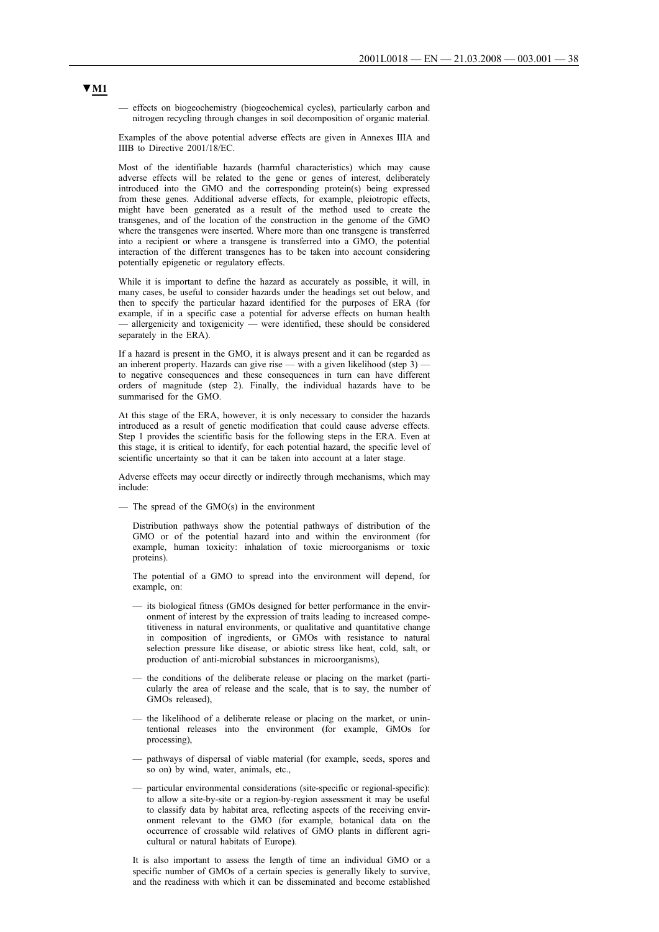— effects on biogeochemistry (biogeochemical cycles), particularly carbon and nitrogen recycling through changes in soil decomposition of organic material.

Examples of the above potential adverse effects are given in Annexes IIIA and IIIB to Directive 2001/18/EC.

Most of the identifiable hazards (harmful characteristics) which may cause adverse effects will be related to the gene or genes of interest, deliberately introduced into the GMO and the corresponding protein(s) being expressed from these genes. Additional adverse effects, for example, pleiotropic effects, might have been generated as a result of the method used to create the transgenes, and of the location of the construction in the genome of the GMO where the transgenes were inserted. Where more than one transgene is transferred into a recipient or where a transgene is transferred into a GMO, the potential interaction of the different transgenes has to be taken into account considering potentially epigenetic or regulatory effects.

While it is important to define the hazard as accurately as possible, it will, in many cases, be useful to consider hazards under the headings set out below, and then to specify the particular hazard identified for the purposes of ERA (for example, if in a specific case a potential for adverse effects on human health — allergenicity and toxigenicity — were identified, these should be considered separately in the ERA).

If a hazard is present in the GMO, it is always present and it can be regarded as an inherent property. Hazards can give rise — with a given likelihood (step  $3$ ) to negative consequences and these consequences in turn can have different orders of magnitude (step 2). Finally, the individual hazards have to be summarised for the GMO.

At this stage of the ERA, however, it is only necessary to consider the hazards introduced as a result of genetic modification that could cause adverse effects. Step 1 provides the scientific basis for the following steps in the ERA. Even at this stage, it is critical to identify, for each potential hazard, the specific level of scientific uncertainty so that it can be taken into account at a later stage.

Adverse effects may occur directly or indirectly through mechanisms, which may include:

 $-$  The spread of the GMO(s) in the environment

Distribution pathways show the potential pathways of distribution of the GMO or of the potential hazard into and within the environment (for example, human toxicity: inhalation of toxic microorganisms or toxic proteins).

The potential of a GMO to spread into the environment will depend, for example, on:

- its biological fitness (GMOs designed for better performance in the environment of interest by the expression of traits leading to increased competitiveness in natural environments, or qualitative and quantitative change in composition of ingredients, or GMOs with resistance to natural selection pressure like disease, or abiotic stress like heat, cold, salt, or production of anti-microbial substances in microorganisms),
- the conditions of the deliberate release or placing on the market (particularly the area of release and the scale, that is to say, the number of GMOs released),
- the likelihood of a deliberate release or placing on the market, or unintentional releases into the environment (for example, GMOs for processing),
- pathways of dispersal of viable material (for example, seeds, spores and so on) by wind, water, animals, etc.,
- particular environmental considerations (site-specific or regional-specific): to allow a site-by-site or a region-by-region assessment it may be useful to classify data by habitat area, reflecting aspects of the receiving environment relevant to the GMO (for example, botanical data on the occurrence of crossable wild relatives of GMO plants in different agricultural or natural habitats of Europe).

It is also important to assess the length of time an individual GMO or a specific number of GMOs of a certain species is generally likely to survive, and the readiness with which it can be disseminated and become established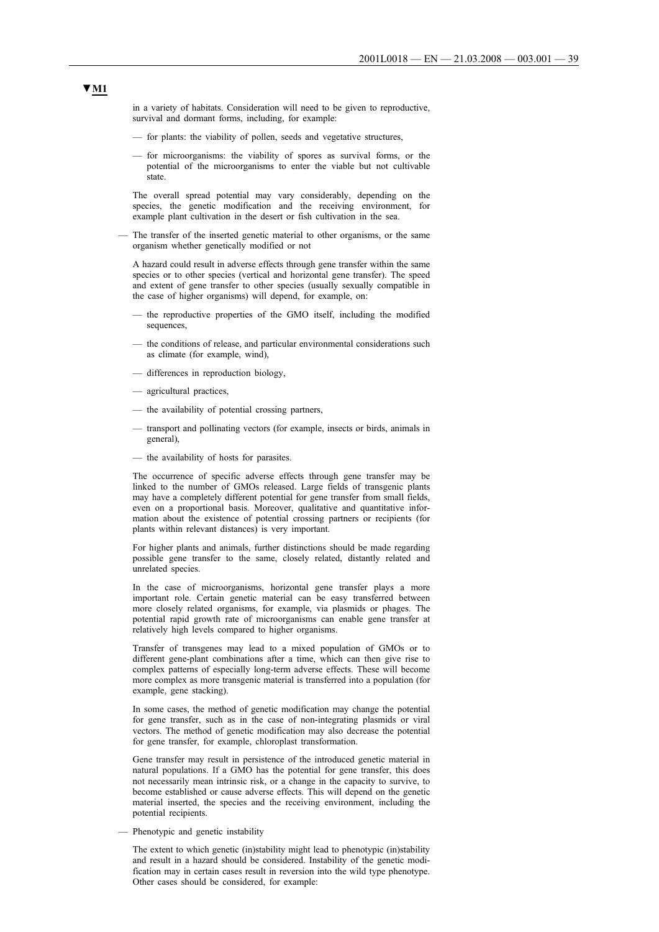in a variety of habitats. Consideration will need to be given to reproductive, survival and dormant forms, including, for example:

- for plants: the viability of pollen, seeds and vegetative structures,
- for microorganisms: the viability of spores as survival forms, or the potential of the microorganisms to enter the viable but not cultivable state.

The overall spread potential may vary considerably, depending on the species, the genetic modification and the receiving environment, for example plant cultivation in the desert or fish cultivation in the sea.

The transfer of the inserted genetic material to other organisms, or the same organism whether genetically modified or not

A hazard could result in adverse effects through gene transfer within the same species or to other species (vertical and horizontal gene transfer). The speed and extent of gene transfer to other species (usually sexually compatible in the case of higher organisms) will depend, for example, on:

- the reproductive properties of the GMO itself, including the modified sequences,
- the conditions of release, and particular environmental considerations such as climate (for example, wind),
- differences in reproduction biology,
- agricultural practices,
- the availability of potential crossing partners,
- transport and pollinating vectors (for example, insects or birds, animals in general),
- the availability of hosts for parasites.

The occurrence of specific adverse effects through gene transfer may be linked to the number of GMOs released. Large fields of transgenic plants may have a completely different potential for gene transfer from small fields, even on a proportional basis. Moreover, qualitative and quantitative information about the existence of potential crossing partners or recipients (for plants within relevant distances) is very important.

For higher plants and animals, further distinctions should be made regarding possible gene transfer to the same, closely related, distantly related and unrelated species.

In the case of microorganisms, horizontal gene transfer plays a more important role. Certain genetic material can be easy transferred between more closely related organisms, for example, via plasmids or phages. The potential rapid growth rate of microorganisms can enable gene transfer at relatively high levels compared to higher organisms.

Transfer of transgenes may lead to a mixed population of GMOs or to different gene-plant combinations after a time, which can then give rise to complex patterns of especially long-term adverse effects. These will become more complex as more transgenic material is transferred into a population (for example, gene stacking).

In some cases, the method of genetic modification may change the potential for gene transfer, such as in the case of non-integrating plasmids or viral vectors. The method of genetic modification may also decrease the potential for gene transfer, for example, chloroplast transformation.

Gene transfer may result in persistence of the introduced genetic material in natural populations. If a GMO has the potential for gene transfer, this does not necessarily mean intrinsic risk, or a change in the capacity to survive, to become established or cause adverse effects. This will depend on the genetic material inserted, the species and the receiving environment, including the potential recipients.

Phenotypic and genetic instability

The extent to which genetic (in)stability might lead to phenotypic (in)stability and result in a hazard should be considered. Instability of the genetic modification may in certain cases result in reversion into the wild type phenotype. Other cases should be considered, for example: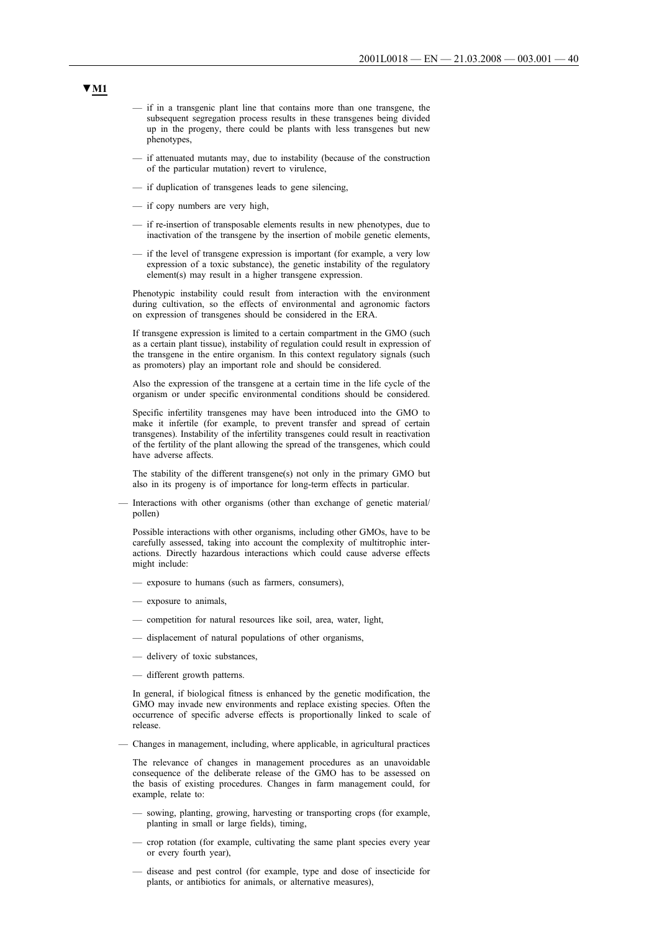- if in a transgenic plant line that contains more than one transgene, the subsequent segregation process results in these transgenes being divided up in the progeny, there could be plants with less transgenes but new phenotypes,
- if attenuated mutants may, due to instability (because of the construction of the particular mutation) revert to virulence,
- if duplication of transgenes leads to gene silencing,
- if copy numbers are very high,
- if re-insertion of transposable elements results in new phenotypes, due to inactivation of the transgene by the insertion of mobile genetic elements,
- if the level of transgene expression is important (for example, a very low expression of a toxic substance), the genetic instability of the regulatory element(s) may result in a higher transgene expression.

Phenotypic instability could result from interaction with the environment during cultivation, so the effects of environmental and agronomic factors on expression of transgenes should be considered in the ERA.

If transgene expression is limited to a certain compartment in the GMO (such as a certain plant tissue), instability of regulation could result in expression of the transgene in the entire organism. In this context regulatory signals (such as promoters) play an important role and should be considered.

Also the expression of the transgene at a certain time in the life cycle of the organism or under specific environmental conditions should be considered.

Specific infertility transgenes may have been introduced into the GMO to make it infertile (for example, to prevent transfer and spread of certain transgenes). Instability of the infertility transgenes could result in reactivation of the fertility of the plant allowing the spread of the transgenes, which could have adverse affects.

The stability of the different transgene(s) not only in the primary GMO but also in its progeny is of importance for long-term effects in particular.

Interactions with other organisms (other than exchange of genetic material/ pollen)

Possible interactions with other organisms, including other GMOs, have to be carefully assessed, taking into account the complexity of multitrophic interactions. Directly hazardous interactions which could cause adverse effects might include:

- exposure to humans (such as farmers, consumers),
- exposure to animals,
- competition for natural resources like soil, area, water, light,
- displacement of natural populations of other organisms,
- delivery of toxic substances,
- different growth patterns.

In general, if biological fitness is enhanced by the genetic modification, the GMO may invade new environments and replace existing species. Often the occurrence of specific adverse effects is proportionally linked to scale of release.

— Changes in management, including, where applicable, in agricultural practices

The relevance of changes in management procedures as an unavoidable consequence of the deliberate release of the GMO has to be assessed on the basis of existing procedures. Changes in farm management could, for example, relate to:

- sowing, planting, growing, harvesting or transporting crops (for example, planting in small or large fields), timing,
- crop rotation (for example, cultivating the same plant species every year or every fourth year),
- disease and pest control (for example, type and dose of insecticide for plants, or antibiotics for animals, or alternative measures),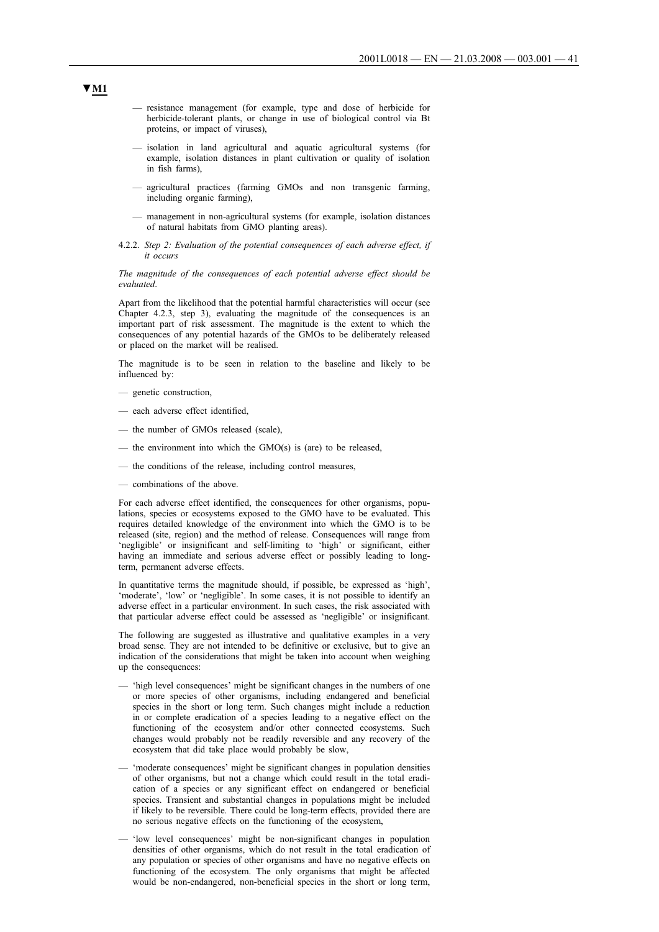- resistance management (for example, type and dose of herbicide for herbicide-tolerant plants, or change in use of biological control via Bt proteins, or impact of viruses),
- isolation in land agricultural and aquatic agricultural systems (for example, isolation distances in plant cultivation or quality of isolation in fish farms),
- agricultural practices (farming GMOs and non transgenic farming, including organic farming),
- management in non-agricultural systems (for example, isolation distances of natural habitats from GMO planting areas).
- 4.2.2. *Step 2: Evaluation of the potential consequences of each adverse effect, if it occurs*

*The magnitude of the consequences of each potential adverse effect should be evaluated*.

Apart from the likelihood that the potential harmful characteristics will occur (see Chapter 4.2.3, step 3), evaluating the magnitude of the consequences is an important part of risk assessment. The magnitude is the extent to which the consequences of any potential hazards of the GMOs to be deliberately released or placed on the market will be realised.

The magnitude is to be seen in relation to the baseline and likely to be influenced by:

- genetic construction,
- each adverse effect identified,
- the number of GMOs released (scale),
- the environment into which the  $GMO(s)$  is (are) to be released.
- the conditions of the release, including control measures,
- combinations of the above.

For each adverse effect identified, the consequences for other organisms, populations, species or ecosystems exposed to the GMO have to be evaluated. This requires detailed knowledge of the environment into which the GMO is to be released (site, region) and the method of release. Consequences will range from 'negligible' or insignificant and self-limiting to 'high' or significant, either having an immediate and serious adverse effect or possibly leading to longterm, permanent adverse effects.

In quantitative terms the magnitude should, if possible, be expressed as 'high', 'moderate', 'low' or 'negligible'. In some cases, it is not possible to identify an adverse effect in a particular environment. In such cases, the risk associated with that particular adverse effect could be assessed as 'negligible' or insignificant.

The following are suggested as illustrative and qualitative examples in a very broad sense. They are not intended to be definitive or exclusive, but to give an indication of the considerations that might be taken into account when weighing up the consequences:

- 'high level consequences' might be significant changes in the numbers of one or more species of other organisms, including endangered and beneficial species in the short or long term. Such changes might include a reduction in or complete eradication of a species leading to a negative effect on the functioning of the ecosystem and/or other connected ecosystems. Such changes would probably not be readily reversible and any recovery of the ecosystem that did take place would probably be slow,
- 'moderate consequences' might be significant changes in population densities of other organisms, but not a change which could result in the total eradication of a species or any significant effect on endangered or beneficial species. Transient and substantial changes in populations might be included if likely to be reversible. There could be long-term effects, provided there are no serious negative effects on the functioning of the ecosystem,
- 'low level consequences' might be non-significant changes in population densities of other organisms, which do not result in the total eradication of any population or species of other organisms and have no negative effects on functioning of the ecosystem. The only organisms that might be affected would be non-endangered, non-beneficial species in the short or long term,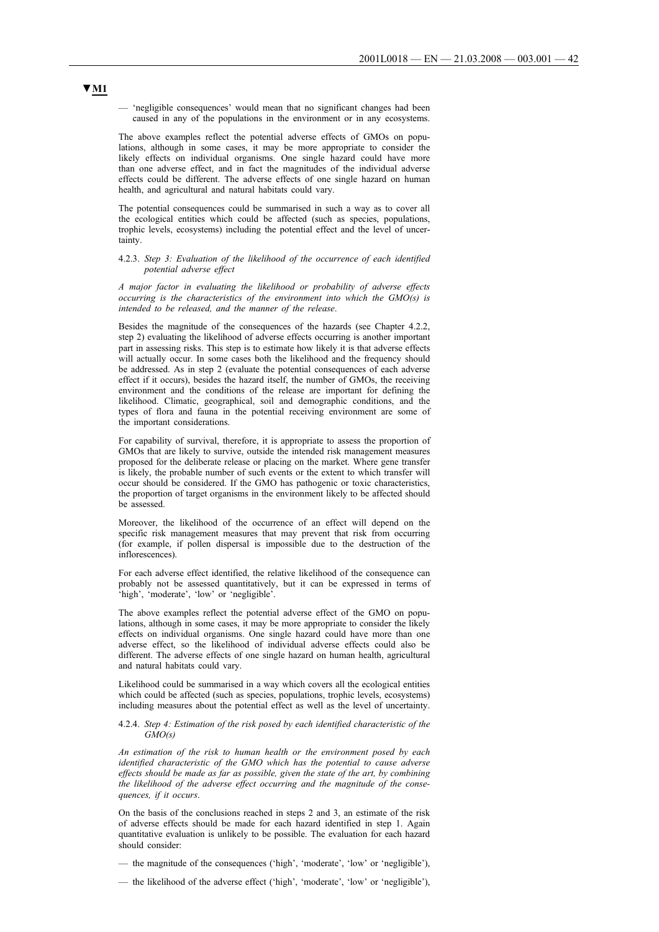— 'negligible consequences' would mean that no significant changes had been caused in any of the populations in the environment or in any ecosystems.

The above examples reflect the potential adverse effects of GMOs on populations, although in some cases, it may be more appropriate to consider the likely effects on individual organisms. One single hazard could have more than one adverse effect, and in fact the magnitudes of the individual adverse effects could be different. The adverse effects of one single hazard on human health, and agricultural and natural habitats could vary.

The potential consequences could be summarised in such a way as to cover all the ecological entities which could be affected (such as species, populations, trophic levels, ecosystems) including the potential effect and the level of uncertainty.

#### 4.2.3. *Step 3: Evaluation of the likelihood of the occurrence of each identified potential adverse effect*

*A major factor in evaluating the likelihood or probability of adverse effects occurring is the characteristics of the environment into which the GMO(s) is intended to be released, and the manner of the release*.

Besides the magnitude of the consequences of the hazards (see Chapter 4.2.2, step 2) evaluating the likelihood of adverse effects occurring is another important part in assessing risks. This step is to estimate how likely it is that adverse effects will actually occur. In some cases both the likelihood and the frequency should be addressed. As in step 2 (evaluate the potential consequences of each adverse effect if it occurs), besides the hazard itself, the number of GMOs, the receiving environment and the conditions of the release are important for defining the likelihood. Climatic, geographical, soil and demographic conditions, and the types of flora and fauna in the potential receiving environment are some of the important considerations.

For capability of survival, therefore, it is appropriate to assess the proportion of GMOs that are likely to survive, outside the intended risk management measures proposed for the deliberate release or placing on the market. Where gene transfer is likely, the probable number of such events or the extent to which transfer will occur should be considered. If the GMO has pathogenic or toxic characteristics, the proportion of target organisms in the environment likely to be affected should be assessed.

Moreover, the likelihood of the occurrence of an effect will depend on the specific risk management measures that may prevent that risk from occurring (for example, if pollen dispersal is impossible due to the destruction of the inflorescences).

For each adverse effect identified, the relative likelihood of the consequence can probably not be assessed quantitatively, but it can be expressed in terms of 'high', 'moderate', 'low' or 'negligible'.

The above examples reflect the potential adverse effect of the GMO on populations, although in some cases, it may be more appropriate to consider the likely effects on individual organisms. One single hazard could have more than one adverse effect, so the likelihood of individual adverse effects could also be different. The adverse effects of one single hazard on human health, agricultural and natural habitats could vary.

Likelihood could be summarised in a way which covers all the ecological entities which could be affected (such as species, populations, trophic levels, ecosystems) including measures about the potential effect as well as the level of uncertainty.

#### 4.2.4. *Step 4: Estimation of the risk posed by each identified characteristic of the GMO(s)*

*An estimation of the risk to human health or the environment posed by each identified characteristic of the GMO which has the potential to cause adverse effects should be made as far as possible, given the state of the art, by combining the likelihood of the adverse effect occurring and the magnitude of the consequences, if it occurs*.

On the basis of the conclusions reached in steps 2 and 3, an estimate of the risk of adverse effects should be made for each hazard identified in step 1. Again quantitative evaluation is unlikely to be possible. The evaluation for each hazard should consider:

- the magnitude of the consequences ('high', 'moderate', 'low' or 'negligible'),
- the likelihood of the adverse effect ('high', 'moderate', 'low' or 'negligible'),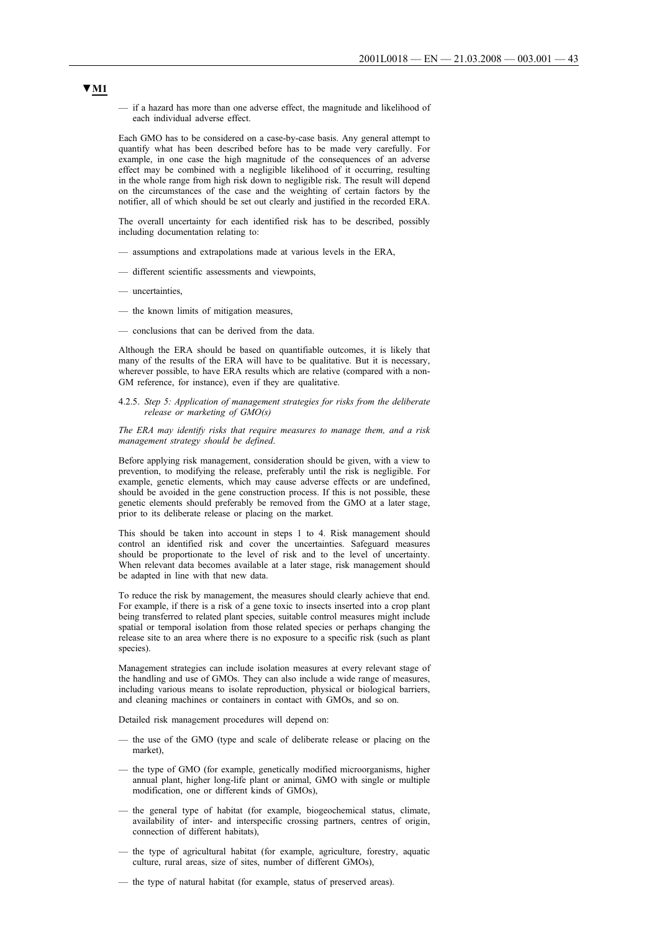— if a hazard has more than one adverse effect, the magnitude and likelihood of each individual adverse effect.

Each GMO has to be considered on a case-by-case basis. Any general attempt to quantify what has been described before has to be made very carefully. For example, in one case the high magnitude of the consequences of an adverse effect may be combined with a negligible likelihood of it occurring, resulting in the whole range from high risk down to negligible risk. The result will depend on the circumstances of the case and the weighting of certain factors by the notifier, all of which should be set out clearly and justified in the recorded ERA.

The overall uncertainty for each identified risk has to be described, possibly including documentation relating to:

- assumptions and extrapolations made at various levels in the ERA,
- different scientific assessments and viewpoints,
- uncertainties,
- the known limits of mitigation measures,
- conclusions that can be derived from the data.

Although the ERA should be based on quantifiable outcomes, it is likely that many of the results of the ERA will have to be qualitative. But it is necessary, wherever possible, to have ERA results which are relative (compared with a non-GM reference, for instance), even if they are qualitative.

#### 4.2.5. *Step 5: Application of management strategies for risks from the deliberate release or marketing of GMO(s)*

*The ERA may identify risks that require measures to manage them, and a risk management strategy should be defined*.

Before applying risk management, consideration should be given, with a view to prevention, to modifying the release, preferably until the risk is negligible. For example, genetic elements, which may cause adverse effects or are undefined, should be avoided in the gene construction process. If this is not possible, these genetic elements should preferably be removed from the GMO at a later stage, prior to its deliberate release or placing on the market.

This should be taken into account in steps 1 to 4. Risk management should control an identified risk and cover the uncertainties. Safeguard measures should be proportionate to the level of risk and to the level of uncertainty. When relevant data becomes available at a later stage, risk management should be adapted in line with that new data.

To reduce the risk by management, the measures should clearly achieve that end. For example, if there is a risk of a gene toxic to insects inserted into a crop plant being transferred to related plant species, suitable control measures might include spatial or temporal isolation from those related species or perhaps changing the release site to an area where there is no exposure to a specific risk (such as plant species).

Management strategies can include isolation measures at every relevant stage of the handling and use of GMOs. They can also include a wide range of measures, including various means to isolate reproduction, physical or biological barriers, and cleaning machines or containers in contact with GMOs, and so on.

Detailed risk management procedures will depend on:

- the use of the GMO (type and scale of deliberate release or placing on the market),
- the type of GMO (for example, genetically modified microorganisms, higher annual plant, higher long-life plant or animal, GMO with single or multiple modification, one or different kinds of GMOs),
- the general type of habitat (for example, biogeochemical status, climate, availability of inter- and interspecific crossing partners, centres of origin, connection of different habitats),
- the type of agricultural habitat (for example, agriculture, forestry, aquatic culture, rural areas, size of sites, number of different GMOs),
- the type of natural habitat (for example, status of preserved areas).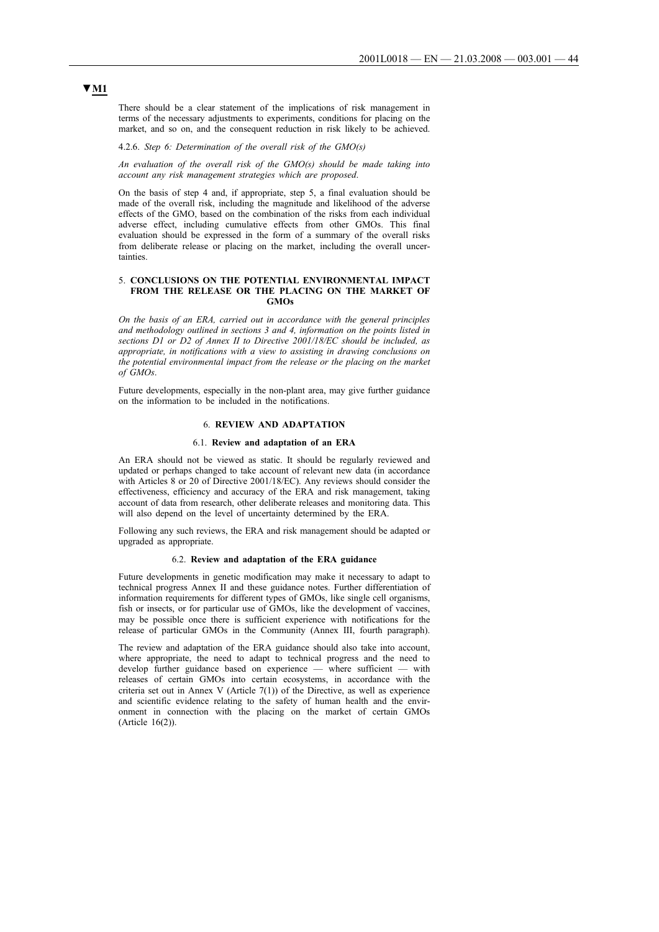There should be a clear statement of the implications of risk management in terms of the necessary adjustments to experiments, conditions for placing on the market, and so on, and the consequent reduction in risk likely to be achieved.

#### 4.2.6. *Step 6: Determination of the overall risk of the GMO(s)*

*An evaluation of the overall risk of the GMO(s) should be made taking into account any risk management strategies which are proposed*.

On the basis of step 4 and, if appropriate, step 5, a final evaluation should be made of the overall risk, including the magnitude and likelihood of the adverse effects of the GMO, based on the combination of the risks from each individual adverse effect, including cumulative effects from other GMOs. This final evaluation should be expressed in the form of a summary of the overall risks from deliberate release or placing on the market, including the overall uncertainties.

#### 5. **CONCLUSIONS ON THE POTENTIAL ENVIRONMENTAL IMPACT FROM THE RELEASE OR THE PLACING ON THE MARKET OF GMOs**

*On the basis of an ERA, carried out in accordance with the general principles and methodology outlined in sections 3 and 4, information on the points listed in sections D1 or D2 of Annex II to Directive 2001/18/EC should be included, as appropriate, in notifications with a view to assisting in drawing conclusions on the potential environmental impact from the release or the placing on the market of GMOs*.

Future developments, especially in the non-plant area, may give further guidance on the information to be included in the notifications.

#### 6. **REVIEW AND ADAPTATION**

#### 6.1. **Review and adaptation of an ERA**

An ERA should not be viewed as static. It should be regularly reviewed and updated or perhaps changed to take account of relevant new data (in accordance with Articles 8 or 20 of Directive 2001/18/EC). Any reviews should consider the effectiveness, efficiency and accuracy of the ERA and risk management, taking account of data from research, other deliberate releases and monitoring data. This will also depend on the level of uncertainty determined by the ERA.

Following any such reviews, the ERA and risk management should be adapted or upgraded as appropriate.

#### 6.2. **Review and adaptation of the ERA guidance**

Future developments in genetic modification may make it necessary to adapt to technical progress Annex II and these guidance notes. Further differentiation of information requirements for different types of GMOs, like single cell organisms, fish or insects, or for particular use of GMOs, like the development of vaccines, may be possible once there is sufficient experience with notifications for the release of particular GMOs in the Community (Annex III, fourth paragraph).

The review and adaptation of the ERA guidance should also take into account, where appropriate, the need to adapt to technical progress and the need to develop further guidance based on experience — where sufficient — with releases of certain GMOs into certain ecosystems, in accordance with the criteria set out in Annex V (Article 7(1)) of the Directive, as well as experience and scientific evidence relating to the safety of human health and the environment in connection with the placing on the market of certain GMOs (Article 16(2)).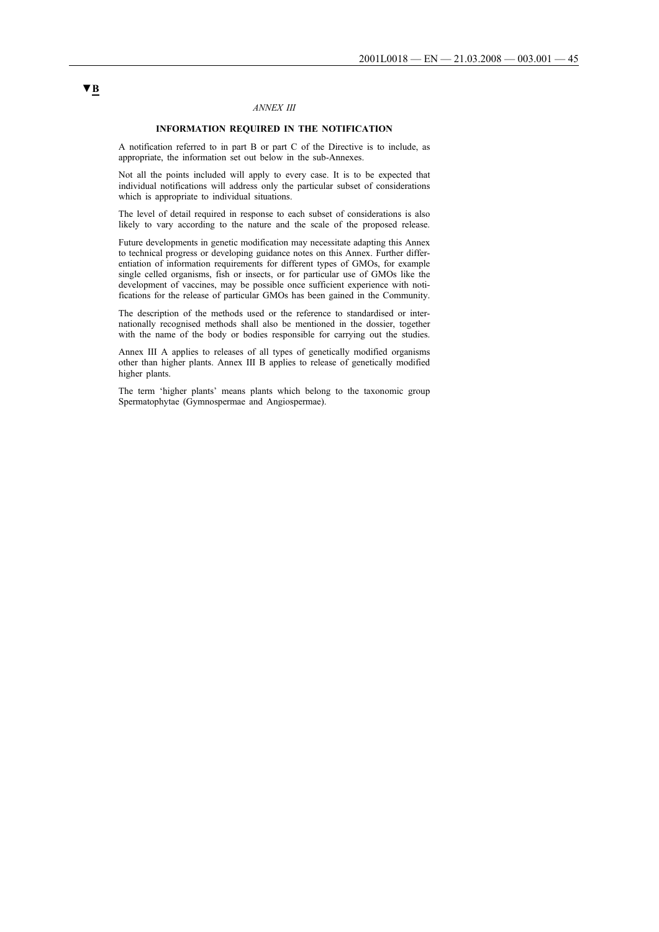### *ANNEX III*

# **INFORMATION REQUIRED IN THE NOTIFICATION**

A notification referred to in part B or part C of the Directive is to include, as appropriate, the information set out below in the sub-Annexes.

Not all the points included will apply to every case. It is to be expected that individual notifications will address only the particular subset of considerations which is appropriate to individual situations.

The level of detail required in response to each subset of considerations is also likely to vary according to the nature and the scale of the proposed release.

Future developments in genetic modification may necessitate adapting this Annex to technical progress or developing guidance notes on this Annex. Further differentiation of information requirements for different types of GMOs, for example single celled organisms, fish or insects, or for particular use of GMOs like the development of vaccines, may be possible once sufficient experience with notifications for the release of particular GMOs has been gained in the Community.

The description of the methods used or the reference to standardised or internationally recognised methods shall also be mentioned in the dossier, together with the name of the body or bodies responsible for carrying out the studies.

Annex III A applies to releases of all types of genetically modified organisms other than higher plants. Annex III B applies to release of genetically modified higher plants.

The term 'higher plants' means plants which belong to the taxonomic group Spermatophytae (Gymnospermae and Angiospermae).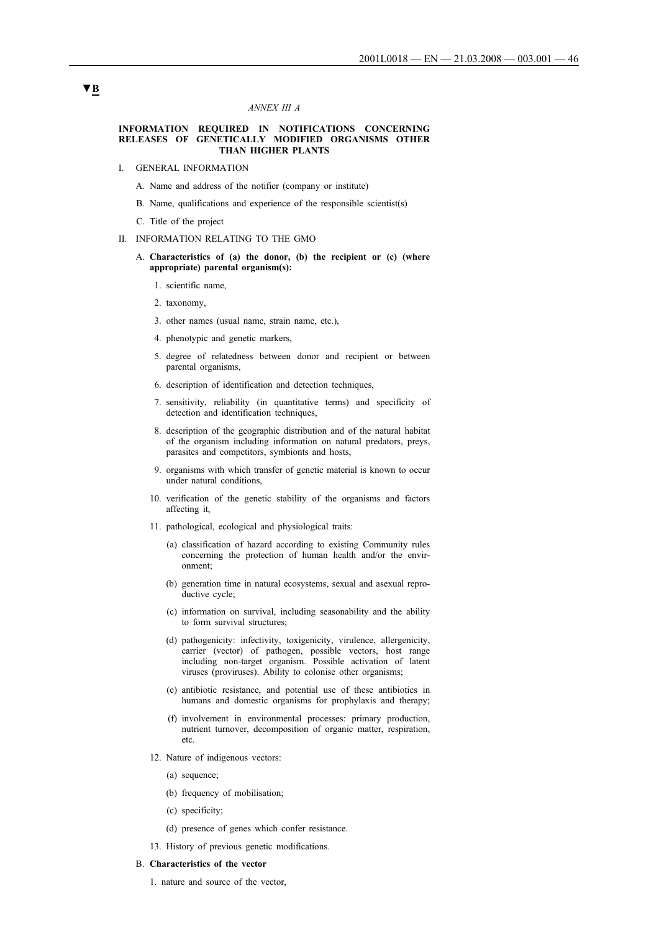#### *ANNEX III A*

#### **INFORMATION REQUIRED IN NOTIFICATIONS CONCERNING RELEASES OF GENETICALLY MODIFIED ORGANISMS OTHER THAN HIGHER PLANTS**

- I. GENERAL INFORMATION
	- A. Name and address of the notifier (company or institute)
	- B. Name, qualifications and experience of the responsible scientist(s)
	- C. Title of the project
- II. INFORMATION RELATING TO THE GMO
	- A. **Characteristics of (a) the donor, (b) the recipient or (c) (where appropriate) parental organism(s):**
		- 1. scientific name,
		- 2. taxonomy,
		- 3. other names (usual name, strain name, etc.),
		- 4. phenotypic and genetic markers,
		- 5. degree of relatedness between donor and recipient or between parental organisms,
		- 6. description of identification and detection techniques,
		- 7. sensitivity, reliability (in quantitative terms) and specificity of detection and identification techniques,
		- 8. description of the geographic distribution and of the natural habitat of the organism including information on natural predators, preys, parasites and competitors, symbionts and hosts,
		- 9. organisms with which transfer of genetic material is known to occur under natural conditions,
		- 10. verification of the genetic stability of the organisms and factors affecting it,
		- 11. pathological, ecological and physiological traits:
			- (a) classification of hazard according to existing Community rules concerning the protection of human health and/or the environment;
			- (b) generation time in natural ecosystems, sexual and asexual reproductive cycle;
			- (c) information on survival, including seasonability and the ability to form survival structures;
			- (d) pathogenicity: infectivity, toxigenicity, virulence, allergenicity, carrier (vector) of pathogen, possible vectors, host range including non-target organism. Possible activation of latent viruses (proviruses). Ability to colonise other organisms;
			- (e) antibiotic resistance, and potential use of these antibiotics in humans and domestic organisms for prophylaxis and therapy;
			- (f) involvement in environmental processes: primary production, nutrient turnover, decomposition of organic matter, respiration, etc.
		- 12. Nature of indigenous vectors:
			- (a) sequence;
			- (b) frequency of mobilisation;
			- (c) specificity;
			- (d) presence of genes which confer resistance.
		- 13. History of previous genetic modifications.

### B. **Characteristics of the vector**

1. nature and source of the vector,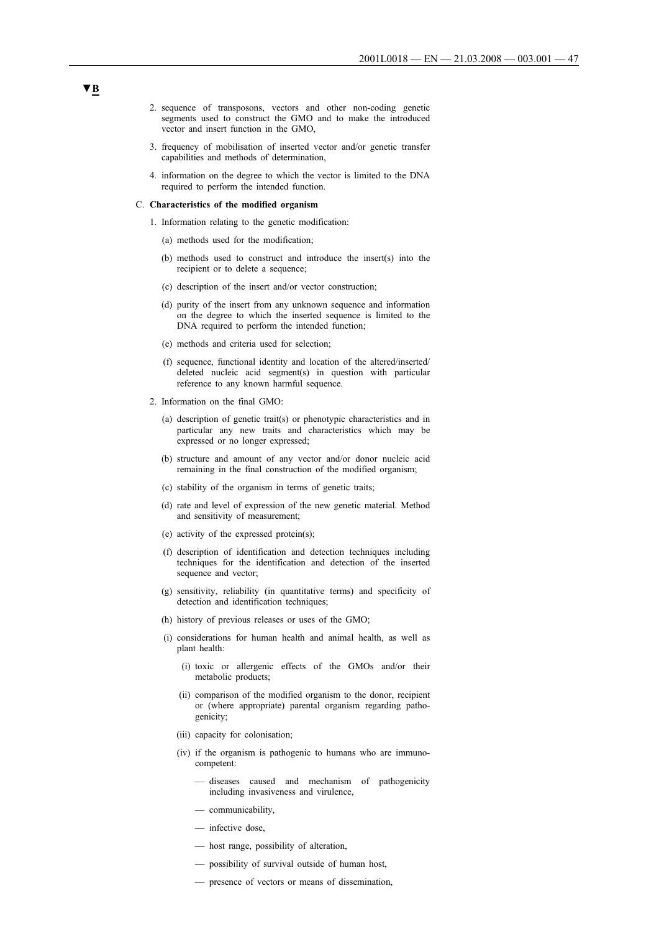- 2. sequence of transposons, vectors and other non-coding genetic segments used to construct the GMO and to make the introduced vector and insert function in the GMO,
- 3. frequency of mobilisation of inserted vector and/or genetic transfer capabilities and methods of determination,
- 4. information on the degree to which the vector is limited to the DNA required to perform the intended function.

#### C. **Characteristics of the modified organism**

- 1. Information relating to the genetic modification:
	- (a) methods used for the modification;
	- (b) methods used to construct and introduce the insert(s) into the recipient or to delete a sequence;
	- (c) description of the insert and/or vector construction;
	- (d) purity of the insert from any unknown sequence and information on the degree to which the inserted sequence is limited to the DNA required to perform the intended function;
	- (e) methods and criteria used for selection;
	- (f) sequence, functional identity and location of the altered/inserted/ deleted nucleic acid segment(s) in question with particular reference to any known harmful sequence.
- 2. Information on the final GMO:
	- (a) description of genetic trait(s) or phenotypic characteristics and in particular any new traits and characteristics which may be expressed or no longer expressed;
	- (b) structure and amount of any vector and/or donor nucleic acid remaining in the final construction of the modified organism;
	- (c) stability of the organism in terms of genetic traits;
	- (d) rate and level of expression of the new genetic material. Method and sensitivity of measurement;
	- (e) activity of the expressed protein(s);
	- (f) description of identification and detection techniques including techniques for the identification and detection of the inserted sequence and vector;
	- (g) sensitivity, reliability (in quantitative terms) and specificity of detection and identification techniques;
	- (h) history of previous releases or uses of the GMO;
	- (i) considerations for human health and animal health, as well as plant health:
		- (i) toxic or allergenic effects of the GMOs and/or their metabolic products;
		- (ii) comparison of the modified organism to the donor, recipient or (where appropriate) parental organism regarding pathogenicity;
		- (iii) capacity for colonisation;
		- (iv) if the organism is pathogenic to humans who are immunocompetent:
			- diseases caused and mechanism of pathogenicity including invasiveness and virulence,
			- communicability,
			- infective dose,
			- host range, possibility of alteration,
			- possibility of survival outside of human host,
			- presence of vectors or means of dissemination,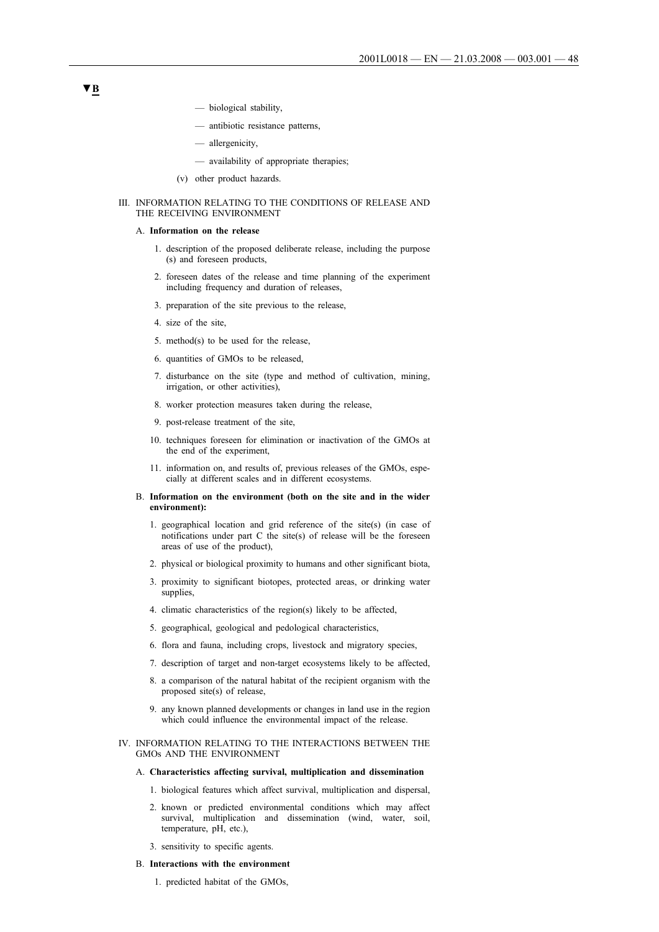- biological stability,
- antibiotic resistance patterns,
- allergenicity,
- availability of appropriate therapies;
- (v) other product hazards.

### III. INFORMATION RELATING TO THE CONDITIONS OF RELEASE AND THE RECEIVING ENVIRONMENT

#### A. **Information on the release**

- 1. description of the proposed deliberate release, including the purpose (s) and foreseen products,
- 2. foreseen dates of the release and time planning of the experiment including frequency and duration of releases,
- 3. preparation of the site previous to the release,
- 4. size of the site,
- 5. method(s) to be used for the release,
- 6. quantities of GMOs to be released,
- 7. disturbance on the site (type and method of cultivation, mining, irrigation, or other activities),
- 8. worker protection measures taken during the release,
- 9. post-release treatment of the site,
- 10. techniques foreseen for elimination or inactivation of the GMOs at the end of the experiment,
- 11. information on, and results of, previous releases of the GMOs, especially at different scales and in different ecosystems.

#### B. **Information on the environment (both on the site and in the wider environment):**

- 1. geographical location and grid reference of the site(s) (in case of notifications under part C the site(s) of release will be the foreseen areas of use of the product),
- 2. physical or biological proximity to humans and other significant biota,
- 3. proximity to significant biotopes, protected areas, or drinking water supplies,
- 4. climatic characteristics of the region(s) likely to be affected,
- 5. geographical, geological and pedological characteristics,
- 6. flora and fauna, including crops, livestock and migratory species,
- 7. description of target and non-target ecosystems likely to be affected,
- 8. a comparison of the natural habitat of the recipient organism with the proposed site(s) of release,
- 9. any known planned developments or changes in land use in the region which could influence the environmental impact of the release.
- IV. INFORMATION RELATING TO THE INTERACTIONS BETWEEN THE GMOs AND THE ENVIRONMENT

#### A. **Characteristics affecting survival, multiplication and dissemination**

- 1. biological features which affect survival, multiplication and dispersal,
- 2. known or predicted environmental conditions which may affect survival, multiplication and dissemination (wind, water, soil, temperature, pH, etc.),
- 3. sensitivity to specific agents.

#### B. **Interactions with the environment**

1. predicted habitat of the GMOs,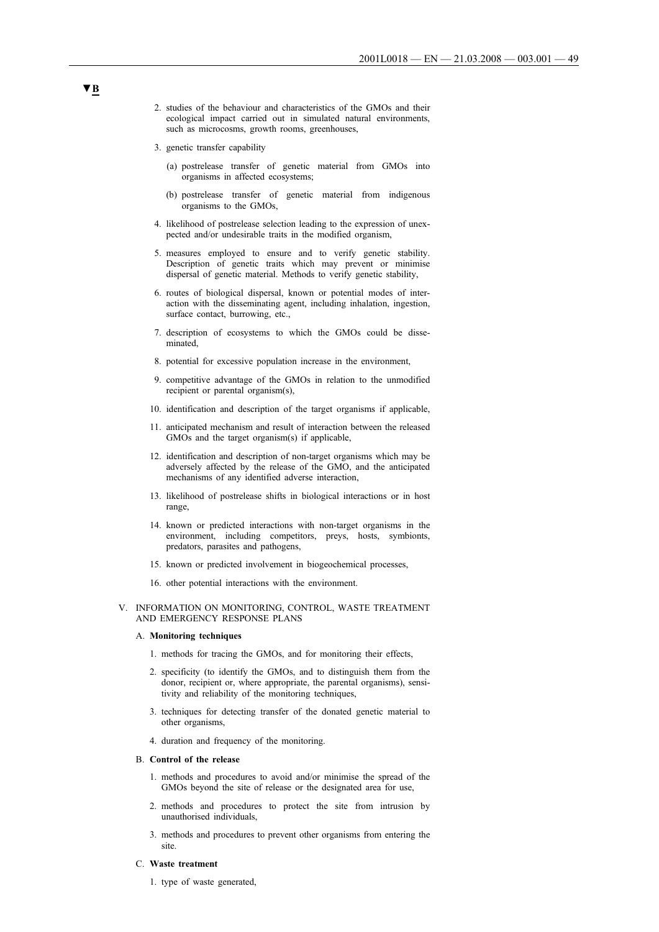- 2. studies of the behaviour and characteristics of the GMOs and their ecological impact carried out in simulated natural environments, such as microcosms, growth rooms, greenhouses,
- 3. genetic transfer capability
	- (a) postrelease transfer of genetic material from GMOs into organisms in affected ecosystems;
	- (b) postrelease transfer of genetic material from indigenous organisms to the GMOs,
- 4. likelihood of postrelease selection leading to the expression of unexpected and/or undesirable traits in the modified organism,
- 5. measures employed to ensure and to verify genetic stability. Description of genetic traits which may prevent or minimise dispersal of genetic material. Methods to verify genetic stability,
- 6. routes of biological dispersal, known or potential modes of interaction with the disseminating agent, including inhalation, ingestion, surface contact, burrowing, etc.,
- 7. description of ecosystems to which the GMOs could be disseminated,
- 8. potential for excessive population increase in the environment,
- 9. competitive advantage of the GMOs in relation to the unmodified recipient or parental organism(s),
- 10. identification and description of the target organisms if applicable,
- 11. anticipated mechanism and result of interaction between the released GMOs and the target organism(s) if applicable,
- 12. identification and description of non-target organisms which may be adversely affected by the release of the GMO, and the anticipated mechanisms of any identified adverse interaction,
- 13. likelihood of postrelease shifts in biological interactions or in host range,
- 14. known or predicted interactions with non-target organisms in the environment, including competitors, preys, hosts, symbionts, predators, parasites and pathogens,
- 15. known or predicted involvement in biogeochemical processes,
- 16. other potential interactions with the environment.

#### V. INFORMATION ON MONITORING, CONTROL, WASTE TREATMENT AND EMERGENCY RESPONSE PLANS

### A. **Monitoring techniques**

- 1. methods for tracing the GMOs, and for monitoring their effects,
- 2. specificity (to identify the GMOs, and to distinguish them from the donor, recipient or, where appropriate, the parental organisms), sensitivity and reliability of the monitoring techniques,
- 3. techniques for detecting transfer of the donated genetic material to other organisms,
- 4. duration and frequency of the monitoring.

#### B. **Control of the release**

- 1. methods and procedures to avoid and/or minimise the spread of the GMOs beyond the site of release or the designated area for use,
- 2. methods and procedures to protect the site from intrusion by unauthorised individuals,
- 3. methods and procedures to prevent other organisms from entering the site.

#### C. **Waste treatment**

1. type of waste generated,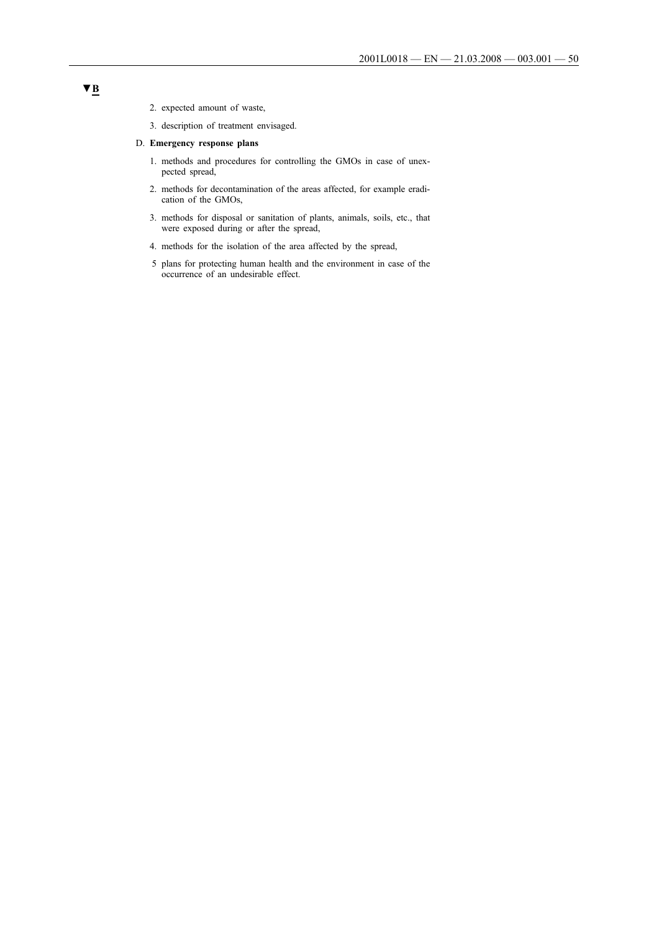- 2. expected amount of waste,
- 3. description of treatment envisaged.

### D. **Emergency response plans**

- 1. methods and procedures for controlling the GMOs in case of unexpected spread,
- 2. methods for decontamination of the areas affected, for example eradication of the GMOs,
- 3. methods for disposal or sanitation of plants, animals, soils, etc., that were exposed during or after the spread,
- 4. methods for the isolation of the area affected by the spread,
- 5 plans for protecting human health and the environment in case of the occurrence of an undesirable effect.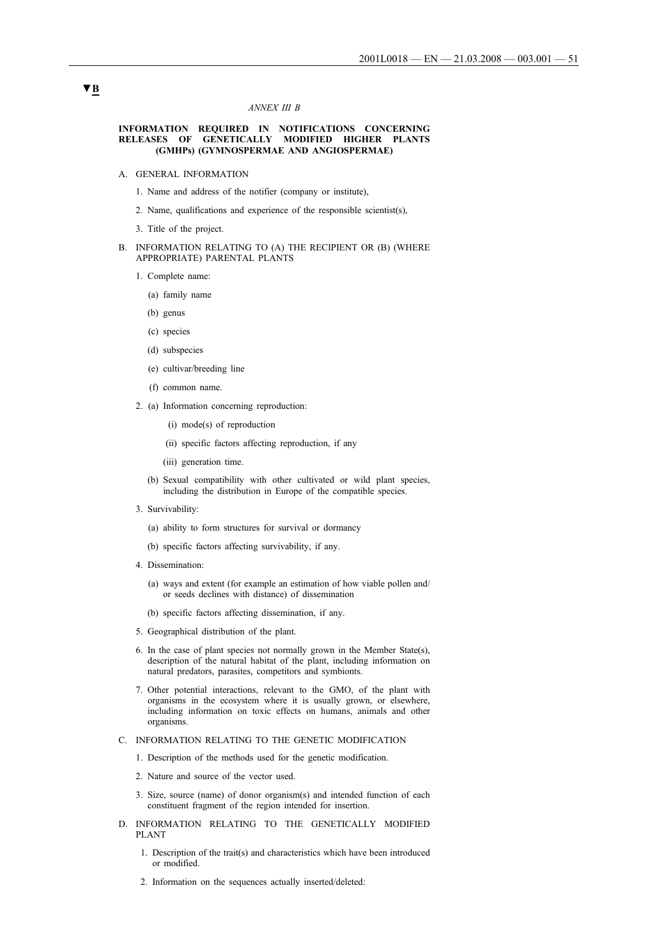### *ANNEX III B*

### **INFORMATION REQUIRED IN NOTIFICATIONS CONCERNING RELEASES OF GENETICALLY MODIFIED HIGHER PLANTS (GMHPs) (GYMNOSPERMAE AND ANGIOSPERMAE)**

- A. GENERAL INFORMATION
	- 1. Name and address of the notifier (company or institute),
	- 2. Name, qualifications and experience of the responsible scientist(s),
	- 3. Title of the project.
- B. INFORMATION RELATING TO (A) THE RECIPIENT OR (B) (WHERE APPROPRIATE) PARENTAL PLANTS
	- 1. Complete name:
		- (a) family name
		- (b) genus
		- (c) species
		- (d) subspecies
		- (e) cultivar/breeding line
		- (f) common name.
	- 2. (a) Information concerning reproduction:
		- (i) mode(s) of reproduction
		- (ii) specific factors affecting reproduction, if any
		- (iii) generation time.
		- (b) Sexual compatibility with other cultivated or wild plant species, including the distribution in Europe of the compatible species.
	- 3. Survivability:
		- (a) ability to form structures for survival or dormancy
		- (b) specific factors affecting survivability, if any.
	- 4. Dissemination:
		- (a) ways and extent (for example an estimation of how viable pollen and/ or seeds declines with distance) of dissemination
		- (b) specific factors affecting dissemination, if any.
	- 5. Geographical distribution of the plant.
	- 6. In the case of plant species not normally grown in the Member State(s), description of the natural habitat of the plant, including information on natural predators, parasites, competitors and symbionts.
	- 7. Other potential interactions, relevant to the GMO, of the plant with organisms in the ecosystem where it is usually grown, or elsewhere, including information on toxic effects on humans, animals and other organisms.

### C. INFORMATION RELATING TO THE GENETIC MODIFICATION

- 1. Description of the methods used for the genetic modification.
- 2. Nature and source of the vector used.
- 3. Size, source (name) of donor organism(s) and intended function of each constituent fragment of the region intended for insertion.
- D. INFORMATION RELATING TO THE GENETICALLY MODIFIED PLANT
	- 1. Description of the trait(s) and characteristics which have been introduced or modified.
	- 2. Information on the sequences actually inserted/deleted: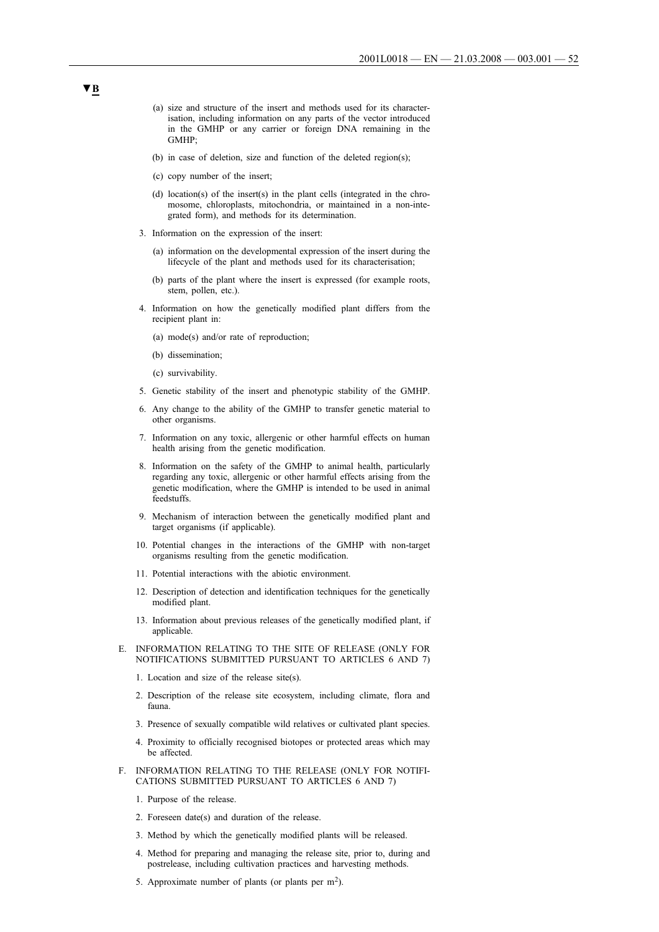- (a) size and structure of the insert and methods used for its characterisation, including information on any parts of the vector introduced in the GMHP or any carrier or foreign DNA remaining in the GMHP;
- (b) in case of deletion, size and function of the deleted region(s);
- (c) copy number of the insert;
- (d) location(s) of the insert(s) in the plant cells (integrated in the chromosome, chloroplasts, mitochondria, or maintained in a non-integrated form), and methods for its determination.
- 3. Information on the expression of the insert:
	- (a) information on the developmental expression of the insert during the lifecycle of the plant and methods used for its characterisation;
	- (b) parts of the plant where the insert is expressed (for example roots, stem, pollen, etc.).
- 4. Information on how the genetically modified plant differs from the recipient plant in:
	- (a) mode(s) and/or rate of reproduction;
	- (b) dissemination;
	- (c) survivability.
- 5. Genetic stability of the insert and phenotypic stability of the GMHP.
- 6. Any change to the ability of the GMHP to transfer genetic material to other organisms.
- 7. Information on any toxic, allergenic or other harmful effects on human health arising from the genetic modification.
- 8. Information on the safety of the GMHP to animal health, particularly regarding any toxic, allergenic or other harmful effects arising from the genetic modification, where the GMHP is intended to be used in animal feedstuffs.
- 9. Mechanism of interaction between the genetically modified plant and target organisms (if applicable).
- 10. Potential changes in the interactions of the GMHP with non-target organisms resulting from the genetic modification.
- 11. Potential interactions with the abiotic environment.
- 12. Description of detection and identification techniques for the genetically modified plant.
- 13. Information about previous releases of the genetically modified plant, if applicable.
- E. INFORMATION RELATING TO THE SITE OF RELEASE (ONLY FOR NOTIFICATIONS SUBMITTED PURSUANT TO ARTICLES 6 AND 7)
	- 1. Location and size of the release site(s).
	- 2. Description of the release site ecosystem, including climate, flora and fauna.
	- 3. Presence of sexually compatible wild relatives or cultivated plant species.
	- 4. Proximity to officially recognised biotopes or protected areas which may be affected.
- F. INFORMATION RELATING TO THE RELEASE (ONLY FOR NOTIFI-CATIONS SUBMITTED PURSUANT TO ARTICLES 6 AND 7)
	- 1. Purpose of the release.
	- 2. Foreseen date(s) and duration of the release.
	- 3. Method by which the genetically modified plants will be released.
	- 4. Method for preparing and managing the release site, prior to, during and postrelease, including cultivation practices and harvesting methods.
	- 5. Approximate number of plants (or plants per  $m<sup>2</sup>$ ).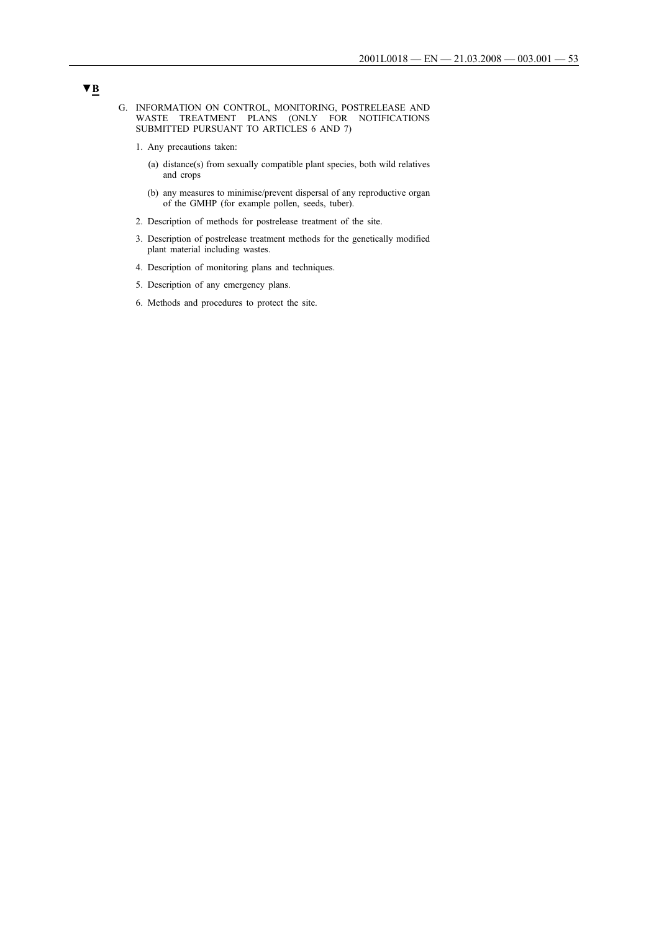- G. INFORMATION ON CONTROL, MONITORING, POSTRELEASE AND WASTE TREATMENT PLANS (ONLY FOR NOTIFICATIONS SUBMITTED PURSUANT TO ARTICLES 6 AND 7)
	- 1. Any precautions taken:
		- (a) distance(s) from sexually compatible plant species, both wild relatives and crops
		- (b) any measures to minimise/prevent dispersal of any reproductive organ of the GMHP (for example pollen, seeds, tuber).
	- 2. Description of methods for postrelease treatment of the site.
	- 3. Description of postrelease treatment methods for the genetically modified plant material including wastes.
	- 4. Description of monitoring plans and techniques.
	- 5. Description of any emergency plans.
	- 6. Methods and procedures to protect the site.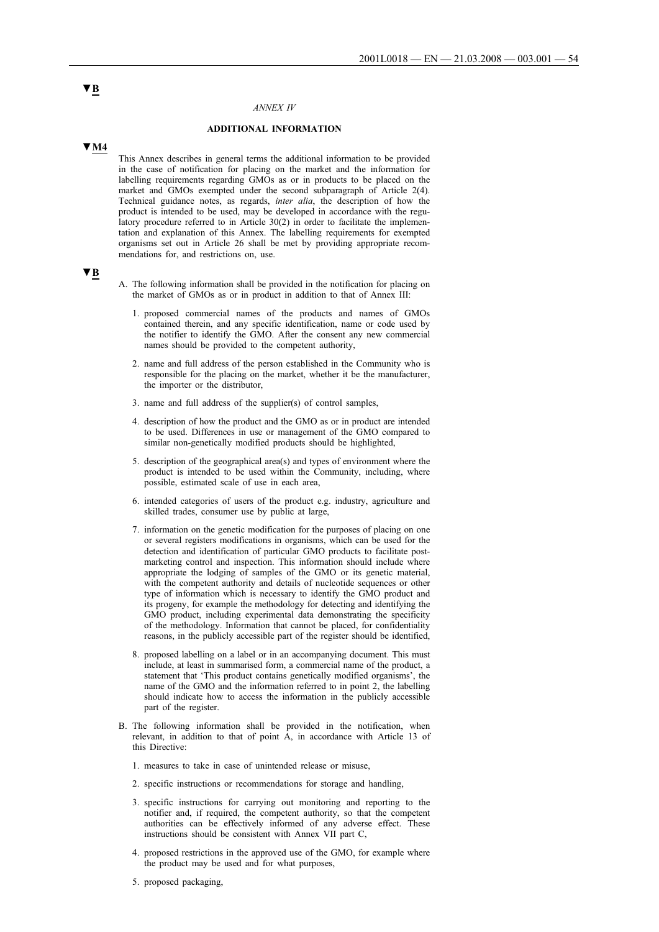#### *ANNEX IV*

### **ADDITIONAL INFORMATION**

#### **▼M4**

This Annex describes in general terms the additional information to be provided in the case of notification for placing on the market and the information for labelling requirements regarding GMOs as or in products to be placed on the market and GMOs exempted under the second subparagraph of Article 2(4). Technical guidance notes, as regards, *inter alia*, the description of how the product is intended to be used, may be developed in accordance with the regulatory procedure referred to in Article 30(2) in order to facilitate the implementation and explanation of this Annex. The labelling requirements for exempted organisms set out in Article 26 shall be met by providing appropriate recommendations for, and restrictions on, use.

# **▼B**

- A. The following information shall be provided in the notification for placing on the market of GMOs as or in product in addition to that of Annex III:
	- 1. proposed commercial names of the products and names of GMOs contained therein, and any specific identification, name or code used by the notifier to identify the GMO. After the consent any new commercial names should be provided to the competent authority,
	- 2. name and full address of the person established in the Community who is responsible for the placing on the market, whether it be the manufacturer, the importer or the distributor,
	- 3. name and full address of the supplier(s) of control samples,
	- 4. description of how the product and the GMO as or in product are intended to be used. Differences in use or management of the GMO compared to similar non-genetically modified products should be highlighted,
	- 5. description of the geographical area(s) and types of environment where the product is intended to be used within the Community, including, where possible, estimated scale of use in each area,
	- 6. intended categories of users of the product e.g. industry, agriculture and skilled trades, consumer use by public at large,
	- 7. information on the genetic modification for the purposes of placing on one or several registers modifications in organisms, which can be used for the detection and identification of particular GMO products to facilitate postmarketing control and inspection. This information should include where appropriate the lodging of samples of the GMO or its genetic material, with the competent authority and details of nucleotide sequences or other type of information which is necessary to identify the GMO product and its progeny, for example the methodology for detecting and identifying the GMO product, including experimental data demonstrating the specificity of the methodology. Information that cannot be placed, for confidentiality reasons, in the publicly accessible part of the register should be identified,
	- 8. proposed labelling on a label or in an accompanying document. This must include, at least in summarised form, a commercial name of the product, a statement that 'This product contains genetically modified organisms', the name of the GMO and the information referred to in point 2, the labelling should indicate how to access the information in the publicly accessible part of the register.
- B. The following information shall be provided in the notification, when relevant, in addition to that of point A, in accordance with Article 13 of this Directive:
	- 1. measures to take in case of unintended release or misuse,
	- 2. specific instructions or recommendations for storage and handling,
	- 3. specific instructions for carrying out monitoring and reporting to the notifier and, if required, the competent authority, so that the competent authorities can be effectively informed of any adverse effect. These instructions should be consistent with Annex VII part C,
	- 4. proposed restrictions in the approved use of the GMO, for example where the product may be used and for what purposes,
	- 5. proposed packaging,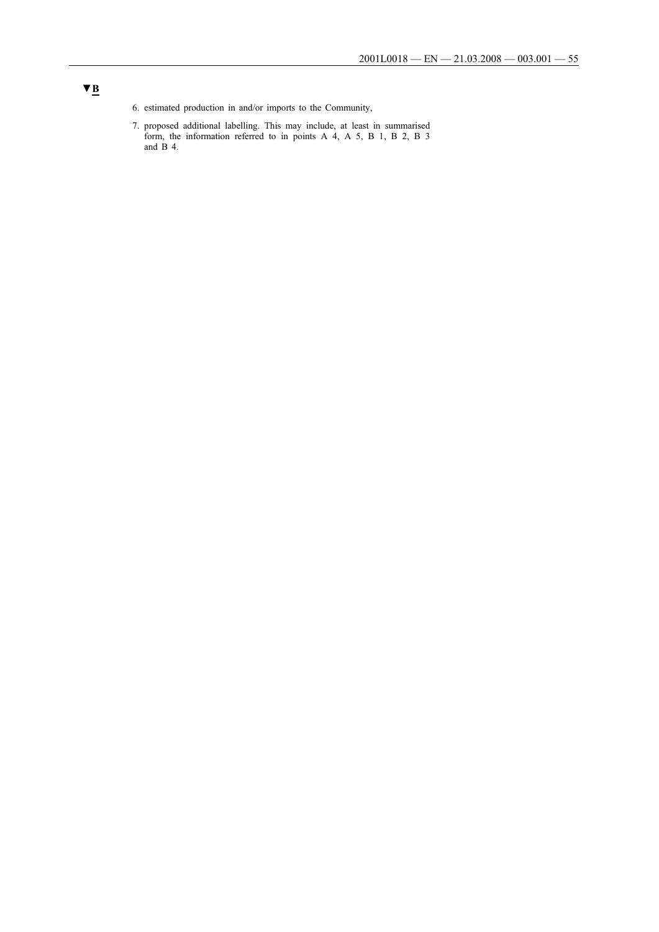- 6. estimated production in and/or imports to the Community,
- 7. proposed additional labelling. This may include, at least in summarised form, the information referred to in points A 4, A 5, B 1, B 2, B 3 and  $\overrightarrow{B}$  4.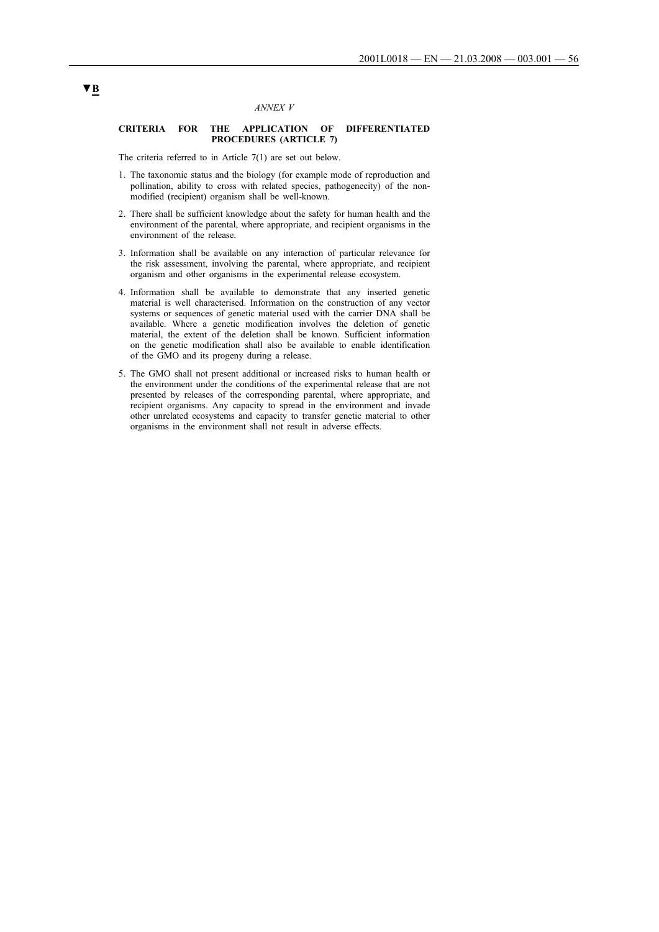### *ANNEX V*

### **CRITERIA FOR THE APPLICATION OF DIFFERENTIATED PROCEDURES (ARTICLE 7)**

The criteria referred to in Article 7(1) are set out below.

- 1. The taxonomic status and the biology (for example mode of reproduction and pollination, ability to cross with related species, pathogenecity) of the nonmodified (recipient) organism shall be well-known.
- 2. There shall be sufficient knowledge about the safety for human health and the environment of the parental, where appropriate, and recipient organisms in the environment of the release.
- 3. Information shall be available on any interaction of particular relevance for the risk assessment, involving the parental, where appropriate, and recipient organism and other organisms in the experimental release ecosystem.
- 4. Information shall be available to demonstrate that any inserted genetic material is well characterised. Information on the construction of any vector systems or sequences of genetic material used with the carrier DNA shall be available. Where a genetic modification involves the deletion of genetic material, the extent of the deletion shall be known. Sufficient information on the genetic modification shall also be available to enable identification of the GMO and its progeny during a release.
- 5. The GMO shall not present additional or increased risks to human health or the environment under the conditions of the experimental release that are not presented by releases of the corresponding parental, where appropriate, and recipient organisms. Any capacity to spread in the environment and invade other unrelated ecosystems and capacity to transfer genetic material to other organisms in the environment shall not result in adverse effects.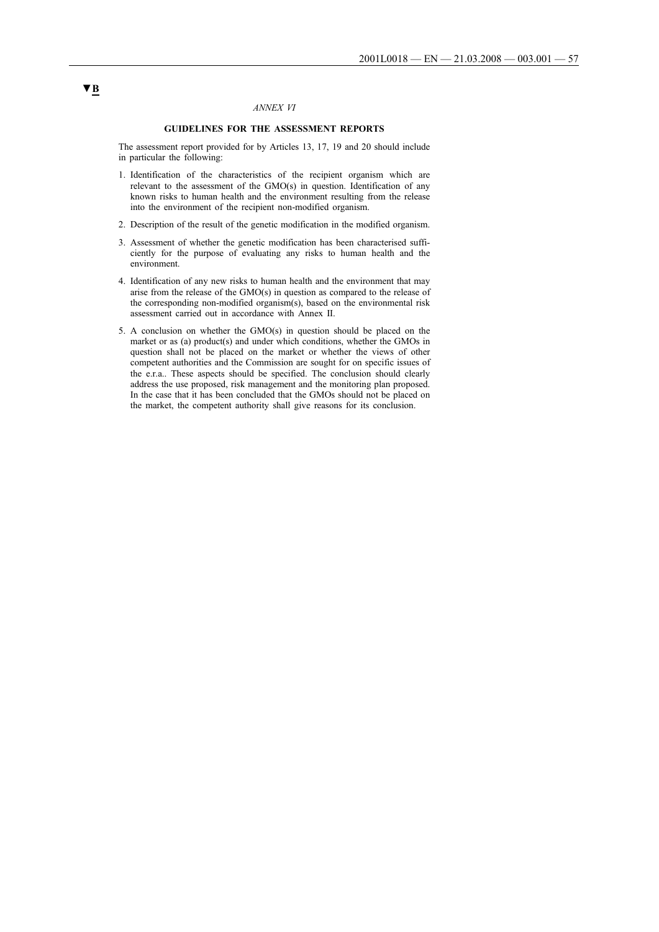### *ANNEX VI*

# **GUIDELINES FOR THE ASSESSMENT REPORTS**

The assessment report provided for by Articles 13, 17, 19 and 20 should include in particular the following:

- 1. Identification of the characteristics of the recipient organism which are relevant to the assessment of the GMO(s) in question. Identification of any known risks to human health and the environment resulting from the release into the environment of the recipient non-modified organism.
- 2. Description of the result of the genetic modification in the modified organism.
- 3. Assessment of whether the genetic modification has been characterised sufficiently for the purpose of evaluating any risks to human health and the environment.
- 4. Identification of any new risks to human health and the environment that may arise from the release of the GMO(s) in question as compared to the release of the corresponding non-modified organism(s), based on the environmental risk assessment carried out in accordance with Annex II.
- 5. A conclusion on whether the GMO(s) in question should be placed on the market or as (a) product(s) and under which conditions, whether the GMOs in question shall not be placed on the market or whether the views of other competent authorities and the Commission are sought for on specific issues of the e.r.a.. These aspects should be specified. The conclusion should clearly address the use proposed, risk management and the monitoring plan proposed. In the case that it has been concluded that the GMOs should not be placed on the market, the competent authority shall give reasons for its conclusion.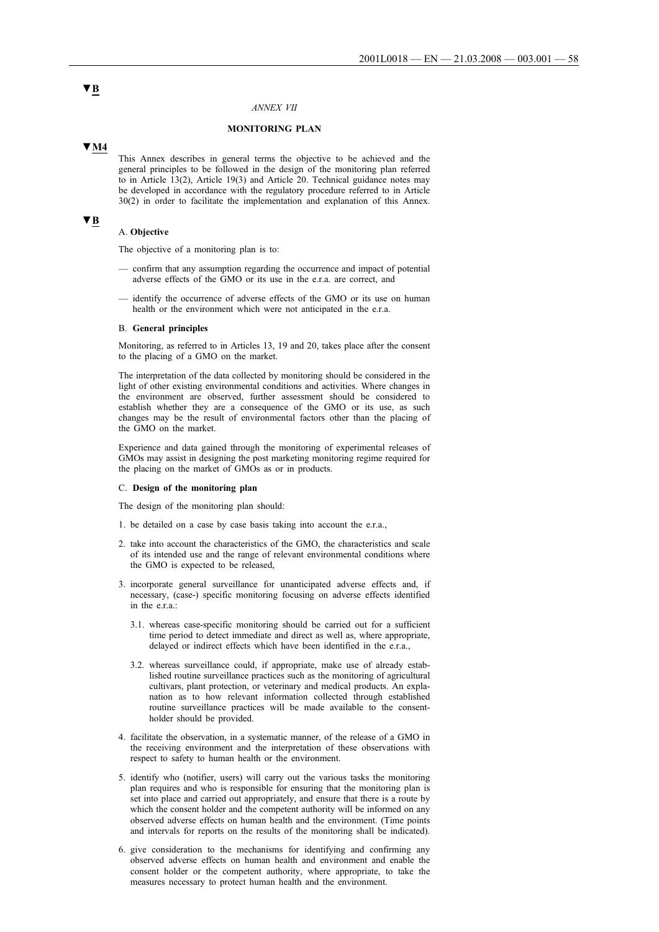#### *ANNEX VII*

## **MONITORING PLAN**

#### **▼M4**

This Annex describes in general terms the objective to be achieved and the general principles to be followed in the design of the monitoring plan referred to in Article 13(2), Article 19(3) and Article 20. Technical guidance notes may be developed in accordance with the regulatory procedure referred to in Article 30(2) in order to facilitate the implementation and explanation of this Annex.

#### **▼B** A. **Objective**

The objective of a monitoring plan is to:

- confirm that any assumption regarding the occurrence and impact of potential adverse effects of the GMO or its use in the e.r.a. are correct, and
- identify the occurrence of adverse effects of the GMO or its use on human health or the environment which were not anticipated in the e.r.a.

#### B. **General principles**

Monitoring, as referred to in Articles 13, 19 and 20, takes place after the consent to the placing of a GMO on the market.

The interpretation of the data collected by monitoring should be considered in the light of other existing environmental conditions and activities. Where changes in the environment are observed, further assessment should be considered to establish whether they are a consequence of the GMO or its use, as such changes may be the result of environmental factors other than the placing of the GMO on the market.

Experience and data gained through the monitoring of experimental releases of GMOs may assist in designing the post marketing monitoring regime required for the placing on the market of GMOs as or in products.

#### C. **Design of the monitoring plan**

The design of the monitoring plan should:

- 1. be detailed on a case by case basis taking into account the e.r.a.,
- 2. take into account the characteristics of the GMO, the characteristics and scale of its intended use and the range of relevant environmental conditions where the GMO is expected to be released,
- 3. incorporate general surveillance for unanticipated adverse effects and, if necessary, (case-) specific monitoring focusing on adverse effects identified in the e.r.a.:
	- 3.1. whereas case-specific monitoring should be carried out for a sufficient time period to detect immediate and direct as well as, where appropriate, delayed or indirect effects which have been identified in the e.r.a.,
	- 3.2. whereas surveillance could, if appropriate, make use of already established routine surveillance practices such as the monitoring of agricultural cultivars, plant protection, or veterinary and medical products. An explanation as to how relevant information collected through established routine surveillance practices will be made available to the consentholder should be provided.
- 4. facilitate the observation, in a systematic manner, of the release of a GMO in the receiving environment and the interpretation of these observations with respect to safety to human health or the environment.
- 5. identify who (notifier, users) will carry out the various tasks the monitoring plan requires and who is responsible for ensuring that the monitoring plan is set into place and carried out appropriately, and ensure that there is a route by which the consent holder and the competent authority will be informed on any observed adverse effects on human health and the environment. (Time points and intervals for reports on the results of the monitoring shall be indicated).
- 6. give consideration to the mechanisms for identifying and confirming any observed adverse effects on human health and environment and enable the consent holder or the competent authority, where appropriate, to take the measures necessary to protect human health and the environment.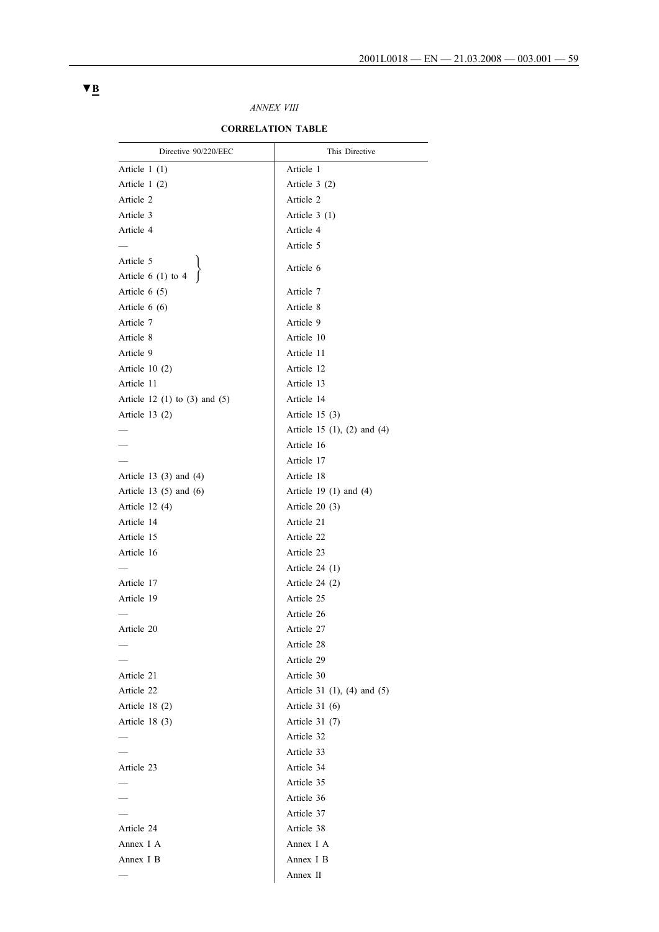# *ANNEX VIII*

| Directive 90/220/EEC              | This Directive                     |
|-----------------------------------|------------------------------------|
| Article $1(1)$                    | Article 1                          |
| Article $1(2)$                    | Article $3(2)$                     |
| Article 2                         | Article 2                          |
| Article 3                         | Article $3(1)$                     |
| Article 4                         | Article 4                          |
|                                   | Article 5                          |
| Article 5                         | Article 6                          |
| Article $6(1)$ to 4               |                                    |
| Article $6(5)$                    | Article 7                          |
| Article 6 (6)                     | Article 8                          |
| Article 7                         | Article 9                          |
| Article 8                         | Article 10                         |
| Article 9                         | Article 11                         |
| Article $10(2)$                   | Article 12                         |
| Article 11                        | Article 13                         |
| Article 12 (1) to $(3)$ and $(5)$ | Article 14                         |
| Article 13 (2)                    | Article $15(3)$                    |
|                                   | Article 15 $(1)$ , $(2)$ and $(4)$ |
|                                   | Article 16                         |
|                                   | Article 17                         |
| Article 13 $(3)$ and $(4)$        | Article 18                         |
| Article 13 $(5)$ and $(6)$        | Article $19(1)$ and $(4)$          |
| Article 12 (4)                    | Article $20(3)$                    |
| Article 14                        | Article 21                         |
| Article 15                        | Article 22                         |
| Article 16                        | Article 23                         |
|                                   | Article 24 (1)                     |
| Article 17                        | Article $24(2)$                    |
| Article 19                        | Article 25                         |
|                                   | Article 26                         |
| Article 20                        | Article 27                         |
|                                   | Article 28                         |
|                                   | Article 29                         |
| Article 21                        | Article 30                         |
| Article 22                        | Article 31 $(1)$ , $(4)$ and $(5)$ |
| Article $18(2)$                   | Article $31(6)$                    |
| Article $18(3)$                   | Article 31 (7)                     |
|                                   | Article 32                         |
|                                   | Article 33                         |
| Article 23                        | Article 34                         |
|                                   | Article 35                         |
|                                   | Article 36                         |
|                                   | Article 37                         |
| Article 24                        | Article 38                         |
| Annex I A                         | Annex I A                          |
| Annex I B                         | Annex I B                          |
|                                   | Annex II                           |